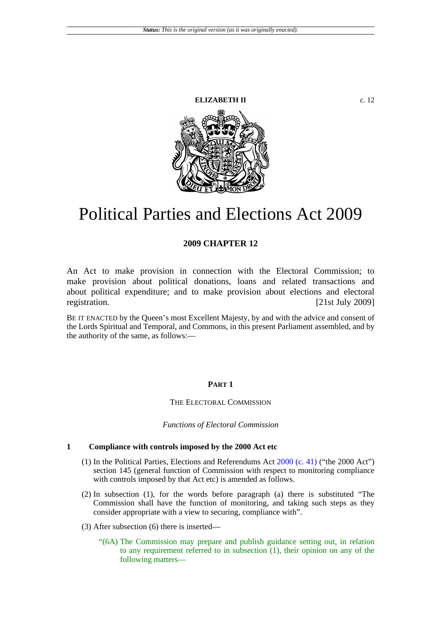#### **ELIZABETH II** c. 12



# Political Parties and Elections Act 2009

# **2009 CHAPTER 12**

An Act to make provision in connection with the Electoral Commission; to make provision about political donations, loans and related transactions and about political expenditure; and to make provision about elections and electoral registration. [21st July 2009]

BE IT ENACTED by the Queen's most Excellent Majesty, by and with the advice and consent of the Lords Spiritual and Temporal, and Commons, in this present Parliament assembled, and by the authority of the same, as follows:—

## **PART 1**

# THE ELECTORAL COMMISSION

#### *Functions of Electoral Commission*

#### **1 Compliance with controls imposed by the 2000 Act etc**

- (1) In the Political Parties, Elections and Referendums Act [2000 \(c. 41\)](http://www.legislation.gov.uk/id/ukpga/2000/41) ("the 2000 Act") section 145 (general function of Commission with respect to monitoring compliance with controls imposed by that Act etc) is amended as follows.
- (2) In subsection (1), for the words before paragraph (a) there is substituted "The Commission shall have the function of monitoring, and taking such steps as they consider appropriate with a view to securing, compliance with".
- (3) After subsection (6) there is inserted—
	- "(6A) The Commission may prepare and publish guidance setting out, in relation to any requirement referred to in subsection (1), their opinion on any of the following matters—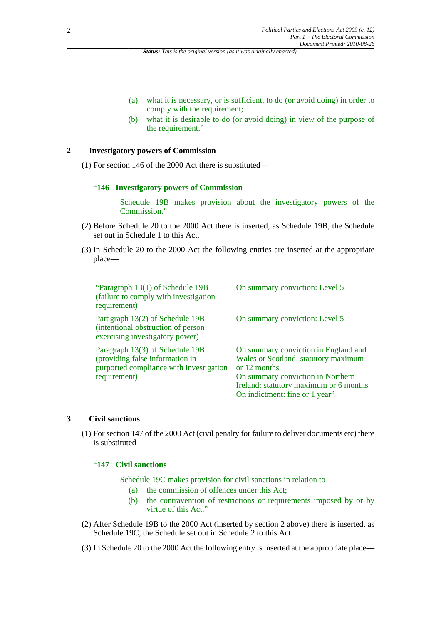- (a) what it is necessary, or is sufficient, to do (or avoid doing) in order to comply with the requirement;
- (b) what it is desirable to do (or avoid doing) in view of the purpose of the requirement."

## **2 Investigatory powers of Commission**

(1) For section 146 of the 2000 Act there is substituted—

## "**146 Investigatory powers of Commission**

Schedule 19B makes provision about the investigatory powers of the Commission."

- (2) Before Schedule 20 to the 2000 Act there is inserted, as Schedule 19B, the Schedule set out in Schedule 1 to this Act.
- (3) In Schedule 20 to the 2000 Act the following entries are inserted at the appropriate place—

| "Paragraph 13(1) of Schedule 19B<br>(failure to comply with investigation)<br>requirement)                                    | On summary conviction: Level 5                                                                                                                                                                                |
|-------------------------------------------------------------------------------------------------------------------------------|---------------------------------------------------------------------------------------------------------------------------------------------------------------------------------------------------------------|
| Paragraph 13(2) of Schedule 19B<br>(intentional obstruction of person)<br>exercising investigatory power)                     | On summary conviction: Level 5                                                                                                                                                                                |
| Paragraph 13(3) of Schedule 19B<br>(providing false information in<br>purported compliance with investigation<br>requirement) | On summary conviction in England and<br>Wales or Scotland: statutory maximum<br>or 12 months<br>On summary conviction in Northern<br>Ireland: statutory maximum or 6 months<br>On indictment: fine or 1 year" |

# **3 Civil sanctions**

(1) For section 147 of the 2000 Act (civil penalty for failure to deliver documents etc) there is substituted—

#### "**147 Civil sanctions**

Schedule 19C makes provision for civil sanctions in relation to—

- (a) the commission of offences under this Act;
- (b) the contravention of restrictions or requirements imposed by or by virtue of this Act."
- (2) After Schedule 19B to the 2000 Act (inserted by section 2 above) there is inserted, as Schedule 19C, the Schedule set out in Schedule 2 to this Act.
- (3) In Schedule 20 to the 2000 Act the following entry is inserted at the appropriate place—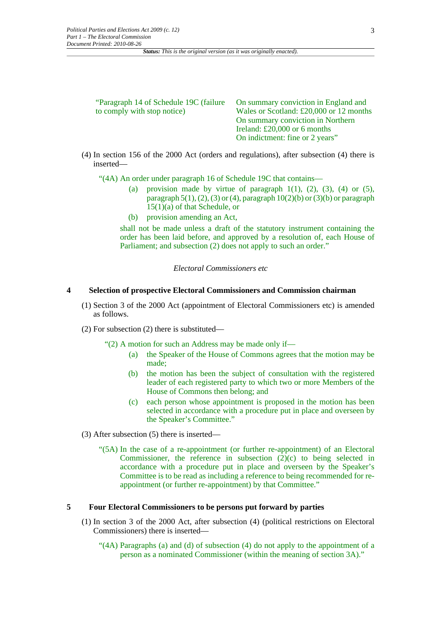| "Paragraph 14 of Schedule 19C (failure) | On summary conviction in England and    |
|-----------------------------------------|-----------------------------------------|
| to comply with stop notice)             | Wales or Scotland: £20,000 or 12 months |
|                                         | On summary conviction in Northern       |
|                                         | Ireland: $\pounds20,000$ or 6 months    |
|                                         | On indictment: fine or 2 years"         |

(4) In section 156 of the 2000 Act (orders and regulations), after subsection (4) there is inserted—

"(4A) An order under paragraph 16 of Schedule 19C that contains—

- (a) provision made by virtue of paragraph  $1(1)$ ,  $(2)$ ,  $(3)$ ,  $(4)$  or  $(5)$ , paragraph  $5(1)$ ,  $(2)$ ,  $(3)$  or  $(4)$ , paragraph  $10(2)(b)$  or  $(3)(b)$  or paragraph  $15(1)(a)$  of that Schedule, or
- (b) provision amending an Act,

shall not be made unless a draft of the statutory instrument containing the order has been laid before, and approved by a resolution of, each House of Parliament; and subsection (2) does not apply to such an order."

## *Electoral Commissioners etc*

# **4 Selection of prospective Electoral Commissioners and Commission chairman**

- (1) Section 3 of the 2000 Act (appointment of Electoral Commissioners etc) is amended as follows.
- (2) For subsection (2) there is substituted—
	- "(2) A motion for such an Address may be made only if—
		- (a) the Speaker of the House of Commons agrees that the motion may be made;
		- (b) the motion has been the subject of consultation with the registered leader of each registered party to which two or more Members of the House of Commons then belong; and
		- (c) each person whose appointment is proposed in the motion has been selected in accordance with a procedure put in place and overseen by the Speaker's Committee."
- (3) After subsection (5) there is inserted—
	- "(5A) In the case of a re-appointment (or further re-appointment) of an Electoral Commissioner, the reference in subsection  $(2)(c)$  to being selected in accordance with a procedure put in place and overseen by the Speaker's Committee is to be read as including a reference to being recommended for reappointment (or further re-appointment) by that Committee."

## **5 Four Electoral Commissioners to be persons put forward by parties**

- (1) In section 3 of the 2000 Act, after subsection (4) (political restrictions on Electoral Commissioners) there is inserted—
	- "(4A) Paragraphs (a) and (d) of subsection (4) do not apply to the appointment of a person as a nominated Commissioner (within the meaning of section 3A)."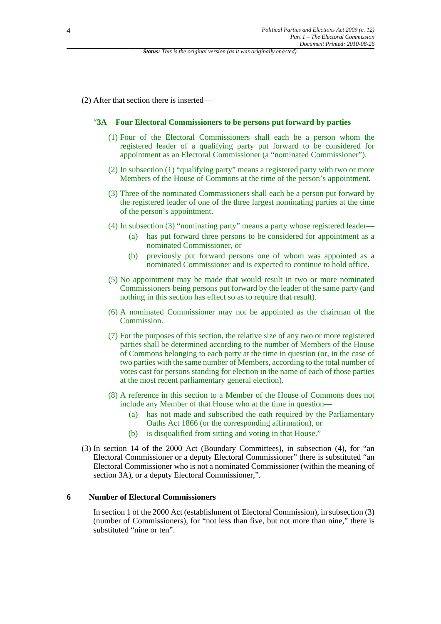(2) After that section there is inserted—

## "**3A Four Electoral Commissioners to be persons put forward by parties**

- (1) Four of the Electoral Commissioners shall each be a person whom the registered leader of a qualifying party put forward to be considered for appointment as an Electoral Commissioner (a "nominated Commissioner").
- (2) In subsection (1) "qualifying party" means a registered party with two or more Members of the House of Commons at the time of the person's appointment.
- (3) Three of the nominated Commissioners shall each be a person put forward by the registered leader of one of the three largest nominating parties at the time of the person's appointment.
- (4) In subsection (3) "nominating party" means a party whose registered leader—
	- (a) has put forward three persons to be considered for appointment as a nominated Commissioner, or
	- (b) previously put forward persons one of whom was appointed as a nominated Commissioner and is expected to continue to hold office.
- (5) No appointment may be made that would result in two or more nominated Commissioners being persons put forward by the leader of the same party (and nothing in this section has effect so as to require that result).
- (6) A nominated Commissioner may not be appointed as the chairman of the Commission.
- (7) For the purposes of this section, the relative size of any two or more registered parties shall be determined according to the number of Members of the House of Commons belonging to each party at the time in question (or, in the case of two parties with the same number of Members, according to the total number of votes cast for persons standing for election in the name of each of those parties at the most recent parliamentary general election).
- (8) A reference in this section to a Member of the House of Commons does not include any Member of that House who at the time in question—
	- (a) has not made and subscribed the oath required by the Parliamentary Oaths Act 1866 (or the corresponding affirmation), or
	- (b) is disqualified from sitting and voting in that House."
- (3) In section 14 of the 2000 Act (Boundary Committees), in subsection (4), for "an Electoral Commissioner or a deputy Electoral Commissioner" there is substituted "an Electoral Commissioner who is not a nominated Commissioner (within the meaning of section 3A), or a deputy Electoral Commissioner,".

## **6 Number of Electoral Commissioners**

In section 1 of the 2000 Act (establishment of Electoral Commission), in subsection (3) (number of Commissioners), for "not less than five, but not more than nine," there is substituted "nine or ten".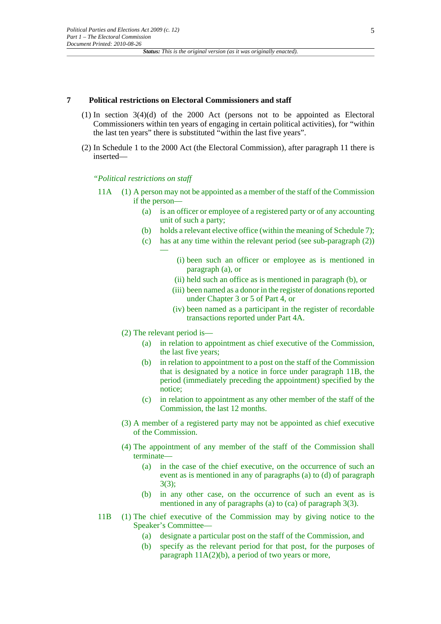#### **7 Political restrictions on Electoral Commissioners and staff**

- (1) In section  $3(4)(d)$  of the 2000 Act (persons not to be appointed as Electoral Commissioners within ten years of engaging in certain political activities), for "within the last ten years" there is substituted "within the last five years".
- (2) In Schedule 1 to the 2000 Act (the Electoral Commission), after paragraph 11 there is inserted—

*"Political restrictions on staff*

- 11A (1) A person may not be appointed as a member of the staff of the Commission if the person—
	- (a) is an officer or employee of a registered party or of any accounting unit of such a party;
	- (b) holds a relevant elective office (within the meaning of Schedule 7);
	- (c) has at any time within the relevant period (see sub-paragraph (2)) —
		- (i) been such an officer or employee as is mentioned in paragraph (a), or
		- (ii) held such an office as is mentioned in paragraph (b), or
		- (iii) been named as a donor in the register of donations reported under Chapter 3 or 5 of Part 4, or
		- (iv) been named as a participant in the register of recordable transactions reported under Part 4A.
	- (2) The relevant period is—
		- (a) in relation to appointment as chief executive of the Commission, the last five years;
		- (b) in relation to appointment to a post on the staff of the Commission that is designated by a notice in force under paragraph 11B, the period (immediately preceding the appointment) specified by the notice;
		- (c) in relation to appointment as any other member of the staff of the Commission, the last 12 months.
	- (3) A member of a registered party may not be appointed as chief executive of the Commission.
	- (4) The appointment of any member of the staff of the Commission shall terminate—
		- (a) in the case of the chief executive, on the occurrence of such an event as is mentioned in any of paragraphs (a) to (d) of paragraph 3(3);
		- (b) in any other case, on the occurrence of such an event as is mentioned in any of paragraphs (a) to (ca) of paragraph 3(3).
- 11B (1) The chief executive of the Commission may by giving notice to the Speaker's Committee—
	- (a) designate a particular post on the staff of the Commission, and
	- (b) specify as the relevant period for that post, for the purposes of paragraph 11A(2)(b), a period of two years or more,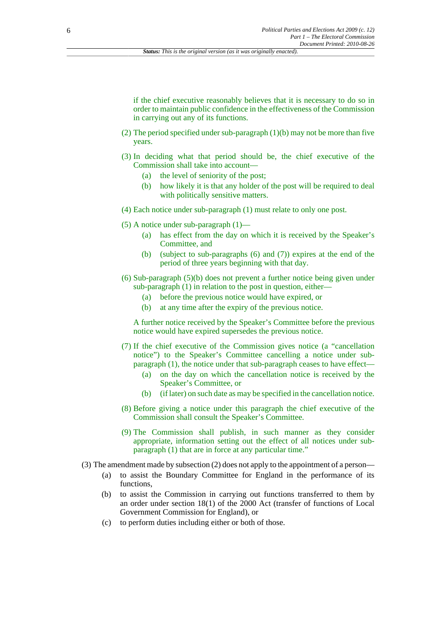if the chief executive reasonably believes that it is necessary to do so in order to maintain public confidence in the effectiveness of the Commission in carrying out any of its functions.

- (2) The period specified under sub-paragraph (1)(b) may not be more than five years.
- (3) In deciding what that period should be, the chief executive of the Commission shall take into account—
	- (a) the level of seniority of the post;
	- (b) how likely it is that any holder of the post will be required to deal with politically sensitive matters.
- (4) Each notice under sub-paragraph (1) must relate to only one post.
- (5) A notice under sub-paragraph (1)—
	- (a) has effect from the day on which it is received by the Speaker's Committee, and
	- (b) (subject to sub-paragraphs (6) and (7)) expires at the end of the period of three years beginning with that day.
- (6) Sub-paragraph (5)(b) does not prevent a further notice being given under sub-paragraph (1) in relation to the post in question, either—
	- (a) before the previous notice would have expired, or
	- (b) at any time after the expiry of the previous notice.

A further notice received by the Speaker's Committee before the previous notice would have expired supersedes the previous notice.

- (7) If the chief executive of the Commission gives notice (a "cancellation notice") to the Speaker's Committee cancelling a notice under subparagraph (1), the notice under that sub-paragraph ceases to have effect—
	- (a) on the day on which the cancellation notice is received by the Speaker's Committee, or
	- (b) (if later) on such date as may be specified in the cancellation notice.
- (8) Before giving a notice under this paragraph the chief executive of the Commission shall consult the Speaker's Committee.
- (9) The Commission shall publish, in such manner as they consider appropriate, information setting out the effect of all notices under subparagraph (1) that are in force at any particular time."
- (3) The amendment made by subsection (2) does not apply to the appointment of a person—
	- (a) to assist the Boundary Committee for England in the performance of its functions,
	- (b) to assist the Commission in carrying out functions transferred to them by an order under section 18(1) of the 2000 Act (transfer of functions of Local Government Commission for England), or
	- (c) to perform duties including either or both of those.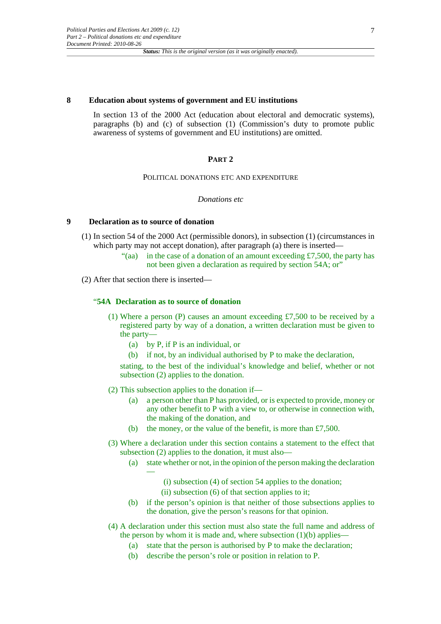#### **8 Education about systems of government and EU institutions**

In section 13 of the 2000 Act (education about electoral and democratic systems), paragraphs (b) and (c) of subsection (1) (Commission's duty to promote public awareness of systems of government and EU institutions) are omitted.

## **PART 2**

### POLITICAL DONATIONS ETC AND EXPENDITURE

*Donations etc*

#### **9 Declaration as to source of donation**

- (1) In section 54 of the 2000 Act (permissible donors), in subsection (1) (circumstances in which party may not accept donation), after paragraph (a) there is inserted—
	- "(aa) in the case of a donation of an amount exceeding  $\text{\pounds}7,500$ , the party has not been given a declaration as required by section 54A; or"
- (2) After that section there is inserted—

#### "**54A Declaration as to source of donation**

- (1) Where a person (P) causes an amount exceeding £7,500 to be received by a registered party by way of a donation, a written declaration must be given to the party—
	- (a) by P, if P is an individual, or
	- if not, by an individual authorised by P to make the declaration,

stating, to the best of the individual's knowledge and belief, whether or not subsection (2) applies to the donation.

- (2) This subsection applies to the donation if—
	- (a) a person other than P has provided, or is expected to provide, money or any other benefit to P with a view to, or otherwise in connection with, the making of the donation, and
	- (b) the money, or the value of the benefit, is more than  $£7,500$ .
- (3) Where a declaration under this section contains a statement to the effect that subsection (2) applies to the donation, it must also—
	- (a) state whether or not, in the opinion of the person making the declaration —
		- (i) subsection (4) of section 54 applies to the donation;
		- (ii) subsection (6) of that section applies to it;
	- (b) if the person's opinion is that neither of those subsections applies to the donation, give the person's reasons for that opinion.
- (4) A declaration under this section must also state the full name and address of the person by whom it is made and, where subsection  $(1)(b)$  applies—
	- (a) state that the person is authorised by P to make the declaration;
	- (b) describe the person's role or position in relation to P.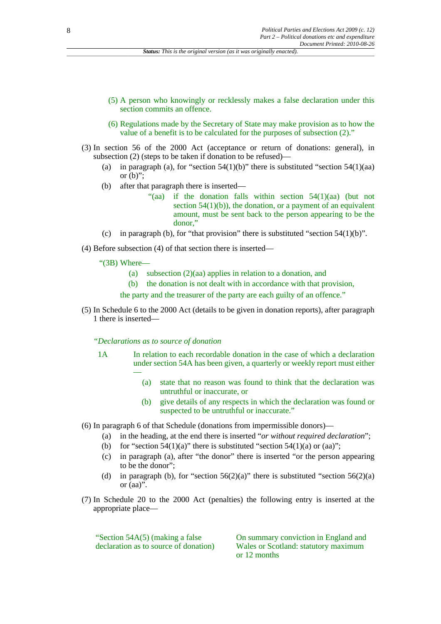- (5) A person who knowingly or recklessly makes a false declaration under this section commits an offence.
- (6) Regulations made by the Secretary of State may make provision as to how the value of a benefit is to be calculated for the purposes of subsection (2)."
- (3) In section 56 of the 2000 Act (acceptance or return of donations: general), in subsection (2) (steps to be taken if donation to be refused)—
	- (a) in paragraph (a), for "section  $54(1)(b)$ " there is substituted "section  $54(1)(aa)$ or  $(b)$ ";
	- (b) after that paragraph there is inserted—
		- "(aa) if the donation falls within section  $54(1)(aa)$  (but not section  $54(1)(b)$ , the donation, or a payment of an equivalent amount, must be sent back to the person appearing to be the donor,"
	- (c) in paragraph (b), for "that provision" there is substituted "section  $54(1)(b)$ ".

(4) Before subsection (4) of that section there is inserted—

"(3B) Where—

- (a) subsection (2)(aa) applies in relation to a donation, and
- (b) the donation is not dealt with in accordance with that provision,
- the party and the treasurer of the party are each guilty of an offence."
- (5) In Schedule 6 to the 2000 Act (details to be given in donation reports), after paragraph 1 there is inserted—

*"Declarations as to source of donation*

—

- 1A In relation to each recordable donation in the case of which a declaration under section 54A has been given, a quarterly or weekly report must either
	- (a) state that no reason was found to think that the declaration was untruthful or inaccurate, or
	- (b) give details of any respects in which the declaration was found or suspected to be untruthful or inaccurate."
- (6) In paragraph 6 of that Schedule (donations from impermissible donors)—
	- (a) in the heading, at the end there is inserted "*or without required declaration*";
	- (b) for "section 54(1)(a)" there is substituted "section 54(1)(a) or (aa)";
	- (c) in paragraph (a), after "the donor" there is inserted "or the person appearing to be the donor";
	- (d) in paragraph (b), for "section  $56(2)(a)$ " there is substituted "section  $56(2)(a)$ or  $(aa)$ ".
- (7) In Schedule 20 to the 2000 Act (penalties) the following entry is inserted at the appropriate place—

"Section 54A(5) (making a false declaration as to source of donation)

On summary conviction in England and Wales or Scotland: statutory maximum or 12 months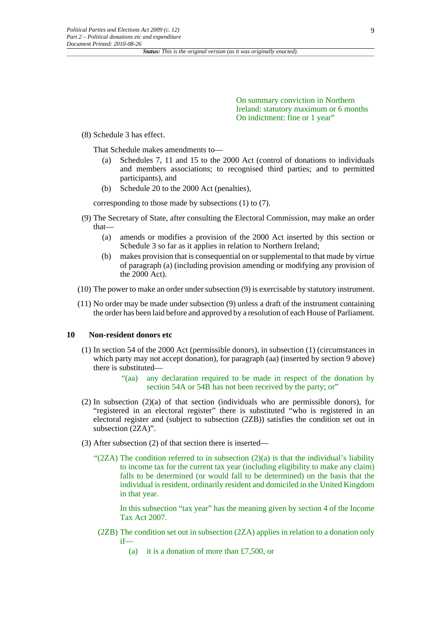On summary conviction in Northern Ireland: statutory maximum or 6 months On indictment: fine or 1 year"

(8) Schedule 3 has effect.

That Schedule makes amendments to—

- (a) Schedules 7, 11 and 15 to the 2000 Act (control of donations to individuals and members associations; to recognised third parties; and to permitted participants), and
- (b) Schedule 20 to the 2000 Act (penalties),

corresponding to those made by subsections (1) to (7).

- (9) The Secretary of State, after consulting the Electoral Commission, may make an order that—
	- (a) amends or modifies a provision of the 2000 Act inserted by this section or Schedule 3 so far as it applies in relation to Northern Ireland;
	- (b) makes provision that is consequential on or supplemental to that made by virtue of paragraph (a) (including provision amending or modifying any provision of the 2000 Act).
- (10) The power to make an order under subsection (9) is exercisable by statutory instrument.
- (11) No order may be made under subsection (9) unless a draft of the instrument containing the order has been laid before and approved by a resolution of each House of Parliament.

#### **10 Non-resident donors etc**

(1) In section 54 of the 2000 Act (permissible donors), in subsection (1) (circumstances in which party may not accept donation), for paragraph (aa) (inserted by section 9 above) there is substituted—

- (2) In subsection (2)(a) of that section (individuals who are permissible donors), for "registered in an electoral register" there is substituted "who is registered in an electoral register and (subject to subsection (2ZB)) satisfies the condition set out in subsection (2ZA)".
- (3) After subsection (2) of that section there is inserted—
	- "(2ZA) The condition referred to in subsection (2)(a) is that the individual's liability to income tax for the current tax year (including eligibility to make any claim) falls to be determined (or would fall to be determined) on the basis that the individual is resident, ordinarily resident and domiciled in the United Kingdom in that year.

In this subsection "tax year" has the meaning given by section 4 of the Income Tax Act 2007.

- (2ZB) The condition set out in subsection (2ZA) applies in relation to a donation only if—
	- (a) it is a donation of more than £7,500, or

<sup>&</sup>quot;(aa) any declaration required to be made in respect of the donation by section 54A or 54B has not been received by the party; or"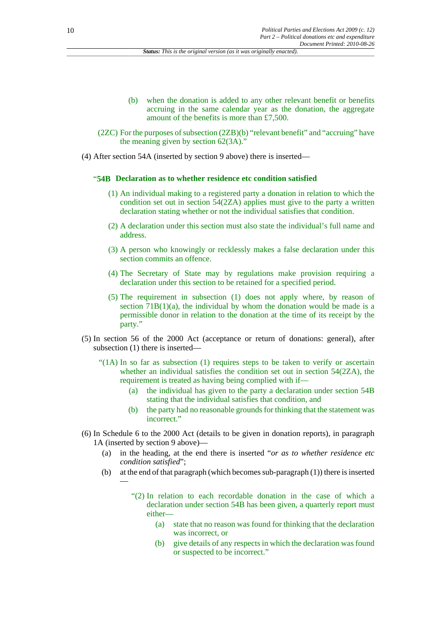- (b) when the donation is added to any other relevant benefit or benefits accruing in the same calendar year as the donation, the aggregate amount of the benefits is more than £7,500.
- (2ZC) For the purposes of subsection (2ZB)(b) "relevant benefit" and "accruing" have the meaning given by section 62(3A)."
- (4) After section 54A (inserted by section 9 above) there is inserted—

#### "**54B Declaration as to whether residence etc condition satisfied**

- (1) An individual making to a registered party a donation in relation to which the condition set out in section 54(2ZA) applies must give to the party a written declaration stating whether or not the individual satisfies that condition.
- (2) A declaration under this section must also state the individual's full name and address.
- (3) A person who knowingly or recklessly makes a false declaration under this section commits an offence.
- (4) The Secretary of State may by regulations make provision requiring a declaration under this section to be retained for a specified period.
- (5) The requirement in subsection (1) does not apply where, by reason of section  $71B(1)(a)$ , the individual by whom the donation would be made is a permissible donor in relation to the donation at the time of its receipt by the party."
- (5) In section 56 of the 2000 Act (acceptance or return of donations: general), after subsection (1) there is inserted—
	- "(1A) In so far as subsection (1) requires steps to be taken to verify or ascertain whether an individual satisfies the condition set out in section 54(2ZA), the requirement is treated as having being complied with if—
		- (a) the individual has given to the party a declaration under section 54B stating that the individual satisfies that condition, and
		- (b) the party had no reasonable grounds for thinking that the statement was incorrect."
- (6) In Schedule 6 to the 2000 Act (details to be given in donation reports), in paragraph 1A (inserted by section 9 above)—
	- (a) in the heading, at the end there is inserted "*or as to whether residence etc condition satisfied*";
	- (b) at the end of that paragraph (which becomes sub-paragraph (1)) there is inserted —
		- "(2) In relation to each recordable donation in the case of which a declaration under section 54B has been given, a quarterly report must either—
			- (a) state that no reason was found for thinking that the declaration was incorrect, or
			- (b) give details of any respects in which the declaration was found or suspected to be incorrect."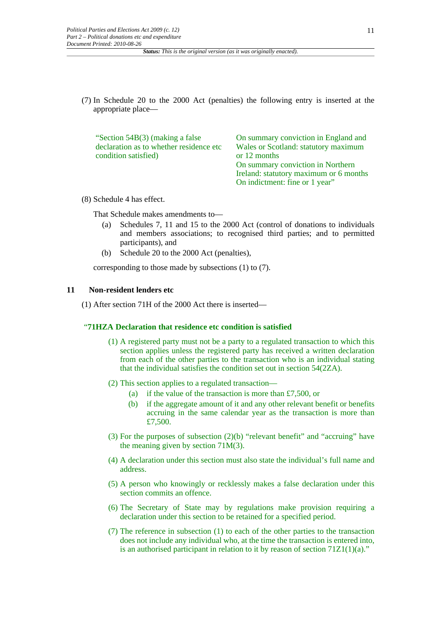(7) In Schedule 20 to the 2000 Act (penalties) the following entry is inserted at the appropriate place—

| "Section 54B(3) (making a false         | On summary conviction in England and   |
|-----------------------------------------|----------------------------------------|
| declaration as to whether residence etc | Wales or Scotland: statutory maximum   |
| condition satisfied)                    | or 12 months                           |
|                                         | On summary conviction in Northern      |
|                                         | Ireland: statutory maximum or 6 months |
|                                         | On indictment: fine or 1 year"         |
|                                         |                                        |

(8) Schedule 4 has effect.

That Schedule makes amendments to—

- (a) Schedules 7, 11 and 15 to the 2000 Act (control of donations to individuals and members associations; to recognised third parties; and to permitted participants), and
- (b) Schedule 20 to the 2000 Act (penalties),

corresponding to those made by subsections (1) to (7).

# **11 Non-resident lenders etc**

(1) After section 71H of the 2000 Act there is inserted—

#### "**71HZA Declaration that residence etc condition is satisfied**

- (1) A registered party must not be a party to a regulated transaction to which this section applies unless the registered party has received a written declaration from each of the other parties to the transaction who is an individual stating that the individual satisfies the condition set out in section 54(2ZA).
- (2) This section applies to a regulated transaction—
	- (a) if the value of the transaction is more than  $\text{\pounds}7,500$ , or
	- (b) if the aggregate amount of it and any other relevant benefit or benefits accruing in the same calendar year as the transaction is more than £7,500.
- (3) For the purposes of subsection (2)(b) "relevant benefit" and "accruing" have the meaning given by section 71M(3).
- (4) A declaration under this section must also state the individual's full name and address.
- (5) A person who knowingly or recklessly makes a false declaration under this section commits an offence.
- (6) The Secretary of State may by regulations make provision requiring a declaration under this section to be retained for a specified period.
- (7) The reference in subsection (1) to each of the other parties to the transaction does not include any individual who, at the time the transaction is entered into, is an authorised participant in relation to it by reason of section  $71Z1(1)(a)$ ."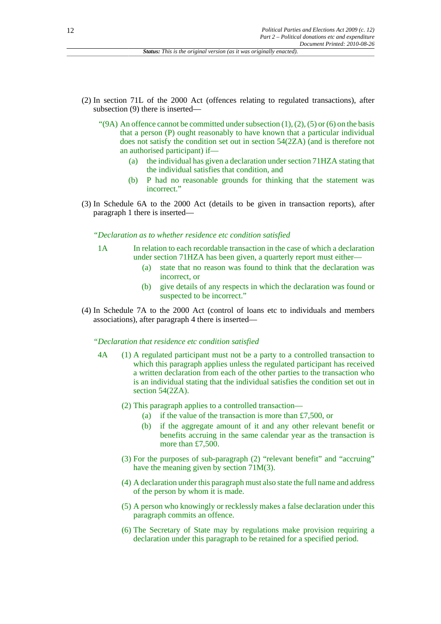- (2) In section 71L of the 2000 Act (offences relating to regulated transactions), after subsection (9) there is inserted—
	- "(9A) An offence cannot be committed under subsection  $(1)$ ,  $(2)$ ,  $(5)$  or  $(6)$  on the basis that a person (P) ought reasonably to have known that a particular individual does not satisfy the condition set out in section 54(2ZA) (and is therefore not an authorised participant) if—
		- (a) the individual has given a declaration under section 71HZA stating that the individual satisfies that condition, and
		- (b) P had no reasonable grounds for thinking that the statement was incorrect."
- (3) In Schedule 6A to the 2000 Act (details to be given in transaction reports), after paragraph 1 there is inserted—

*"Declaration as to whether residence etc condition satisfied*

- 1A In relation to each recordable transaction in the case of which a declaration under section 71HZA has been given, a quarterly report must either—
	- (a) state that no reason was found to think that the declaration was incorrect, or
	- (b) give details of any respects in which the declaration was found or suspected to be incorrect."
- (4) In Schedule 7A to the 2000 Act (control of loans etc to individuals and members associations), after paragraph 4 there is inserted—

*"Declaration that residence etc condition satisfied*

- 4A (1) A regulated participant must not be a party to a controlled transaction to which this paragraph applies unless the regulated participant has received a written declaration from each of the other parties to the transaction who is an individual stating that the individual satisfies the condition set out in section 54(2ZA).
	- (2) This paragraph applies to a controlled transaction—
		- (a) if the value of the transaction is more than £7,500, or
		- (b) if the aggregate amount of it and any other relevant benefit or benefits accruing in the same calendar year as the transaction is more than £7,500.
	- (3) For the purposes of sub-paragraph (2) "relevant benefit" and "accruing" have the meaning given by section 71M(3).
	- (4) A declaration under this paragraph must also state the full name and address of the person by whom it is made.
	- (5) A person who knowingly or recklessly makes a false declaration under this paragraph commits an offence.
	- (6) The Secretary of State may by regulations make provision requiring a declaration under this paragraph to be retained for a specified period.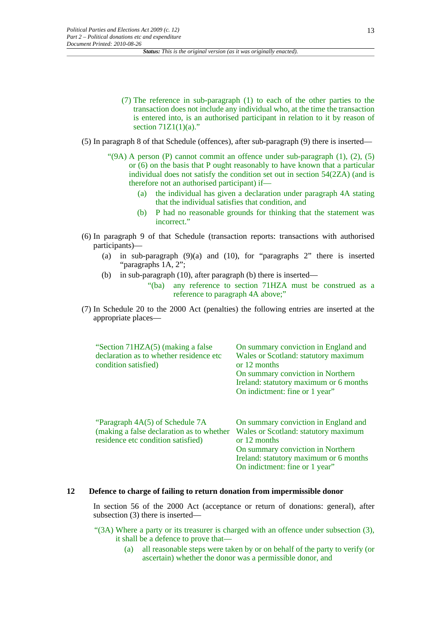- (7) The reference in sub-paragraph (1) to each of the other parties to the transaction does not include any individual who, at the time the transaction is entered into, is an authorised participant in relation to it by reason of section  $71Z1(1)(a)$ ."
- (5) In paragraph 8 of that Schedule (offences), after sub-paragraph (9) there is inserted—
	- " $(9A)$  A person (P) cannot commit an offence under sub-paragraph  $(1)$ ,  $(2)$ ,  $(5)$ or (6) on the basis that P ought reasonably to have known that a particular individual does not satisfy the condition set out in section  $54(2Z\AA)$  (and is therefore not an authorised participant) if—
		- (a) the individual has given a declaration under paragraph 4A stating that the individual satisfies that condition, and
		- (b) P had no reasonable grounds for thinking that the statement was incorrect."
- (6) In paragraph 9 of that Schedule (transaction reports: transactions with authorised participants)—
	- (a) in sub-paragraph  $(9)(a)$  and  $(10)$ , for "paragraphs 2" there is inserted "paragraphs 1A, 2";
	- (b) in sub-paragraph (10), after paragraph (b) there is inserted—

"(ba) any reference to section 71HZA must be construed as a reference to paragraph 4A above;"

(7) In Schedule 20 to the 2000 Act (penalties) the following entries are inserted at the appropriate places—

| "Section 71HZA(5) (making a false<br>declaration as to whether residence etc<br>condition satisfied)                | On summary conviction in England and<br>Wales or Scotland: statutory maximum<br>or 12 months<br>On summary conviction in Northern<br>Ireland: statutory maximum or 6 months<br>On indictment: fine or 1 year" |
|---------------------------------------------------------------------------------------------------------------------|---------------------------------------------------------------------------------------------------------------------------------------------------------------------------------------------------------------|
| "Paragraph 4A(5) of Schedule 7A<br>(making a false declaration as to whether)<br>residence etc condition satisfied) | On summary conviction in England and<br>Wales or Scotland: statutory maximum<br>or 12 months<br>On summary conviction in Northern<br>Ireland: statutory maximum or 6 months<br>On indictment: fine or 1 year" |

## **12 Defence to charge of failing to return donation from impermissible donor**

In section 56 of the 2000 Act (acceptance or return of donations: general), after subsection (3) there is inserted—

- "(3A) Where a party or its treasurer is charged with an offence under subsection (3), it shall be a defence to prove that—
	- (a) all reasonable steps were taken by or on behalf of the party to verify (or ascertain) whether the donor was a permissible donor, and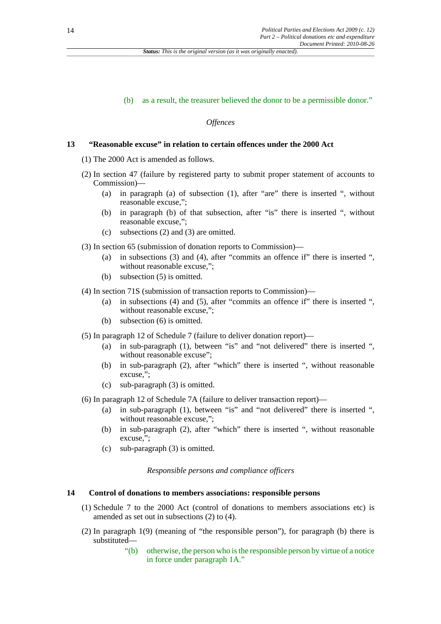#### (b) as a result, the treasurer believed the donor to be a permissible donor."

#### *Offences*

#### **13 "Reasonable excuse" in relation to certain offences under the 2000 Act**

- (1) The 2000 Act is amended as follows.
- (2) In section 47 (failure by registered party to submit proper statement of accounts to Commission)—
	- (a) in paragraph (a) of subsection (1), after "are" there is inserted ", without reasonable excuse,";
	- (b) in paragraph (b) of that subsection, after "is" there is inserted ", without reasonable excuse,";
	- (c) subsections (2) and (3) are omitted.
- (3) In section 65 (submission of donation reports to Commission)—
	- (a) in subsections (3) and (4), after "commits an offence if" there is inserted ", without reasonable excuse,";
	- (b) subsection (5) is omitted.

(4) In section 71S (submission of transaction reports to Commission)—

- (a) in subsections (4) and (5), after "commits an offence if" there is inserted ", without reasonable excuse,";
- (b) subsection (6) is omitted.
- (5) In paragraph 12 of Schedule 7 (failure to deliver donation report)—
	- (a) in sub-paragraph (1), between "is" and "not delivered" there is inserted ", without reasonable excuse";
	- (b) in sub-paragraph (2), after "which" there is inserted ", without reasonable excuse,";
	- (c) sub-paragraph (3) is omitted.

(6) In paragraph 12 of Schedule 7A (failure to deliver transaction report)—

- (a) in sub-paragraph (1), between "is" and "not delivered" there is inserted ", without reasonable excuse,";
- (b) in sub-paragraph (2), after "which" there is inserted ", without reasonable excuse,";
- (c) sub-paragraph (3) is omitted.

*Responsible persons and compliance officers*

#### **14 Control of donations to members associations: responsible persons**

- (1) Schedule 7 to the 2000 Act (control of donations to members associations etc) is amended as set out in subsections (2) to (4).
- (2) In paragraph 1(9) (meaning of "the responsible person"), for paragraph (b) there is substituted—
	- "(b) otherwise, the person who is the responsible person by virtue of a notice in force under paragraph 1A."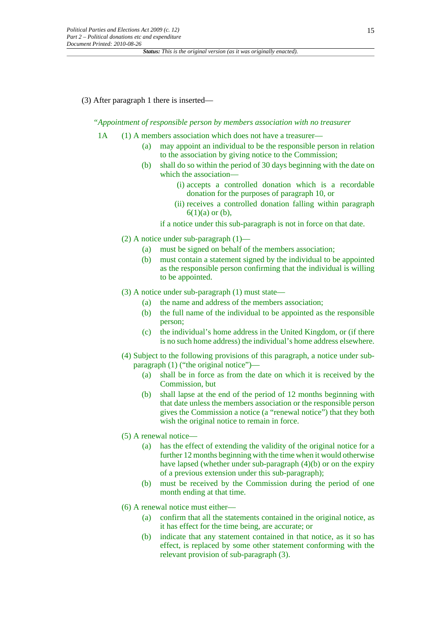#### (3) After paragraph 1 there is inserted—

*"Appointment of responsible person by members association with no treasurer*

- 1A (1) A members association which does not have a treasurer—
	- (a) may appoint an individual to be the responsible person in relation to the association by giving notice to the Commission;
	- (b) shall do so within the period of 30 days beginning with the date on which the association–
		- (i) accepts a controlled donation which is a recordable donation for the purposes of paragraph 10, or
		- (ii) receives a controlled donation falling within paragraph  $6(1)(a)$  or  $(b)$ ,
		- if a notice under this sub-paragraph is not in force on that date.
	- (2) A notice under sub-paragraph (1)—
		- (a) must be signed on behalf of the members association;
		- (b) must contain a statement signed by the individual to be appointed as the responsible person confirming that the individual is willing to be appointed.
	- (3) A notice under sub-paragraph (1) must state—
		- (a) the name and address of the members association;
		- (b) the full name of the individual to be appointed as the responsible person;
		- (c) the individual's home address in the United Kingdom, or (if there is no such home address) the individual's home address elsewhere.
	- (4) Subject to the following provisions of this paragraph, a notice under subparagraph (1) ("the original notice")—
		- (a) shall be in force as from the date on which it is received by the Commission, but
		- (b) shall lapse at the end of the period of 12 months beginning with that date unless the members association or the responsible person gives the Commission a notice (a "renewal notice") that they both wish the original notice to remain in force.
	- (5) A renewal notice—
		- (a) has the effect of extending the validity of the original notice for a further 12 months beginning with the time when it would otherwise have lapsed (whether under sub-paragraph (4)(b) or on the expiry of a previous extension under this sub-paragraph);
		- (b) must be received by the Commission during the period of one month ending at that time.
	- (6) A renewal notice must either—
		- (a) confirm that all the statements contained in the original notice, as it has effect for the time being, are accurate; or
		- (b) indicate that any statement contained in that notice, as it so has effect, is replaced by some other statement conforming with the relevant provision of sub-paragraph (3).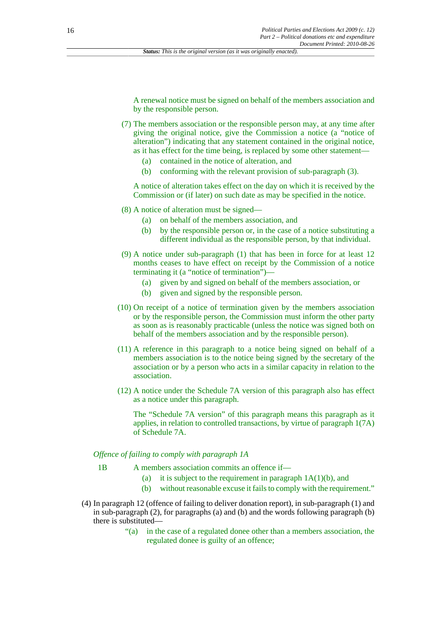A renewal notice must be signed on behalf of the members association and by the responsible person.

- (7) The members association or the responsible person may, at any time after giving the original notice, give the Commission a notice (a "notice of alteration") indicating that any statement contained in the original notice, as it has effect for the time being, is replaced by some other statement—
	- (a) contained in the notice of alteration, and
	- (b) conforming with the relevant provision of sub-paragraph (3).

A notice of alteration takes effect on the day on which it is received by the Commission or (if later) on such date as may be specified in the notice.

- (8) A notice of alteration must be signed—
	- (a) on behalf of the members association, and
	- (b) by the responsible person or, in the case of a notice substituting a different individual as the responsible person, by that individual.
- (9) A notice under sub-paragraph (1) that has been in force for at least 12 months ceases to have effect on receipt by the Commission of a notice terminating it (a "notice of termination")—
	- (a) given by and signed on behalf of the members association, or
	- (b) given and signed by the responsible person.
- (10) On receipt of a notice of termination given by the members association or by the responsible person, the Commission must inform the other party as soon as is reasonably practicable (unless the notice was signed both on behalf of the members association and by the responsible person).
- (11) A reference in this paragraph to a notice being signed on behalf of a members association is to the notice being signed by the secretary of the association or by a person who acts in a similar capacity in relation to the association.
- (12) A notice under the Schedule 7A version of this paragraph also has effect as a notice under this paragraph.

The "Schedule 7A version" of this paragraph means this paragraph as it applies, in relation to controlled transactions, by virtue of paragraph 1(7A) of Schedule 7A.

## *Offence of failing to comply with paragraph 1A*

- 1B A members association commits an offence if—
	- (a) it is subject to the requirement in paragraph  $1A(1)(b)$ , and
	- (b) without reasonable excuse it fails to comply with the requirement."
- (4) In paragraph 12 (offence of failing to deliver donation report), in sub-paragraph (1) and in sub-paragraph (2), for paragraphs (a) and (b) and the words following paragraph (b) there is substituted—
	- "(a) in the case of a regulated donee other than a members association, the regulated donee is guilty of an offence;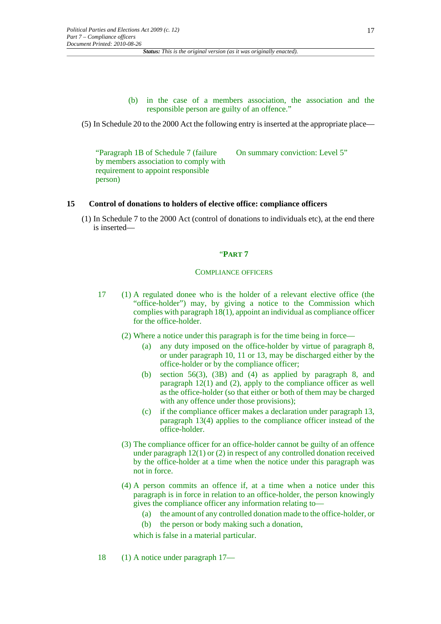- (b) in the case of a members association, the association and the responsible person are guilty of an offence."
- (5) In Schedule 20 to the 2000 Act the following entry is inserted at the appropriate place—

"Paragraph 1B of Schedule 7 (failure by members association to comply with requirement to appoint responsible person) On summary conviction: Level 5"

## **15 Control of donations to holders of elective office: compliance officers**

(1) In Schedule 7 to the 2000 Act (control of donations to individuals etc), at the end there is inserted—

#### "**PART 7**

#### COMPLIANCE OFFICERS

- 17 (1) A regulated donee who is the holder of a relevant elective office (the "office-holder") may, by giving a notice to the Commission which complies with paragraph 18(1), appoint an individual as compliance officer for the office-holder.
	- (2) Where a notice under this paragraph is for the time being in force—
		- (a) any duty imposed on the office-holder by virtue of paragraph 8, or under paragraph 10, 11 or 13, may be discharged either by the office-holder or by the compliance officer;
		- (b) section 56(3), (3B) and (4) as applied by paragraph 8, and paragraph 12(1) and (2), apply to the compliance officer as well as the office-holder (so that either or both of them may be charged with any offence under those provisions);
		- (c) if the compliance officer makes a declaration under paragraph 13, paragraph 13(4) applies to the compliance officer instead of the office-holder.
	- (3) The compliance officer for an office-holder cannot be guilty of an offence under paragraph 12(1) or (2) in respect of any controlled donation received by the office-holder at a time when the notice under this paragraph was not in force.
	- (4) A person commits an offence if, at a time when a notice under this paragraph is in force in relation to an office-holder, the person knowingly gives the compliance officer any information relating to—
		- (a) the amount of any controlled donation made to the office-holder, or
		- (b) the person or body making such a donation,

which is false in a material particular.

18 (1) A notice under paragraph 17—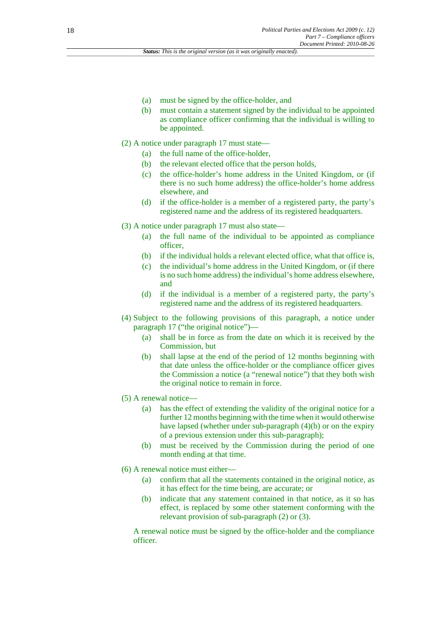- (a) must be signed by the office-holder, and
- (b) must contain a statement signed by the individual to be appointed as compliance officer confirming that the individual is willing to be appointed.
- (2) A notice under paragraph 17 must state—
	- (a) the full name of the office-holder,
	- (b) the relevant elected office that the person holds,
	- (c) the office-holder's home address in the United Kingdom, or (if there is no such home address) the office-holder's home address elsewhere, and
	- (d) if the office-holder is a member of a registered party, the party's registered name and the address of its registered headquarters.
- (3) A notice under paragraph 17 must also state—
	- (a) the full name of the individual to be appointed as compliance officer,
	- (b) if the individual holds a relevant elected office, what that office is,
	- (c) the individual's home address in the United Kingdom, or (if there is no such home address) the individual's home address elsewhere, and
	- (d) if the individual is a member of a registered party, the party's registered name and the address of its registered headquarters.
- (4) Subject to the following provisions of this paragraph, a notice under paragraph 17 ("the original notice")—
	- (a) shall be in force as from the date on which it is received by the Commission, but
	- (b) shall lapse at the end of the period of 12 months beginning with that date unless the office-holder or the compliance officer gives the Commission a notice (a "renewal notice") that they both wish the original notice to remain in force.
- (5) A renewal notice—
	- (a) has the effect of extending the validity of the original notice for a further 12 months beginning with the time when it would otherwise have lapsed (whether under sub-paragraph (4)(b) or on the expiry of a previous extension under this sub-paragraph);
	- (b) must be received by the Commission during the period of one month ending at that time.
- (6) A renewal notice must either—
	- (a) confirm that all the statements contained in the original notice, as it has effect for the time being, are accurate; or
	- (b) indicate that any statement contained in that notice, as it so has effect, is replaced by some other statement conforming with the relevant provision of sub-paragraph (2) or (3).

A renewal notice must be signed by the office-holder and the compliance officer.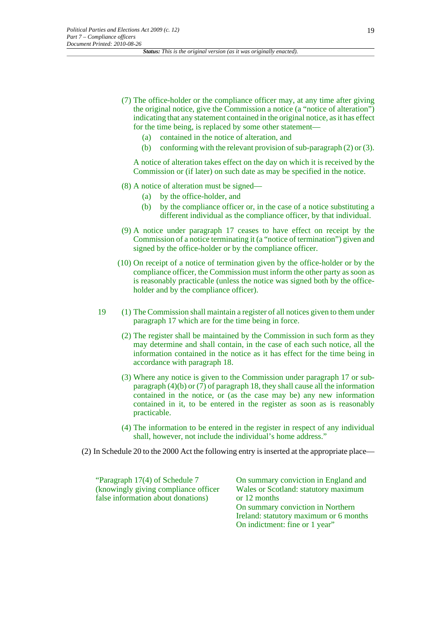- (7) The office-holder or the compliance officer may, at any time after giving the original notice, give the Commission a notice (a "notice of alteration") indicating that any statement contained in the original notice, as it has effect for the time being, is replaced by some other statement—
	- (a) contained in the notice of alteration, and
	- (b) conforming with the relevant provision of sub-paragraph (2) or (3).

A notice of alteration takes effect on the day on which it is received by the Commission or (if later) on such date as may be specified in the notice.

- (8) A notice of alteration must be signed—
	- (a) by the office-holder, and
	- (b) by the compliance officer or, in the case of a notice substituting a different individual as the compliance officer, by that individual.
- (9) A notice under paragraph 17 ceases to have effect on receipt by the Commission of a notice terminating it (a "notice of termination") given and signed by the office-holder or by the compliance officer.
- (10) On receipt of a notice of termination given by the office-holder or by the compliance officer, the Commission must inform the other party as soon as is reasonably practicable (unless the notice was signed both by the officeholder and by the compliance officer).
- 19 (1) The Commission shall maintain a register of all notices given to them under paragraph 17 which are for the time being in force.
	- (2) The register shall be maintained by the Commission in such form as they may determine and shall contain, in the case of each such notice, all the information contained in the notice as it has effect for the time being in accordance with paragraph 18.
	- (3) Where any notice is given to the Commission under paragraph 17 or subparagraph (4)(b) or (7) of paragraph 18, they shall cause all the information contained in the notice, or (as the case may be) any new information contained in it, to be entered in the register as soon as is reasonably practicable.
	- (4) The information to be entered in the register in respect of any individual shall, however, not include the individual's home address."
- (2) In Schedule 20 to the 2000 Act the following entry is inserted at the appropriate place—

| "Paragraph $17(4)$ of Schedule 7     | On summary conviction in England and   |
|--------------------------------------|----------------------------------------|
| (knowingly giving compliance officer | Wales or Scotland: statutory maximum   |
| false information about donations)   | or 12 months                           |
|                                      | On summary conviction in Northern      |
|                                      | Ireland: statutory maximum or 6 months |
|                                      | On indictment: fine or 1 year"         |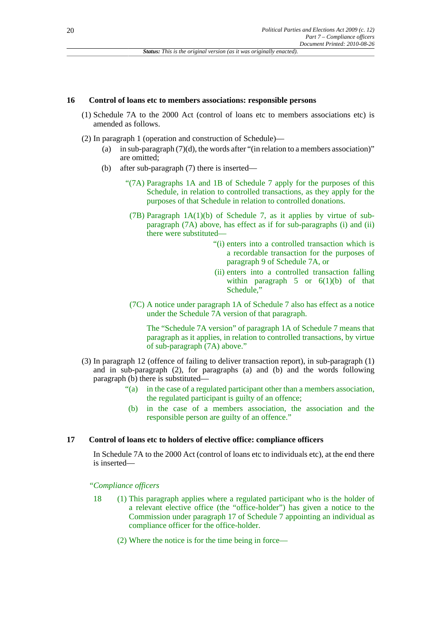## **16 Control of loans etc to members associations: responsible persons**

- (1) Schedule 7A to the 2000 Act (control of loans etc to members associations etc) is amended as follows.
- (2) In paragraph 1 (operation and construction of Schedule)—
	- (a) in sub-paragraph  $(7)(d)$ , the words after "(in relation to a members association)" are omitted;
	- (b) after sub-paragraph (7) there is inserted—
		- "(7A) Paragraphs 1A and 1B of Schedule 7 apply for the purposes of this Schedule, in relation to controlled transactions, as they apply for the purposes of that Schedule in relation to controlled donations.
		- (7B) Paragraph 1A(1)(b) of Schedule 7, as it applies by virtue of subparagraph (7A) above, has effect as if for sub-paragraphs (i) and (ii) there were substituted—
			- "(i) enters into a controlled transaction which is a recordable transaction for the purposes of paragraph 9 of Schedule 7A, or
			- (ii) enters into a controlled transaction falling within paragraph 5 or  $6(1)(b)$  of that Schedule,"
		- (7C) A notice under paragraph 1A of Schedule 7 also has effect as a notice under the Schedule 7A version of that paragraph.

The "Schedule 7A version" of paragraph 1A of Schedule 7 means that paragraph as it applies, in relation to controlled transactions, by virtue of sub-paragraph (7A) above."

- (3) In paragraph 12 (offence of failing to deliver transaction report), in sub-paragraph (1) and in sub-paragraph (2), for paragraphs (a) and (b) and the words following paragraph (b) there is substituted—
	- "(a) in the case of a regulated participant other than a members association, the regulated participant is guilty of an offence;
	- (b) in the case of a members association, the association and the responsible person are guilty of an offence."

## **17 Control of loans etc to holders of elective office: compliance officers**

In Schedule 7A to the 2000 Act (control of loans etc to individuals etc), at the end there is inserted—

*"Compliance officers*

- 18 (1) This paragraph applies where a regulated participant who is the holder of a relevant elective office (the "office-holder") has given a notice to the Commission under paragraph 17 of Schedule 7 appointing an individual as compliance officer for the office-holder.
	- (2) Where the notice is for the time being in force—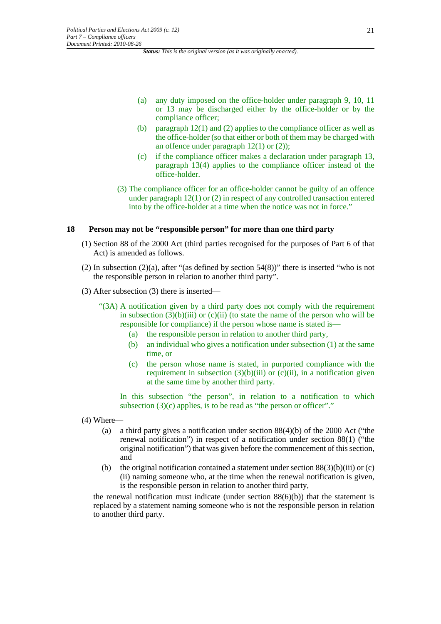- (a) any duty imposed on the office-holder under paragraph 9, 10, 11 or 13 may be discharged either by the office-holder or by the compliance officer;
- (b) paragraph 12(1) and (2) applies to the compliance officer as well as the office-holder (so that either or both of them may be charged with an offence under paragraph 12(1) or (2));
- (c) if the compliance officer makes a declaration under paragraph 13, paragraph 13(4) applies to the compliance officer instead of the office-holder.
- (3) The compliance officer for an office-holder cannot be guilty of an offence under paragraph 12(1) or (2) in respect of any controlled transaction entered into by the office-holder at a time when the notice was not in force."

#### **18 Person may not be "responsible person" for more than one third party**

- (1) Section 88 of the 2000 Act (third parties recognised for the purposes of Part 6 of that Act) is amended as follows.
- (2) In subsection (2)(a), after "(as defined by section  $54(8)$ )" there is inserted "who is not the responsible person in relation to another third party".
- (3) After subsection (3) there is inserted—
	- "(3A) A notification given by a third party does not comply with the requirement in subsection  $(3)(b)(iii)$  or  $(c)(ii)$  (to state the name of the person who will be responsible for compliance) if the person whose name is stated is—
		- (a) the responsible person in relation to another third party,
		- (b) an individual who gives a notification under subsection (1) at the same time, or
		- (c) the person whose name is stated, in purported compliance with the requirement in subsection  $(3)(b)(iii)$  or  $(c)(ii)$ , in a notification given at the same time by another third party.

In this subsection "the person", in relation to a notification to which subsection  $(3)(c)$  applies, is to be read as "the person or officer"."

- (4) Where—
	- (a) a third party gives a notification under section 88(4)(b) of the 2000 Act ("the renewal notification") in respect of a notification under section 88(1) ("the original notification") that was given before the commencement of this section, and
	- (b) the original notification contained a statement under section  $88(3)(b)(iii)$  or (c) (ii) naming someone who, at the time when the renewal notification is given, is the responsible person in relation to another third party,

the renewal notification must indicate (under section  $88(6)(b)$ ) that the statement is replaced by a statement naming someone who is not the responsible person in relation to another third party.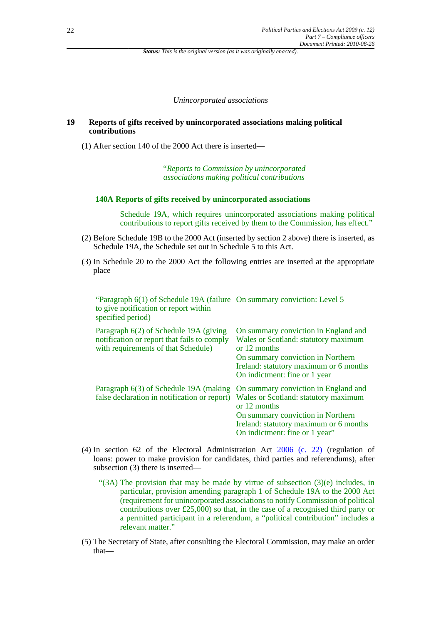#### *Unincorporated associations*

## **19 Reports of gifts received by unincorporated associations making political contributions**

(1) After section 140 of the 2000 Act there is inserted—

*"Reports to Commission by unincorporated associations making political contributions*

## **140A Reports of gifts received by unincorporated associations**

Schedule 19A, which requires unincorporated associations making political contributions to report gifts received by them to the Commission, has effect."

- (2) Before Schedule 19B to the 2000 Act (inserted by section 2 above) there is inserted, as Schedule 19A, the Schedule set out in Schedule 5 to this Act.
- (3) In Schedule 20 to the 2000 Act the following entries are inserted at the appropriate place—

"Paragraph 6(1) of Schedule 19A (failure On summary conviction: Level 5 to give notification or report within specified period) Paragraph 6(2) of Schedule 19A (giving notification or report that fails to comply with requirements of that Schedule) On summary conviction in England and Wales or Scotland: statutory maximum or 12 months On summary conviction in Northern Ireland: statutory maximum or 6 months On indictment: fine or 1 year Paragraph 6(3) of Schedule 19A (making false declaration in notification or report) On summary conviction in England and Wales or Scotland: statutory maximum or 12 months On summary conviction in Northern

Ireland: statutory maximum or 6 months On indictment: fine or 1 year"

- (4) In section 62 of the Electoral Administration Act [2006 \(c. 22\)](http://www.legislation.gov.uk/id/ukpga/2006/22) (regulation of loans: power to make provision for candidates, third parties and referendums), after subsection (3) there is inserted—
	- " $(3A)$  The provision that may be made by virtue of subsection  $(3)(e)$  includes, in particular, provision amending paragraph 1 of Schedule 19A to the 2000 Act (requirement for unincorporated associations to notify Commission of political contributions over £25,000) so that, in the case of a recognised third party or a permitted participant in a referendum, a "political contribution" includes a relevant matter."
- (5) The Secretary of State, after consulting the Electoral Commission, may make an order that—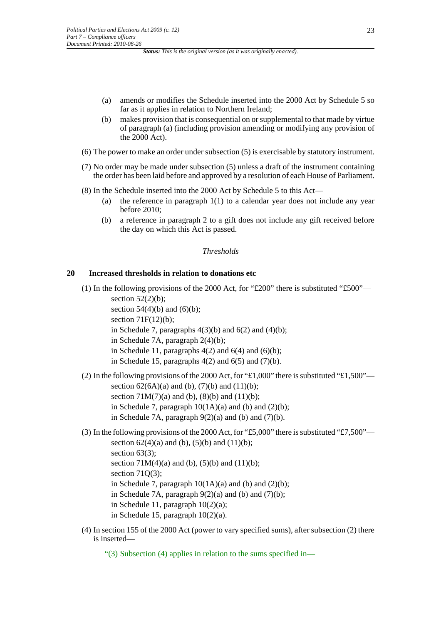- (a) amends or modifies the Schedule inserted into the 2000 Act by Schedule 5 so far as it applies in relation to Northern Ireland;
- (b) makes provision that is consequential on or supplemental to that made by virtue of paragraph (a) (including provision amending or modifying any provision of the 2000 Act).
- (6) The power to make an order under subsection (5) is exercisable by statutory instrument.
- (7) No order may be made under subsection (5) unless a draft of the instrument containing the order has been laid before and approved by a resolution of each House of Parliament.
- (8) In the Schedule inserted into the 2000 Act by Schedule 5 to this Act—
	- (a) the reference in paragraph 1(1) to a calendar year does not include any year before 2010;
	- (b) a reference in paragraph 2 to a gift does not include any gift received before the day on which this Act is passed.

#### *Thresholds*

# **20 Increased thresholds in relation to donations etc**

- (1) In the following provisions of the 2000 Act, for "£200" there is substituted "£500" section  $52(2)(b)$ ;
	- section  $54(4)(b)$  and  $(6)(b)$ ; section 71F(12)(b); in Schedule 7, paragraphs  $4(3)(b)$  and  $6(2)$  and  $(4)(b)$ ; in Schedule 7A, paragraph 2(4)(b); in Schedule 11, paragraphs  $4(2)$  and  $6(4)$  and  $(6)(b)$ ; in Schedule 15, paragraphs  $4(2)$  and  $6(5)$  and  $(7)(b)$ .
- (2) In the following provisions of the 2000 Act, for "£1,000" there is substituted "£1,500" section  $62(6A)(a)$  and (b),  $(7)(b)$  and  $(11)(b)$ ; section  $71M(7)(a)$  and (b), (8)(b) and (11)(b); in Schedule 7, paragraph  $10(1A)(a)$  and (b) and (2)(b); in Schedule 7A, paragraph  $9(2)(a)$  and (b) and (7)(b).
- (3) In the following provisions of the 2000 Act, for "£5,000" there is substituted "£7,500" section  $62(4)(a)$  and (b),  $(5)(b)$  and  $(11)(b)$ ; section 63(3): section  $71M(4)(a)$  and (b), (5)(b) and (11)(b); section 71O(3); in Schedule 7, paragraph  $10(1A)(a)$  and (b) and (2)(b); in Schedule 7A, paragraph  $9(2)(a)$  and (b) and (7)(b);
	- in Schedule 11, paragraph 10(2)(a);
	- in Schedule 15, paragraph 10(2)(a).
- (4) In section 155 of the 2000 Act (power to vary specified sums), after subsection (2) there is inserted—

"(3) Subsection (4) applies in relation to the sums specified in—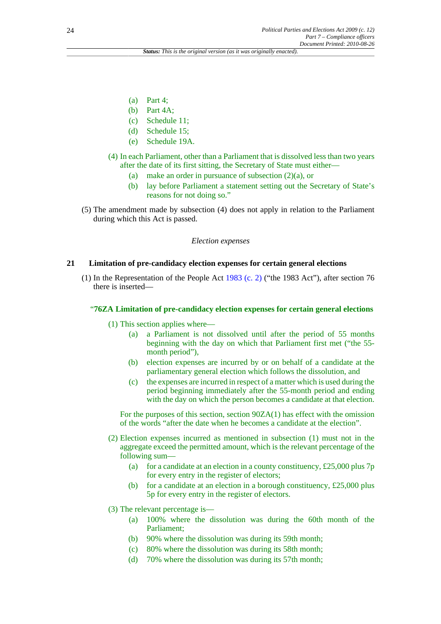- (a) Part 4;
- (b) Part 4A;
- (c) Schedule 11;
- (d) Schedule 15;
- (e) Schedule 19A.
- (4) In each Parliament, other than a Parliament that is dissolved less than two years after the date of its first sitting, the Secretary of State must either—
	- (a) make an order in pursuance of subsection (2)(a), or
	- (b) lay before Parliament a statement setting out the Secretary of State's reasons for not doing so."
- (5) The amendment made by subsection (4) does not apply in relation to the Parliament during which this Act is passed.

#### *Election expenses*

# **21 Limitation of pre-candidacy election expenses for certain general elections**

(1) In the Representation of the People Act [1983 \(c. 2\)](http://www.legislation.gov.uk/id/ukpga/1983/2) ("the 1983 Act"), after section 76 there is inserted—

#### "**76ZA Limitation of pre-candidacy election expenses for certain general elections**

- (1) This section applies where—
	- (a) a Parliament is not dissolved until after the period of 55 months beginning with the day on which that Parliament first met ("the 55 month period"),
	- (b) election expenses are incurred by or on behalf of a candidate at the parliamentary general election which follows the dissolution, and
	- (c) the expenses are incurred in respect of a matter which is used during the period beginning immediately after the 55-month period and ending with the day on which the person becomes a candidate at that election.

For the purposes of this section, section 90ZA(1) has effect with the omission of the words "after the date when he becomes a candidate at the election".

- (2) Election expenses incurred as mentioned in subsection (1) must not in the aggregate exceed the permitted amount, which is the relevant percentage of the following sum—
	- (a) for a candidate at an election in a county constituency,  $\pounds 25,000$  plus 7p for every entry in the register of electors;
	- (b) for a candidate at an election in a borough constituency,  $£25,000$  plus 5p for every entry in the register of electors.
- (3) The relevant percentage is—
	- (a) 100% where the dissolution was during the 60th month of the Parliament;
	- (b) 90% where the dissolution was during its 59th month;
	- (c) 80% where the dissolution was during its 58th month;
	- (d) 70% where the dissolution was during its 57th month;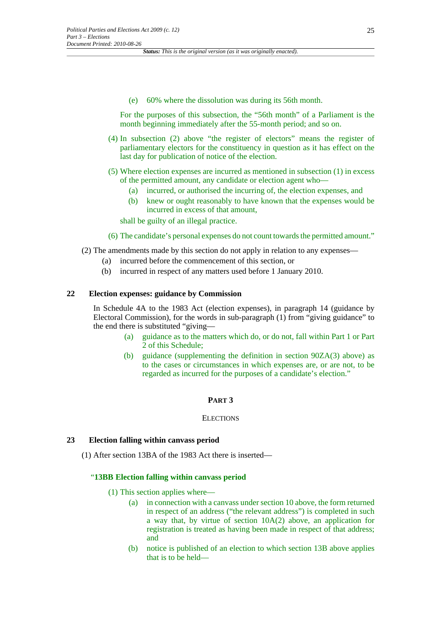(e) 60% where the dissolution was during its 56th month.

For the purposes of this subsection, the "56th month" of a Parliament is the month beginning immediately after the 55-month period; and so on.

- (4) In subsection (2) above "the register of electors" means the register of parliamentary electors for the constituency in question as it has effect on the last day for publication of notice of the election.
- (5) Where election expenses are incurred as mentioned in subsection (1) in excess of the permitted amount, any candidate or election agent who—
	- (a) incurred, or authorised the incurring of, the election expenses, and
	- (b) knew or ought reasonably to have known that the expenses would be incurred in excess of that amount,

shall be guilty of an illegal practice.

(6) The candidate's personal expenses do not count towards the permitted amount."

(2) The amendments made by this section do not apply in relation to any expenses—

- (a) incurred before the commencement of this section, or
- (b) incurred in respect of any matters used before 1 January 2010.

## **22 Election expenses: guidance by Commission**

In Schedule 4A to the 1983 Act (election expenses), in paragraph 14 (guidance by Electoral Commission), for the words in sub-paragraph (1) from "giving guidance" to the end there is substituted "giving—

- (a) guidance as to the matters which do, or do not, fall within Part 1 or Part 2 of this Schedule;
- (b) guidance (supplementing the definition in section 90ZA(3) above) as to the cases or circumstances in which expenses are, or are not, to be regarded as incurred for the purposes of a candidate's election."

## **PART 3**

#### **ELECTIONS**

#### **23 Election falling within canvass period**

(1) After section 13BA of the 1983 Act there is inserted—

## "**13BB Election falling within canvass period**

- (1) This section applies where—
	- (a) in connection with a canvass under section 10 above, the form returned in respect of an address ("the relevant address") is completed in such a way that, by virtue of section 10A(2) above, an application for registration is treated as having been made in respect of that address; and
	- (b) notice is published of an election to which section 13B above applies that is to be held—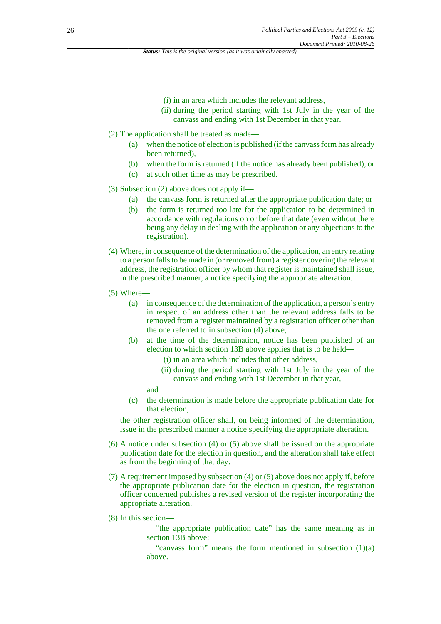- (i) in an area which includes the relevant address,
- (ii) during the period starting with 1st July in the year of the canvass and ending with 1st December in that year.
- (2) The application shall be treated as made—
	- (a) when the notice of election is published (if the canvass form has already been returned),
	- (b) when the form is returned (if the notice has already been published), or
	- (c) at such other time as may be prescribed.
- (3) Subsection (2) above does not apply if—
	- (a) the canvass form is returned after the appropriate publication date; or
	- (b) the form is returned too late for the application to be determined in accordance with regulations on or before that date (even without there being any delay in dealing with the application or any objections to the registration).
- (4) Where, in consequence of the determination of the application, an entry relating to a person falls to be made in (or removed from) a register covering the relevant address, the registration officer by whom that register is maintained shall issue, in the prescribed manner, a notice specifying the appropriate alteration.
- (5) Where—
	- (a) in consequence of the determination of the application, a person's entry in respect of an address other than the relevant address falls to be removed from a register maintained by a registration officer other than the one referred to in subsection (4) above,
	- (b) at the time of the determination, notice has been published of an election to which section 13B above applies that is to be held—
		- (i) in an area which includes that other address,
		- (ii) during the period starting with 1st July in the year of the canvass and ending with 1st December in that year,
		- and
	- (c) the determination is made before the appropriate publication date for that election,

the other registration officer shall, on being informed of the determination, issue in the prescribed manner a notice specifying the appropriate alteration.

- (6) A notice under subsection (4) or (5) above shall be issued on the appropriate publication date for the election in question, and the alteration shall take effect as from the beginning of that day.
- (7) A requirement imposed by subsection (4) or (5) above does not apply if, before the appropriate publication date for the election in question, the registration officer concerned publishes a revised version of the register incorporating the appropriate alteration.
- (8) In this section—
	- "the appropriate publication date" has the same meaning as in section 13B above;

"canvass form" means the form mentioned in subsection (1)(a) above.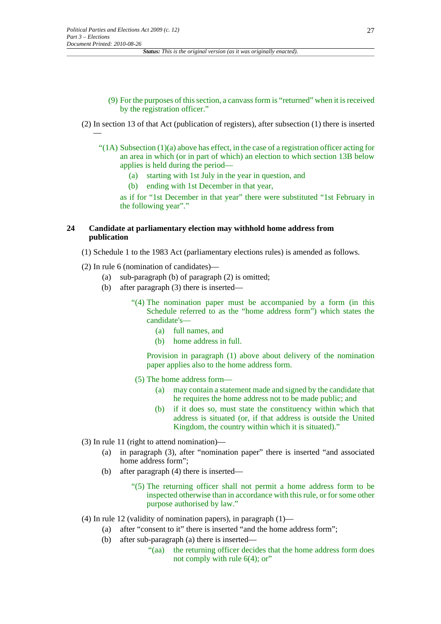—

*Status: This is the original version (as it was originally enacted).*

- (9) For the purposes of this section, a canvass form is "returned" when it is received by the registration officer."
- (2) In section 13 of that Act (publication of registers), after subsection (1) there is inserted
	- $(1)$  Subsection (1)(a) above has effect, in the case of a registration officer acting for an area in which (or in part of which) an election to which section 13B below applies is held during the period—
		- (a) starting with 1st July in the year in question, and
		- (b) ending with 1st December in that year,

as if for "1st December in that year" there were substituted "1st February in the following year"."

# **24 Candidate at parliamentary election may withhold home address from publication**

(1) Schedule 1 to the 1983 Act (parliamentary elections rules) is amended as follows.

- (2) In rule 6 (nomination of candidates)—
	- (a) sub-paragraph (b) of paragraph (2) is omitted;
	- (b) after paragraph (3) there is inserted—
		- "(4) The nomination paper must be accompanied by a form (in this Schedule referred to as the "home address form") which states the candidate's—
			- (a) full names, and
			- (b) home address in full.

Provision in paragraph (1) above about delivery of the nomination paper applies also to the home address form.

- (5) The home address form—
	- (a) may contain a statement made and signed by the candidate that he requires the home address not to be made public; and
	- (b) if it does so, must state the constituency within which that address is situated (or, if that address is outside the United Kingdom, the country within which it is situated)."
- (3) In rule 11 (right to attend nomination)—
	- (a) in paragraph (3), after "nomination paper" there is inserted "and associated home address form";
	- (b) after paragraph (4) there is inserted—
		- "(5) The returning officer shall not permit a home address form to be inspected otherwise than in accordance with this rule, or for some other purpose authorised by law."
- (4) In rule 12 (validity of nomination papers), in paragraph (1)—
	- (a) after "consent to it" there is inserted "and the home address form";
		- (b) after sub-paragraph (a) there is inserted—
			- "(aa) the returning officer decides that the home address form does not comply with rule  $6(4)$ ; or"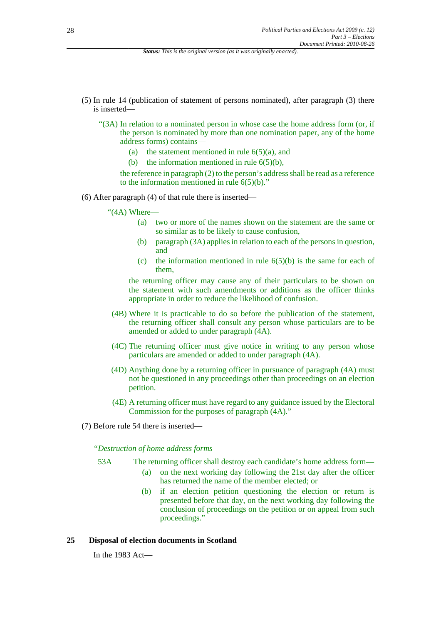- (5) In rule 14 (publication of statement of persons nominated), after paragraph (3) there is inserted—
	- "(3A) In relation to a nominated person in whose case the home address form (or, if the person is nominated by more than one nomination paper, any of the home address forms) contains—
		- (a) the statement mentioned in rule  $6(5)(a)$ , and
		- (b) the information mentioned in rule  $6(5)(b)$ ,

the reference in paragraph (2) to the person's address shall be read as a reference to the information mentioned in rule  $6(5)(b)$ ."

(6) After paragraph (4) of that rule there is inserted—

"(4A) Where—

- (a) two or more of the names shown on the statement are the same or so similar as to be likely to cause confusion,
- (b) paragraph (3A) applies in relation to each of the persons in question, and
- (c) the information mentioned in rule  $6(5)(b)$  is the same for each of them,

the returning officer may cause any of their particulars to be shown on the statement with such amendments or additions as the officer thinks appropriate in order to reduce the likelihood of confusion.

- (4B) Where it is practicable to do so before the publication of the statement, the returning officer shall consult any person whose particulars are to be amended or added to under paragraph (4A).
- (4C) The returning officer must give notice in writing to any person whose particulars are amended or added to under paragraph (4A).
- (4D) Anything done by a returning officer in pursuance of paragraph (4A) must not be questioned in any proceedings other than proceedings on an election petition.
- (4E) A returning officer must have regard to any guidance issued by the Electoral Commission for the purposes of paragraph (4A)."

(7) Before rule 54 there is inserted—

*"Destruction of home address forms*

53A The returning officer shall destroy each candidate's home address form—

- (a) on the next working day following the 21st day after the officer has returned the name of the member elected; or
- (b) if an election petition questioning the election or return is presented before that day, on the next working day following the conclusion of proceedings on the petition or on appeal from such proceedings."

# **25 Disposal of election documents in Scotland**

In the 1983 Act—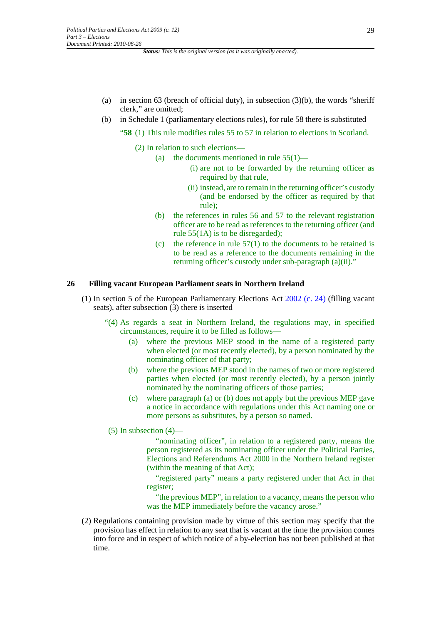- (a) in section 63 (breach of official duty), in subsection  $(3)(b)$ , the words "sheriff clerk," are omitted;
- (b) in Schedule 1 (parliamentary elections rules), for rule 58 there is substituted—
	- "**58** (1) This rule modifies rules 55 to 57 in relation to elections in Scotland.
		- (2) In relation to such elections—
			- (a) the documents mentioned in rule  $55(1)$ 
				- (i) are not to be forwarded by the returning officer as required by that rule,
				- (ii) instead, are to remain in the returning officer's custody (and be endorsed by the officer as required by that rule);
			- (b) the references in rules 56 and 57 to the relevant registration officer are to be read as references to the returning officer (and rule 55(1A) is to be disregarded);
			- (c) the reference in rule  $57(1)$  to the documents to be retained is to be read as a reference to the documents remaining in the returning officer's custody under sub-paragraph (a)(ii)."

#### **26 Filling vacant European Parliament seats in Northern Ireland**

- (1) In section 5 of the European Parliamentary Elections Act [2002 \(c. 24\)](http://www.legislation.gov.uk/id/ukpga/2002/24) (filling vacant seats), after subsection (3) there is inserted—
	- "(4) As regards a seat in Northern Ireland, the regulations may, in specified circumstances, require it to be filled as follows—
		- (a) where the previous MEP stood in the name of a registered party when elected (or most recently elected), by a person nominated by the nominating officer of that party;
		- (b) where the previous MEP stood in the names of two or more registered parties when elected (or most recently elected), by a person jointly nominated by the nominating officers of those parties;
		- (c) where paragraph (a) or (b) does not apply but the previous MEP gave a notice in accordance with regulations under this Act naming one or more persons as substitutes, by a person so named.
	- $(5)$  In subsection  $(4)$ —

"nominating officer", in relation to a registered party, means the person registered as its nominating officer under the Political Parties, Elections and Referendums Act 2000 in the Northern Ireland register (within the meaning of that Act);

"registered party" means a party registered under that Act in that register;

"the previous MEP", in relation to a vacancy, means the person who was the MEP immediately before the vacancy arose."

(2) Regulations containing provision made by virtue of this section may specify that the provision has effect in relation to any seat that is vacant at the time the provision comes into force and in respect of which notice of a by-election has not been published at that time.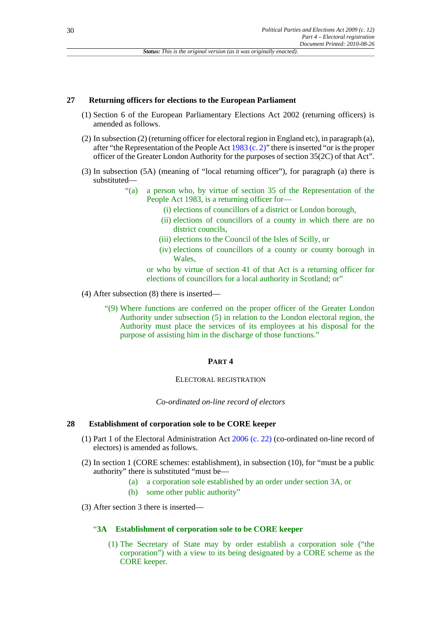### **27 Returning officers for elections to the European Parliament**

- (1) Section 6 of the European Parliamentary Elections Act 2002 (returning officers) is amended as follows.
- (2) In subsection (2) (returning officer for electoral region in England etc), in paragraph (a), after "the Representation of the People Act [1983 \(c. 2\)"](http://www.legislation.gov.uk/id/ukpga/1983/2) there is inserted "or is the proper officer of the Greater London Authority for the purposes of section 35(2C) of that Act".
- (3) In subsection (5A) (meaning of "local returning officer"), for paragraph (a) there is substituted—
	- "(a) a person who, by virtue of section 35 of the Representation of the People Act 1983, is a returning officer for—
		- (i) elections of councillors of a district or London borough,
		- (ii) elections of councillors of a county in which there are no district councils,
		- (iii) elections to the Council of the Isles of Scilly, or
		- (iv) elections of councillors of a county or county borough in Wales,

or who by virtue of section 41 of that Act is a returning officer for elections of councillors for a local authority in Scotland; or"

- (4) After subsection (8) there is inserted—
	- "(9) Where functions are conferred on the proper officer of the Greater London Authority under subsection (5) in relation to the London electoral region, the Authority must place the services of its employees at his disposal for the purpose of assisting him in the discharge of those functions."

#### **PART 4**

# ELECTORAL REGISTRATION

#### *Co-ordinated on-line record of electors*

#### **28 Establishment of corporation sole to be CORE keeper**

- (1) Part 1 of the Electoral Administration Act [2006 \(c. 22\)](http://www.legislation.gov.uk/id/ukpga/2006/22) (co-ordinated on-line record of electors) is amended as follows.
- (2) In section 1 (CORE schemes: establishment), in subsection (10), for "must be a public authority" there is substituted "must be—
	- (a) a corporation sole established by an order under section 3A, or
	- (b) some other public authority"
- (3) After section 3 there is inserted—

## "**3A Establishment of corporation sole to be CORE keeper**

(1) The Secretary of State may by order establish a corporation sole ("the corporation") with a view to its being designated by a CORE scheme as the CORE keeper.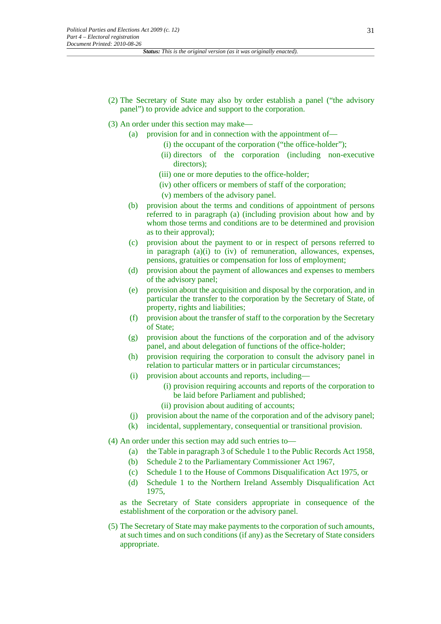- (2) The Secretary of State may also by order establish a panel ("the advisory panel") to provide advice and support to the corporation.
- (3) An order under this section may make—
	- (a) provision for and in connection with the appointment of—
		- (i) the occupant of the corporation ("the office-holder");
		- (ii) directors of the corporation (including non-executive directors);
		- (iii) one or more deputies to the office-holder;
		- (iv) other officers or members of staff of the corporation;
		- (v) members of the advisory panel.
	- (b) provision about the terms and conditions of appointment of persons referred to in paragraph (a) (including provision about how and by whom those terms and conditions are to be determined and provision as to their approval);
	- (c) provision about the payment to or in respect of persons referred to in paragraph (a)(i) to (iv) of remuneration, allowances, expenses, pensions, gratuities or compensation for loss of employment;
	- (d) provision about the payment of allowances and expenses to members of the advisory panel;
	- (e) provision about the acquisition and disposal by the corporation, and in particular the transfer to the corporation by the Secretary of State, of property, rights and liabilities;
	- (f) provision about the transfer of staff to the corporation by the Secretary of State;
	- (g) provision about the functions of the corporation and of the advisory panel, and about delegation of functions of the office-holder;
	- (h) provision requiring the corporation to consult the advisory panel in relation to particular matters or in particular circumstances;
	- (i) provision about accounts and reports, including—
		- (i) provision requiring accounts and reports of the corporation to be laid before Parliament and published;
		- (ii) provision about auditing of accounts;
	- (j) provision about the name of the corporation and of the advisory panel;
	- (k) incidental, supplementary, consequential or transitional provision.
- (4) An order under this section may add such entries to—
	- (a) the Table in paragraph 3 of Schedule 1 to the Public Records Act 1958,
	- (b) Schedule 2 to the Parliamentary Commissioner Act 1967,
	- (c) Schedule 1 to the House of Commons Disqualification Act 1975, or
	- (d) Schedule 1 to the Northern Ireland Assembly Disqualification Act 1975,

as the Secretary of State considers appropriate in consequence of the establishment of the corporation or the advisory panel.

(5) The Secretary of State may make payments to the corporation of such amounts, at such times and on such conditions (if any) as the Secretary of State considers appropriate.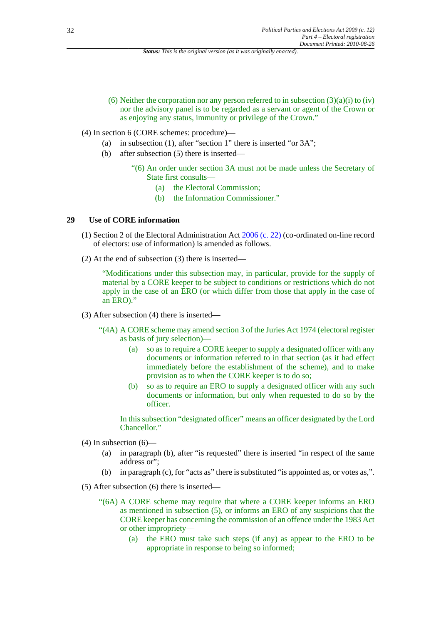- (6) Neither the corporation nor any person referred to in subsection  $(3)(a)(i)$  to  $(iv)$ nor the advisory panel is to be regarded as a servant or agent of the Crown or as enjoying any status, immunity or privilege of the Crown."
- (4) In section 6 (CORE schemes: procedure)—
	- (a) in subsection (1), after "section 1" there is inserted "or 3A";
	- (b) after subsection (5) there is inserted—
		- "(6) An order under section 3A must not be made unless the Secretary of State first consults—
			- (a) the Electoral Commission;
			- (b) the Information Commissioner."

#### **29 Use of CORE information**

- (1) Section 2 of the Electoral Administration Act [2006 \(c. 22\)](http://www.legislation.gov.uk/id/ukpga/2006/22) (co-ordinated on-line record of electors: use of information) is amended as follows.
- (2) At the end of subsection (3) there is inserted—

"Modifications under this subsection may, in particular, provide for the supply of material by a CORE keeper to be subject to conditions or restrictions which do not apply in the case of an ERO (or which differ from those that apply in the case of an ERO)."

- (3) After subsection (4) there is inserted—
	- "(4A) A CORE scheme may amend section 3 of the Juries Act 1974 (electoral register as basis of jury selection)—
		- (a) so as to require a CORE keeper to supply a designated officer with any documents or information referred to in that section (as it had effect immediately before the establishment of the scheme), and to make provision as to when the CORE keeper is to do so;
		- (b) so as to require an ERO to supply a designated officer with any such documents or information, but only when requested to do so by the officer.

In this subsection "designated officer" means an officer designated by the Lord Chancellor."

- $(4)$  In subsection  $(6)$ 
	- (a) in paragraph (b), after "is requested" there is inserted "in respect of the same address or";
	- (b) in paragraph (c), for "acts as" there is substituted "is appointed as, or votes as,".
- (5) After subsection (6) there is inserted—
	- "(6A) A CORE scheme may require that where a CORE keeper informs an ERO as mentioned in subsection (5), or informs an ERO of any suspicions that the CORE keeper has concerning the commission of an offence under the 1983 Act or other impropriety—
		- (a) the ERO must take such steps (if any) as appear to the ERO to be appropriate in response to being so informed;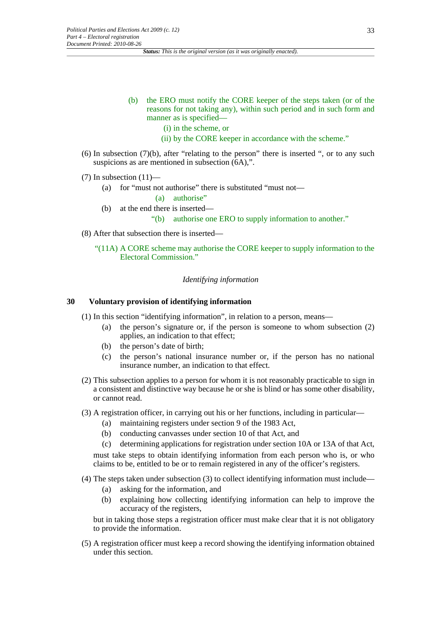- (b) the ERO must notify the CORE keeper of the steps taken (or of the reasons for not taking any), within such period and in such form and manner as is specified—
	- (i) in the scheme, or
	- (ii) by the CORE keeper in accordance with the scheme."
- (6) In subsection (7)(b), after "relating to the person" there is inserted ", or to any such suspicions as are mentioned in subsection (6A),".
- $(7)$  In subsection  $(11)$ 
	- (a) for "must not authorise" there is substituted "must not—

(a) authorise"

- (b) at the end there is inserted—
	- "(b) authorise one ERO to supply information to another."
- (8) After that subsection there is inserted—
	- "(11A) A CORE scheme may authorise the CORE keeper to supply information to the Electoral Commission."

#### *Identifying information*

## **30 Voluntary provision of identifying information**

- (1) In this section "identifying information", in relation to a person, means—
	- (a) the person's signature or, if the person is someone to whom subsection (2) applies, an indication to that effect;
	- (b) the person's date of birth;
	- (c) the person's national insurance number or, if the person has no national insurance number, an indication to that effect.
- (2) This subsection applies to a person for whom it is not reasonably practicable to sign in a consistent and distinctive way because he or she is blind or has some other disability, or cannot read.
- (3) A registration officer, in carrying out his or her functions, including in particular—
	- (a) maintaining registers under section 9 of the 1983 Act,
	- (b) conducting canvasses under section 10 of that Act, and
	- (c) determining applications for registration under section 10A or 13A of that Act,

must take steps to obtain identifying information from each person who is, or who claims to be, entitled to be or to remain registered in any of the officer's registers.

- (4) The steps taken under subsection (3) to collect identifying information must include—
	- (a) asking for the information, and
	- (b) explaining how collecting identifying information can help to improve the accuracy of the registers,

but in taking those steps a registration officer must make clear that it is not obligatory to provide the information.

(5) A registration officer must keep a record showing the identifying information obtained under this section.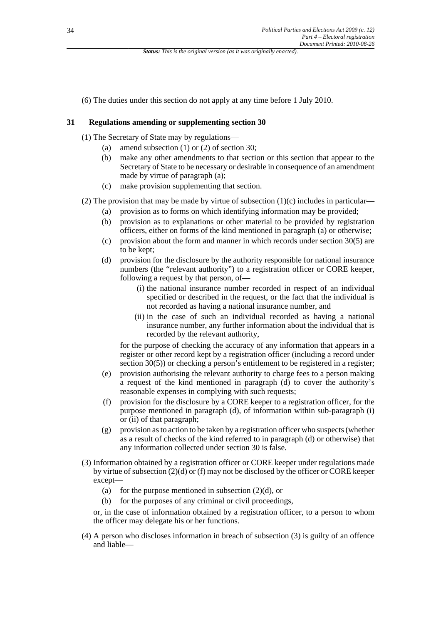(6) The duties under this section do not apply at any time before 1 July 2010.

# **31 Regulations amending or supplementing section 30**

- (1) The Secretary of State may by regulations—
	- (a) amend subsection (1) or (2) of section 30;
	- (b) make any other amendments to that section or this section that appear to the Secretary of State to be necessary or desirable in consequence of an amendment made by virtue of paragraph (a);
	- (c) make provision supplementing that section.
- (2) The provision that may be made by virtue of subsection  $(1)(c)$  includes in particular—
	- (a) provision as to forms on which identifying information may be provided;
	- (b) provision as to explanations or other material to be provided by registration officers, either on forms of the kind mentioned in paragraph (a) or otherwise;
	- (c) provision about the form and manner in which records under section 30(5) are to be kept;
	- (d) provision for the disclosure by the authority responsible for national insurance numbers (the "relevant authority") to a registration officer or CORE keeper, following a request by that person, of—
		- (i) the national insurance number recorded in respect of an individual specified or described in the request, or the fact that the individual is not recorded as having a national insurance number, and
		- (ii) in the case of such an individual recorded as having a national insurance number, any further information about the individual that is recorded by the relevant authority,

for the purpose of checking the accuracy of any information that appears in a register or other record kept by a registration officer (including a record under section 30(5)) or checking a person's entitlement to be registered in a register;

- (e) provision authorising the relevant authority to charge fees to a person making a request of the kind mentioned in paragraph (d) to cover the authority's reasonable expenses in complying with such requests;
- (f) provision for the disclosure by a CORE keeper to a registration officer, for the purpose mentioned in paragraph (d), of information within sub-paragraph (i) or (ii) of that paragraph;
- (g) provision as to action to be taken by a registration officer who suspects (whether as a result of checks of the kind referred to in paragraph (d) or otherwise) that any information collected under section 30 is false.
- (3) Information obtained by a registration officer or CORE keeper under regulations made by virtue of subsection (2)(d) or (f) may not be disclosed by the officer or CORE keeper except—
	- (a) for the purpose mentioned in subsection  $(2)(d)$ , or
	- (b) for the purposes of any criminal or civil proceedings,

or, in the case of information obtained by a registration officer, to a person to whom the officer may delegate his or her functions.

(4) A person who discloses information in breach of subsection (3) is guilty of an offence and liable—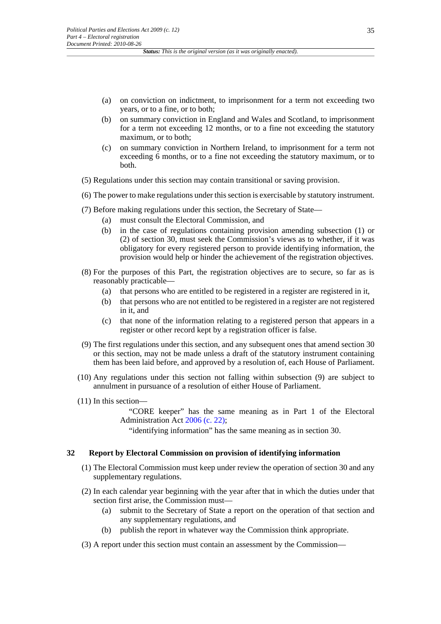- (a) on conviction on indictment, to imprisonment for a term not exceeding two years, or to a fine, or to both;
- (b) on summary conviction in England and Wales and Scotland, to imprisonment for a term not exceeding 12 months, or to a fine not exceeding the statutory maximum, or to both;
- (c) on summary conviction in Northern Ireland, to imprisonment for a term not exceeding 6 months, or to a fine not exceeding the statutory maximum, or to both.
- (5) Regulations under this section may contain transitional or saving provision.
- (6) The power to make regulations under this section is exercisable by statutory instrument.
- (7) Before making regulations under this section, the Secretary of State—
	- (a) must consult the Electoral Commission, and
	- (b) in the case of regulations containing provision amending subsection (1) or (2) of section 30, must seek the Commission's views as to whether, if it was obligatory for every registered person to provide identifying information, the provision would help or hinder the achievement of the registration objectives.
- (8) For the purposes of this Part, the registration objectives are to secure, so far as is reasonably practicable—
	- (a) that persons who are entitled to be registered in a register are registered in it,
	- (b) that persons who are not entitled to be registered in a register are not registered in it, and
	- (c) that none of the information relating to a registered person that appears in a register or other record kept by a registration officer is false.
- (9) The first regulations under this section, and any subsequent ones that amend section 30 or this section, may not be made unless a draft of the statutory instrument containing them has been laid before, and approved by a resolution of, each House of Parliament.
- (10) Any regulations under this section not falling within subsection (9) are subject to annulment in pursuance of a resolution of either House of Parliament.
- (11) In this section—

"CORE keeper" has the same meaning as in Part 1 of the Electoral Administration Act [2006 \(c. 22\)](http://www.legislation.gov.uk/id/ukpga/2006/22);

"identifying information" has the same meaning as in section 30.

# **32 Report by Electoral Commission on provision of identifying information**

- (1) The Electoral Commission must keep under review the operation of section 30 and any supplementary regulations.
- (2) In each calendar year beginning with the year after that in which the duties under that section first arise, the Commission must—
	- (a) submit to the Secretary of State a report on the operation of that section and any supplementary regulations, and
	- (b) publish the report in whatever way the Commission think appropriate.
- (3) A report under this section must contain an assessment by the Commission—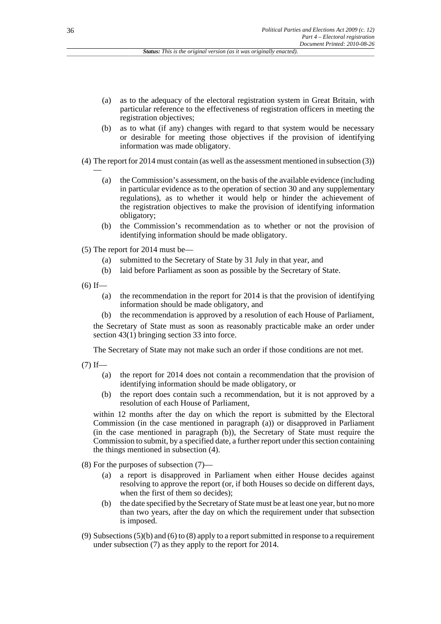- (a) as to the adequacy of the electoral registration system in Great Britain, with particular reference to the effectiveness of registration officers in meeting the registration objectives;
- (b) as to what (if any) changes with regard to that system would be necessary or desirable for meeting those objectives if the provision of identifying information was made obligatory.
- (4) The report for 2014 must contain (as well as the assessment mentioned in subsection (3))
	- (a) the Commission's assessment, on the basis of the available evidence (including in particular evidence as to the operation of section 30 and any supplementary regulations), as to whether it would help or hinder the achievement of the registration objectives to make the provision of identifying information obligatory;
	- (b) the Commission's recommendation as to whether or not the provision of identifying information should be made obligatory.
- (5) The report for 2014 must be—
	- (a) submitted to the Secretary of State by 31 July in that year, and
	- (b) laid before Parliament as soon as possible by the Secretary of State.
- $(6)$  If—

 $\overline{\phantom{a}}$ 

- (a) the recommendation in the report for 2014 is that the provision of identifying information should be made obligatory, and
- (b) the recommendation is approved by a resolution of each House of Parliament,

the Secretary of State must as soon as reasonably practicable make an order under section 43(1) bringing section 33 into force.

The Secretary of State may not make such an order if those conditions are not met.

 $(7)$  If—

- (a) the report for 2014 does not contain a recommendation that the provision of identifying information should be made obligatory, or
- (b) the report does contain such a recommendation, but it is not approved by a resolution of each House of Parliament,

within 12 months after the day on which the report is submitted by the Electoral Commission (in the case mentioned in paragraph (a)) or disapproved in Parliament (in the case mentioned in paragraph (b)), the Secretary of State must require the Commission to submit, by a specified date, a further report under this section containing the things mentioned in subsection (4).

- (8) For the purposes of subsection (7)—
	- (a) a report is disapproved in Parliament when either House decides against resolving to approve the report (or, if both Houses so decide on different days, when the first of them so decides);
	- (b) the date specified by the Secretary of State must be at least one year, but no more than two years, after the day on which the requirement under that subsection is imposed.
- (9) Subsections  $(5)(b)$  and  $(6)$  to  $(8)$  apply to a report submitted in response to a requirement under subsection (7) as they apply to the report for 2014.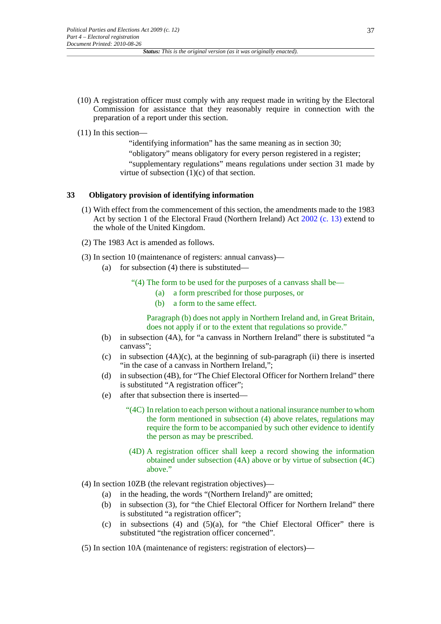(10) A registration officer must comply with any request made in writing by the Electoral Commission for assistance that they reasonably require in connection with the preparation of a report under this section.

# (11) In this section—

"identifying information" has the same meaning as in section 30;

"obligatory" means obligatory for every person registered in a register;

"supplementary regulations" means regulations under section 31 made by virtue of subsection  $(1)(c)$  of that section.

### **33 Obligatory provision of identifying information**

- (1) With effect from the commencement of this section, the amendments made to the 1983 Act by section 1 of the Electoral Fraud (Northern Ireland) Act [2002 \(c. 13\)](http://www.legislation.gov.uk/id/ukpga/2002/13) extend to the whole of the United Kingdom.
- (2) The 1983 Act is amended as follows.
- (3) In section 10 (maintenance of registers: annual canvass)—
	- (a) for subsection (4) there is substituted—
		- "(4) The form to be used for the purposes of a canvass shall be—
			- (a) a form prescribed for those purposes, or
			- (b) a form to the same effect.

Paragraph (b) does not apply in Northern Ireland and, in Great Britain, does not apply if or to the extent that regulations so provide."

- (b) in subsection (4A), for "a canvass in Northern Ireland" there is substituted "a canvass";
- (c) in subsection (4A)(c), at the beginning of sub-paragraph (ii) there is inserted "in the case of a canvass in Northern Ireland,";
- (d) in subsection (4B), for "The Chief Electoral Officer for Northern Ireland" there is substituted "A registration officer";
- (e) after that subsection there is inserted—
	- "(4C) In relation to each person without a national insurance number to whom the form mentioned in subsection (4) above relates, regulations may require the form to be accompanied by such other evidence to identify the person as may be prescribed.
	- (4D) A registration officer shall keep a record showing the information obtained under subsection (4A) above or by virtue of subsection (4C) above."
- (4) In section 10ZB (the relevant registration objectives)—
	- (a) in the heading, the words "(Northern Ireland)" are omitted;
	- (b) in subsection (3), for "the Chief Electoral Officer for Northern Ireland" there is substituted "a registration officer";
	- (c) in subsections (4) and  $(5)(a)$ , for "the Chief Electoral Officer" there is substituted "the registration officer concerned".
- (5) In section 10A (maintenance of registers: registration of electors)—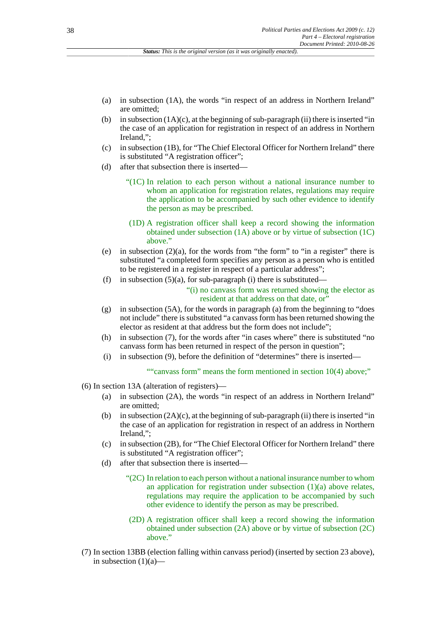- (a) in subsection (1A), the words "in respect of an address in Northern Ireland" are omitted;
- (b) in subsection  $(1A)(c)$ , at the beginning of sub-paragraph (ii) there is inserted "in the case of an application for registration in respect of an address in Northern Ireland,";
- (c) in subsection (1B), for "The Chief Electoral Officer for Northern Ireland" there is substituted "A registration officer";
- (d) after that subsection there is inserted—
	- "(1C) In relation to each person without a national insurance number to whom an application for registration relates, regulations may require the application to be accompanied by such other evidence to identify the person as may be prescribed.
	- (1D) A registration officer shall keep a record showing the information obtained under subsection (1A) above or by virtue of subsection (1C) above."
- (e) in subsection  $(2)(a)$ , for the words from "the form" to "in a register" there is substituted "a completed form specifies any person as a person who is entitled to be registered in a register in respect of a particular address";
- (f) in subsection  $(5)(a)$ , for sub-paragraph (i) there is substituted—
	- "(i) no canvass form was returned showing the elector as resident at that address on that date, or"
- $(g)$  in subsection (5A), for the words in paragraph (a) from the beginning to "does" not include" there is substituted "a canvass form has been returned showing the elector as resident at that address but the form does not include";
- (h) in subsection (7), for the words after "in cases where" there is substituted "no canvass form has been returned in respect of the person in question";
- (i) in subsection (9), before the definition of "determines" there is inserted—

""canvass form" means the form mentioned in section 10(4) above;"

- (6) In section 13A (alteration of registers)—
	- (a) in subsection (2A), the words "in respect of an address in Northern Ireland" are omitted;
	- (b) in subsection  $(2A)(c)$ , at the beginning of sub-paragraph (ii) there is inserted "in the case of an application for registration in respect of an address in Northern Ireland,";
	- (c) in subsection (2B), for "The Chief Electoral Officer for Northern Ireland" there is substituted "A registration officer";
	- (d) after that subsection there is inserted—
		- "(2C) In relation to each person without a national insurance number to whom an application for registration under subsection  $(1)(a)$  above relates, regulations may require the application to be accompanied by such other evidence to identify the person as may be prescribed.
		- (2D) A registration officer shall keep a record showing the information obtained under subsection (2A) above or by virtue of subsection (2C) above."
- (7) In section 13BB (election falling within canvass period) (inserted by section 23 above), in subsection  $(1)(a)$ —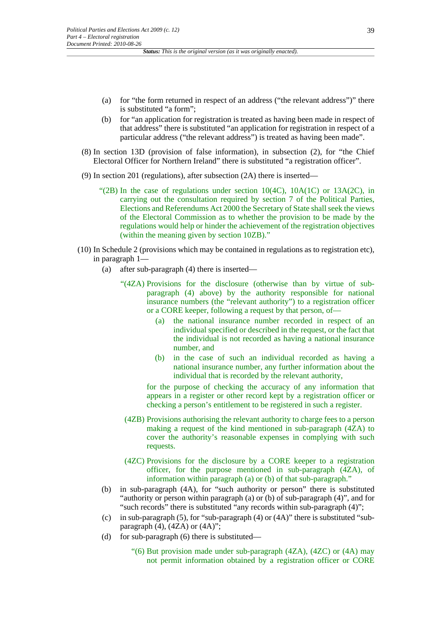- (a) for "the form returned in respect of an address ("the relevant address")" there is substituted "a form";
- (b) for "an application for registration is treated as having been made in respect of that address" there is substituted "an application for registration in respect of a particular address ("the relevant address") is treated as having been made".
- (8) In section 13D (provision of false information), in subsection (2), for "the Chief Electoral Officer for Northern Ireland" there is substituted "a registration officer".
- (9) In section 201 (regulations), after subsection (2A) there is inserted—
	- "(2B) In the case of regulations under section  $10(4C)$ ,  $10A(1C)$  or  $13A(2C)$ , in carrying out the consultation required by section 7 of the Political Parties, Elections and Referendums Act 2000 the Secretary of State shall seek the views of the Electoral Commission as to whether the provision to be made by the regulations would help or hinder the achievement of the registration objectives (within the meaning given by section 10ZB)."
- (10) In Schedule 2 (provisions which may be contained in regulations as to registration etc), in paragraph 1—
	- (a) after sub-paragraph (4) there is inserted—
		- "(4ZA) Provisions for the disclosure (otherwise than by virtue of subparagraph (4) above) by the authority responsible for national insurance numbers (the "relevant authority") to a registration officer or a CORE keeper, following a request by that person, of—
			- (a) the national insurance number recorded in respect of an individual specified or described in the request, or the fact that the individual is not recorded as having a national insurance number, and
			- (b) in the case of such an individual recorded as having a national insurance number, any further information about the individual that is recorded by the relevant authority,

for the purpose of checking the accuracy of any information that appears in a register or other record kept by a registration officer or checking a person's entitlement to be registered in such a register.

- (4ZB) Provisions authorising the relevant authority to charge fees to a person making a request of the kind mentioned in sub-paragraph (4ZA) to cover the authority's reasonable expenses in complying with such requests.
- (4ZC) Provisions for the disclosure by a CORE keeper to a registration officer, for the purpose mentioned in sub-paragraph (4ZA), of information within paragraph (a) or (b) of that sub-paragraph."
- (b) in sub-paragraph (4A), for "such authority or person" there is substituted "authority or person within paragraph (a) or (b) of sub-paragraph (4)", and for "such records" there is substituted "any records within sub-paragraph (4)";
- (c) in sub-paragraph  $(5)$ , for "sub-paragraph  $(4)$  or  $(4)$ " there is substituted "subparagraph (4), (4ZA) or (4A)";
- (d) for sub-paragraph (6) there is substituted—
	- "(6) But provision made under sub-paragraph (4ZA), (4ZC) or (4A) may not permit information obtained by a registration officer or CORE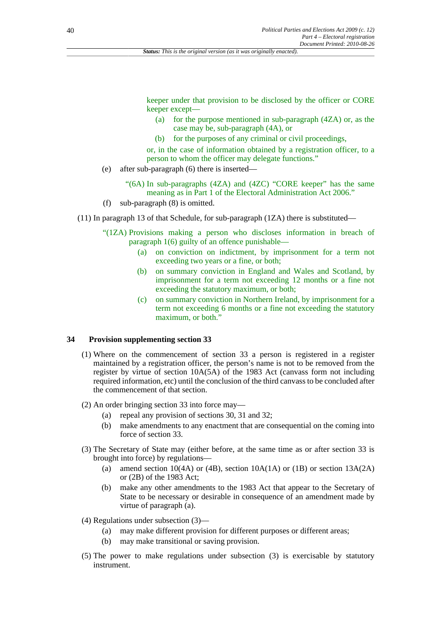keeper under that provision to be disclosed by the officer or CORE keeper except—

- (a) for the purpose mentioned in sub-paragraph (4ZA) or, as the case may be, sub-paragraph (4A), or
- (b) for the purposes of any criminal or civil proceedings,

or, in the case of information obtained by a registration officer, to a person to whom the officer may delegate functions."

(e) after sub-paragraph (6) there is inserted—

"(6A) In sub-paragraphs (4ZA) and (4ZC) "CORE keeper" has the same meaning as in Part 1 of the Electoral Administration Act 2006."

- (f) sub-paragraph (8) is omitted.
- (11) In paragraph 13 of that Schedule, for sub-paragraph (1ZA) there is substituted—

"(1ZA) Provisions making a person who discloses information in breach of paragraph 1(6) guilty of an offence punishable—

- (a) on conviction on indictment, by imprisonment for a term not exceeding two years or a fine, or both;
- (b) on summary conviction in England and Wales and Scotland, by imprisonment for a term not exceeding 12 months or a fine not exceeding the statutory maximum, or both;
- (c) on summary conviction in Northern Ireland, by imprisonment for a term not exceeding 6 months or a fine not exceeding the statutory maximum, or both."

### **34 Provision supplementing section 33**

- (1) Where on the commencement of section 33 a person is registered in a register maintained by a registration officer, the person's name is not to be removed from the register by virtue of section 10A(5A) of the 1983 Act (canvass form not including required information, etc) until the conclusion of the third canvass to be concluded after the commencement of that section.
- (2) An order bringing section 33 into force may—
	- (a) repeal any provision of sections 30, 31 and 32;
	- (b) make amendments to any enactment that are consequential on the coming into force of section 33.
- (3) The Secretary of State may (either before, at the same time as or after section 33 is brought into force) by regulations—
	- (a) amend section 10(4A) or (4B), section 10A(1A) or (1B) or section 13A(2A) or (2B) of the 1983 Act;
	- (b) make any other amendments to the 1983 Act that appear to the Secretary of State to be necessary or desirable in consequence of an amendment made by virtue of paragraph (a).
- (4) Regulations under subsection (3)—
	- (a) may make different provision for different purposes or different areas;
	- (b) may make transitional or saving provision.
- (5) The power to make regulations under subsection (3) is exercisable by statutory instrument.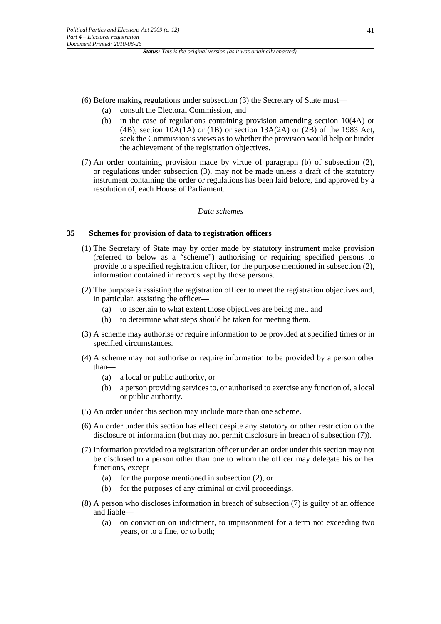- (6) Before making regulations under subsection (3) the Secretary of State must—
	- (a) consult the Electoral Commission, and
	- (b) in the case of regulations containing provision amending section 10(4A) or (4B), section  $10A(1A)$  or (1B) or section  $13A(2A)$  or (2B) of the 1983 Act, seek the Commission's views as to whether the provision would help or hinder the achievement of the registration objectives.
- (7) An order containing provision made by virtue of paragraph (b) of subsection (2), or regulations under subsection (3), may not be made unless a draft of the statutory instrument containing the order or regulations has been laid before, and approved by a resolution of, each House of Parliament.

### *Data schemes*

# **35 Schemes for provision of data to registration officers**

- (1) The Secretary of State may by order made by statutory instrument make provision (referred to below as a "scheme") authorising or requiring specified persons to provide to a specified registration officer, for the purpose mentioned in subsection (2), information contained in records kept by those persons.
- (2) The purpose is assisting the registration officer to meet the registration objectives and, in particular, assisting the officer—
	- (a) to ascertain to what extent those objectives are being met, and
	- (b) to determine what steps should be taken for meeting them.
- (3) A scheme may authorise or require information to be provided at specified times or in specified circumstances.
- (4) A scheme may not authorise or require information to be provided by a person other than—
	- (a) a local or public authority, or
	- (b) a person providing services to, or authorised to exercise any function of, a local or public authority.
- (5) An order under this section may include more than one scheme.
- (6) An order under this section has effect despite any statutory or other restriction on the disclosure of information (but may not permit disclosure in breach of subsection (7)).
- (7) Information provided to a registration officer under an order under this section may not be disclosed to a person other than one to whom the officer may delegate his or her functions, except—
	- (a) for the purpose mentioned in subsection (2), or
	- (b) for the purposes of any criminal or civil proceedings.
- (8) A person who discloses information in breach of subsection (7) is guilty of an offence and liable—
	- (a) on conviction on indictment, to imprisonment for a term not exceeding two years, or to a fine, or to both;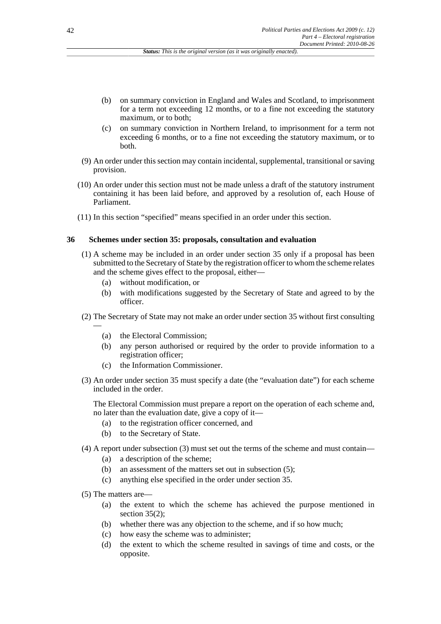- (b) on summary conviction in England and Wales and Scotland, to imprisonment for a term not exceeding 12 months, or to a fine not exceeding the statutory maximum, or to both;
- (c) on summary conviction in Northern Ireland, to imprisonment for a term not exceeding 6 months, or to a fine not exceeding the statutory maximum, or to both.
- (9) An order under this section may contain incidental, supplemental, transitional or saving provision.
- (10) An order under this section must not be made unless a draft of the statutory instrument containing it has been laid before, and approved by a resolution of, each House of Parliament.
- (11) In this section "specified" means specified in an order under this section.

# **36 Schemes under section 35: proposals, consultation and evaluation**

- (1) A scheme may be included in an order under section 35 only if a proposal has been submitted to the Secretary of State by the registration officer to whom the scheme relates and the scheme gives effect to the proposal, either—
	- (a) without modification, or
	- (b) with modifications suggested by the Secretary of State and agreed to by the officer.
- (2) The Secretary of State may not make an order under section 35 without first consulting  $\overline{\phantom{a}}$ 
	- (a) the Electoral Commission;
	- (b) any person authorised or required by the order to provide information to a registration officer;
	- (c) the Information Commissioner.
- (3) An order under section 35 must specify a date (the "evaluation date") for each scheme included in the order.

The Electoral Commission must prepare a report on the operation of each scheme and, no later than the evaluation date, give a copy of it—

- (a) to the registration officer concerned, and
- (b) to the Secretary of State.
- (4) A report under subsection (3) must set out the terms of the scheme and must contain—
	- (a) a description of the scheme;
	- (b) an assessment of the matters set out in subsection (5);
	- (c) anything else specified in the order under section 35.
- (5) The matters are—
	- (a) the extent to which the scheme has achieved the purpose mentioned in section  $35(2)$ ;
	- (b) whether there was any objection to the scheme, and if so how much;
	- (c) how easy the scheme was to administer;
	- (d) the extent to which the scheme resulted in savings of time and costs, or the opposite.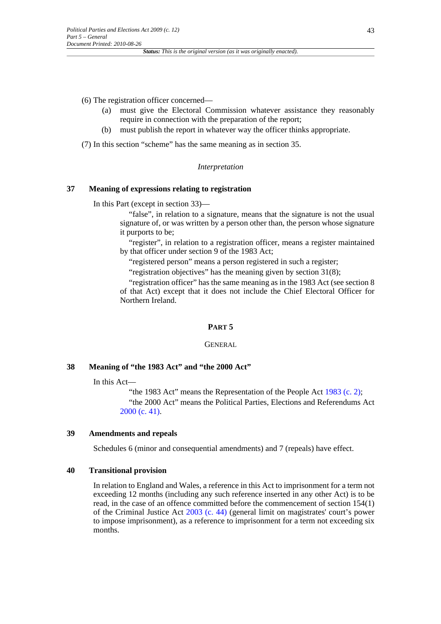(6) The registration officer concerned—

- (a) must give the Electoral Commission whatever assistance they reasonably require in connection with the preparation of the report;
- (b) must publish the report in whatever way the officer thinks appropriate.

(7) In this section "scheme" has the same meaning as in section 35.

# *Interpretation*

# **37 Meaning of expressions relating to registration**

In this Part (except in section 33)—

"false", in relation to a signature, means that the signature is not the usual signature of, or was written by a person other than, the person whose signature it purports to be;

"register", in relation to a registration officer, means a register maintained by that officer under section 9 of the 1983 Act;

"registered person" means a person registered in such a register;

"registration objectives" has the meaning given by section 31(8);

"registration officer" has the same meaning as in the 1983 Act (see section 8 of that Act) except that it does not include the Chief Electoral Officer for Northern Ireland.

# **PART 5**

### GENERAL

### **38 Meaning of "the 1983 Act" and "the 2000 Act"**

In this Act—

"the 1983 Act" means the Representation of the People Act [1983 \(c. 2\);](http://www.legislation.gov.uk/id/ukpga/1983/2) "the 2000 Act" means the Political Parties, Elections and Referendums Act [2000 \(c. 41\)](http://www.legislation.gov.uk/id/ukpga/2000/41).

# **39 Amendments and repeals**

Schedules 6 (minor and consequential amendments) and 7 (repeals) have effect.

# **40 Transitional provision**

In relation to England and Wales, a reference in this Act to imprisonment for a term not exceeding 12 months (including any such reference inserted in any other Act) is to be read, in the case of an offence committed before the commencement of section 154(1) of the Criminal Justice Act [2003 \(c. 44\)](http://www.legislation.gov.uk/id/ukpga/2003/44) (general limit on magistrates' court's power to impose imprisonment), as a reference to imprisonment for a term not exceeding six months.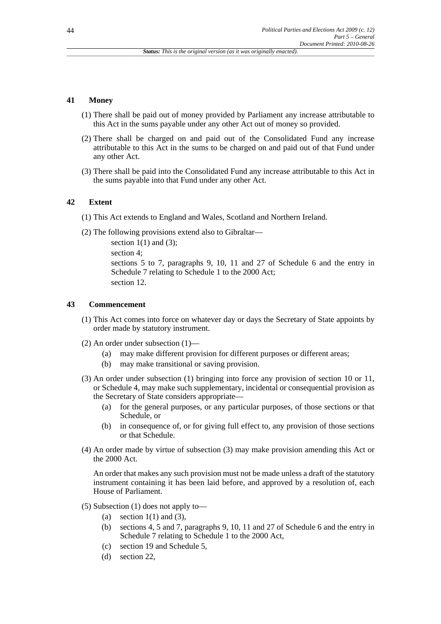# **41 Money**

- (1) There shall be paid out of money provided by Parliament any increase attributable to this Act in the sums payable under any other Act out of money so provided.
- (2) There shall be charged on and paid out of the Consolidated Fund any increase attributable to this Act in the sums to be charged on and paid out of that Fund under any other Act.
- (3) There shall be paid into the Consolidated Fund any increase attributable to this Act in the sums payable into that Fund under any other Act.

# **42 Extent**

- (1) This Act extends to England and Wales, Scotland and Northern Ireland.
- (2) The following provisions extend also to Gibraltar—

```
section 1(1) and (3);
section 4;
sections 5 to 7, paragraphs 9, 10, 11 and 27 of Schedule 6 and the entry in
Schedule 7 relating to Schedule 1 to the 2000 Act;
section 12.
```
# **43 Commencement**

- (1) This Act comes into force on whatever day or days the Secretary of State appoints by order made by statutory instrument.
- (2) An order under subsection (1)—
	- (a) may make different provision for different purposes or different areas;
	- (b) may make transitional or saving provision.
- (3) An order under subsection (1) bringing into force any provision of section 10 or 11, or Schedule 4, may make such supplementary, incidental or consequential provision as the Secretary of State considers appropriate—
	- (a) for the general purposes, or any particular purposes, of those sections or that Schedule, or
	- (b) in consequence of, or for giving full effect to, any provision of those sections or that Schedule.
- (4) An order made by virtue of subsection (3) may make provision amending this Act or the 2000 Act.

An order that makes any such provision must not be made unless a draft of the statutory instrument containing it has been laid before, and approved by a resolution of, each House of Parliament.

- (5) Subsection (1) does not apply to—
	- (a) section  $1(1)$  and  $(3)$ ,
	- (b) sections 4, 5 and 7, paragraphs 9, 10, 11 and 27 of Schedule 6 and the entry in Schedule 7 relating to Schedule 1 to the 2000 Act,
	- (c) section 19 and Schedule 5,
	- (d) section 22,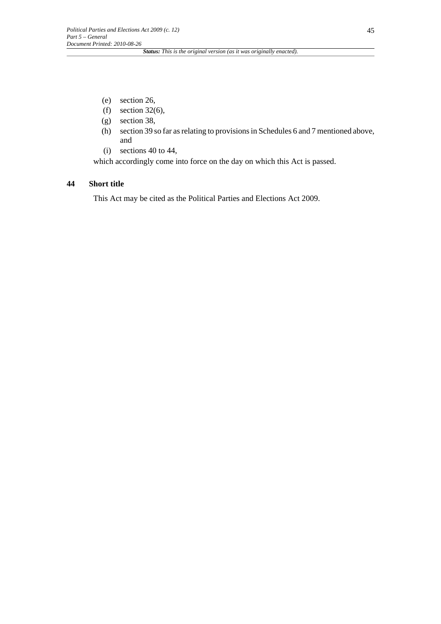- (e) section 26,
- (f) section  $32(6)$ ,
- (g) section 38,
- (h) section 39 so far as relating to provisions in Schedules 6 and 7 mentioned above, and
- (i) sections 40 to 44,

which accordingly come into force on the day on which this Act is passed.

# **44 Short title**

This Act may be cited as the Political Parties and Elections Act 2009.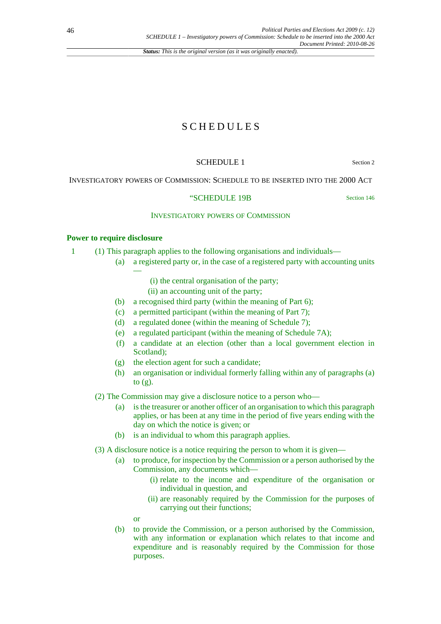# S C H E D U L E S

# SCHEDULE 1 Section 2

INVESTIGATORY POWERS OF COMMISSION: SCHEDULE TO BE INSERTED INTO THE 2000 ACT

# "SCHEDULE 19B Section 146

# INVESTIGATORY POWERS OF COMMISSION

# **Power to require disclosure**

—

- 1 (1) This paragraph applies to the following organisations and individuals—
	- (a) a registered party or, in the case of a registered party with accounting units
		- (i) the central organisation of the party;
		- (ii) an accounting unit of the party;
	- (b) a recognised third party (within the meaning of Part 6);
	- (c) a permitted participant (within the meaning of Part 7);
	- (d) a regulated donee (within the meaning of Schedule 7);
	- (e) a regulated participant (within the meaning of Schedule 7A);
	- (f) a candidate at an election (other than a local government election in Scotland):
	- (g) the election agent for such a candidate;
	- (h) an organisation or individual formerly falling within any of paragraphs (a) to  $(g)$ .
	- (2) The Commission may give a disclosure notice to a person who—
		- (a) is the treasurer or another officer of an organisation to which this paragraph applies, or has been at any time in the period of five years ending with the day on which the notice is given; or
		- (b) is an individual to whom this paragraph applies.
	- (3) A disclosure notice is a notice requiring the person to whom it is given—
		- (a) to produce, for inspection by the Commission or a person authorised by the Commission, any documents which—
			- (i) relate to the income and expenditure of the organisation or individual in question, and
			- (ii) are reasonably required by the Commission for the purposes of carrying out their functions;
			- or
		- (b) to provide the Commission, or a person authorised by the Commission, with any information or explanation which relates to that income and expenditure and is reasonably required by the Commission for those purposes.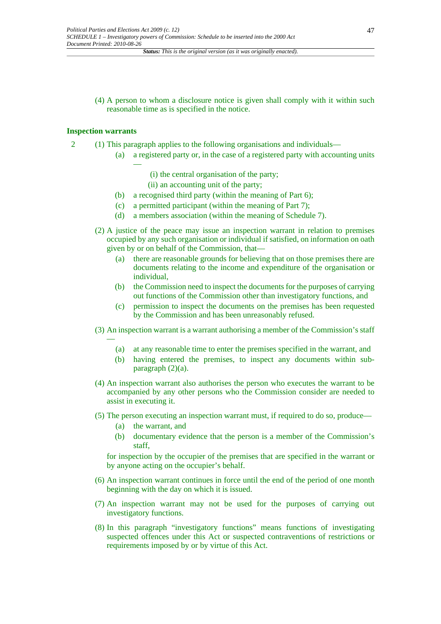(4) A person to whom a disclosure notice is given shall comply with it within such reasonable time as is specified in the notice.

# **Inspection warrants**

—

- 2 (1) This paragraph applies to the following organisations and individuals—
	- (a) a registered party or, in the case of a registered party with accounting units
		- (i) the central organisation of the party;

(ii) an accounting unit of the party;

- (b) a recognised third party (within the meaning of Part 6);
- (c) a permitted participant (within the meaning of Part 7);
- (d) a members association (within the meaning of Schedule 7).
- (2) A justice of the peace may issue an inspection warrant in relation to premises occupied by any such organisation or individual if satisfied, on information on oath given by or on behalf of the Commission, that—
	- (a) there are reasonable grounds for believing that on those premises there are documents relating to the income and expenditure of the organisation or individual,
	- (b) the Commission need to inspect the documents for the purposes of carrying out functions of the Commission other than investigatory functions, and
	- (c) permission to inspect the documents on the premises has been requested by the Commission and has been unreasonably refused.
- (3) An inspection warrant is a warrant authorising a member of the Commission's staff —
	- (a) at any reasonable time to enter the premises specified in the warrant, and
	- (b) having entered the premises, to inspect any documents within subparagraph (2)(a).
- (4) An inspection warrant also authorises the person who executes the warrant to be accompanied by any other persons who the Commission consider are needed to assist in executing it.
- (5) The person executing an inspection warrant must, if required to do so, produce—
	- (a) the warrant, and
	- (b) documentary evidence that the person is a member of the Commission's staff,

for inspection by the occupier of the premises that are specified in the warrant or by anyone acting on the occupier's behalf.

- (6) An inspection warrant continues in force until the end of the period of one month beginning with the day on which it is issued.
- (7) An inspection warrant may not be used for the purposes of carrying out investigatory functions.
- (8) In this paragraph "investigatory functions" means functions of investigating suspected offences under this Act or suspected contraventions of restrictions or requirements imposed by or by virtue of this Act.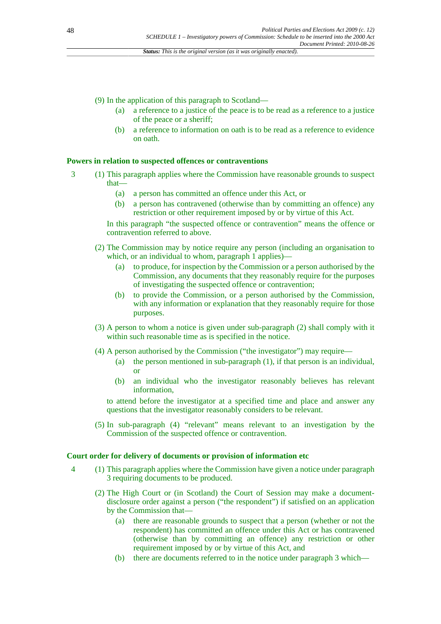(9) In the application of this paragraph to Scotland—

- (a) a reference to a justice of the peace is to be read as a reference to a justice of the peace or a sheriff;
- (b) a reference to information on oath is to be read as a reference to evidence on oath.

# **Powers in relation to suspected offences or contraventions**

- 3 (1) This paragraph applies where the Commission have reasonable grounds to suspect that—
	- (a) a person has committed an offence under this Act, or
	- (b) a person has contravened (otherwise than by committing an offence) any restriction or other requirement imposed by or by virtue of this Act.

In this paragraph "the suspected offence or contravention" means the offence or contravention referred to above.

- (2) The Commission may by notice require any person (including an organisation to which, or an individual to whom, paragraph 1 applies)–
	- (a) to produce, for inspection by the Commission or a person authorised by the Commission, any documents that they reasonably require for the purposes of investigating the suspected offence or contravention;
	- (b) to provide the Commission, or a person authorised by the Commission, with any information or explanation that they reasonably require for those purposes.
- (3) A person to whom a notice is given under sub-paragraph (2) shall comply with it within such reasonable time as is specified in the notice.
- (4) A person authorised by the Commission ("the investigator") may require—
	- (a) the person mentioned in sub-paragraph (1), if that person is an individual, or
	- (b) an individual who the investigator reasonably believes has relevant information,

to attend before the investigator at a specified time and place and answer any questions that the investigator reasonably considers to be relevant.

(5) In sub-paragraph (4) "relevant" means relevant to an investigation by the Commission of the suspected offence or contravention.

# **Court order for delivery of documents or provision of information etc**

- 4 (1) This paragraph applies where the Commission have given a notice under paragraph 3 requiring documents to be produced.
	- (2) The High Court or (in Scotland) the Court of Session may make a documentdisclosure order against a person ("the respondent") if satisfied on an application by the Commission that—
		- (a) there are reasonable grounds to suspect that a person (whether or not the respondent) has committed an offence under this Act or has contravened (otherwise than by committing an offence) any restriction or other requirement imposed by or by virtue of this Act, and
		- (b) there are documents referred to in the notice under paragraph 3 which—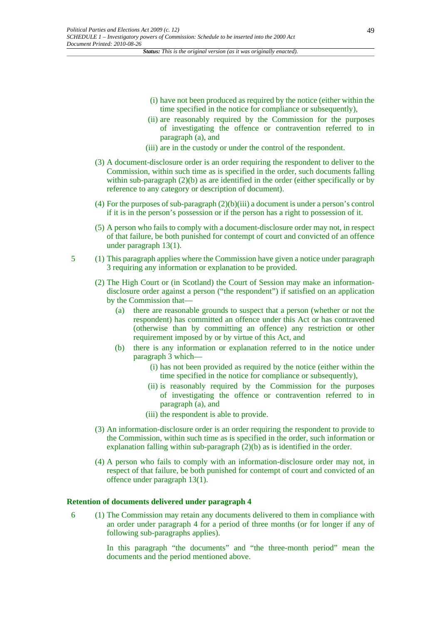- (i) have not been produced as required by the notice (either within the time specified in the notice for compliance or subsequently),
- (ii) are reasonably required by the Commission for the purposes of investigating the offence or contravention referred to in paragraph (a), and
- (iii) are in the custody or under the control of the respondent.
- (3) A document-disclosure order is an order requiring the respondent to deliver to the Commission, within such time as is specified in the order, such documents falling within sub-paragraph (2)(b) as are identified in the order (either specifically or by reference to any category or description of document).
- (4) For the purposes of sub-paragraph  $(2)(b)(iii)$  a document is under a person's control if it is in the person's possession or if the person has a right to possession of it.
- (5) A person who fails to comply with a document-disclosure order may not, in respect of that failure, be both punished for contempt of court and convicted of an offence under paragraph 13(1).
- 5 (1) This paragraph applies where the Commission have given a notice under paragraph 3 requiring any information or explanation to be provided.
	- (2) The High Court or (in Scotland) the Court of Session may make an informationdisclosure order against a person ("the respondent") if satisfied on an application by the Commission that—
		- (a) there are reasonable grounds to suspect that a person (whether or not the respondent) has committed an offence under this Act or has contravened (otherwise than by committing an offence) any restriction or other requirement imposed by or by virtue of this Act, and
		- (b) there is any information or explanation referred to in the notice under paragraph 3 which—
			- (i) has not been provided as required by the notice (either within the time specified in the notice for compliance or subsequently),
			- (ii) is reasonably required by the Commission for the purposes of investigating the offence or contravention referred to in paragraph (a), and
			- (iii) the respondent is able to provide.
	- (3) An information-disclosure order is an order requiring the respondent to provide to the Commission, within such time as is specified in the order, such information or explanation falling within sub-paragraph (2)(b) as is identified in the order.
	- (4) A person who fails to comply with an information-disclosure order may not, in respect of that failure, be both punished for contempt of court and convicted of an offence under paragraph 13(1).

# **Retention of documents delivered under paragraph 4**

6 (1) The Commission may retain any documents delivered to them in compliance with an order under paragraph 4 for a period of three months (or for longer if any of following sub-paragraphs applies).

> In this paragraph "the documents" and "the three-month period" mean the documents and the period mentioned above.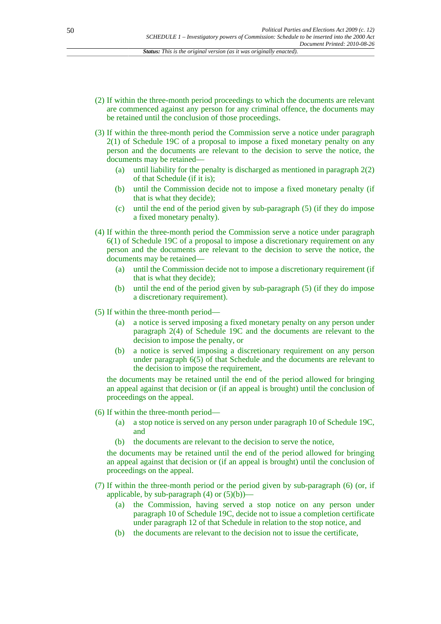- (2) If within the three-month period proceedings to which the documents are relevant are commenced against any person for any criminal offence, the documents may be retained until the conclusion of those proceedings.
- (3) If within the three-month period the Commission serve a notice under paragraph 2(1) of Schedule 19C of a proposal to impose a fixed monetary penalty on any person and the documents are relevant to the decision to serve the notice, the documents may be retained—
	- (a) until liability for the penalty is discharged as mentioned in paragraph 2(2) of that Schedule (if it is);
	- (b) until the Commission decide not to impose a fixed monetary penalty (if that is what they decide);
	- (c) until the end of the period given by sub-paragraph (5) (if they do impose a fixed monetary penalty).
- (4) If within the three-month period the Commission serve a notice under paragraph 6(1) of Schedule 19C of a proposal to impose a discretionary requirement on any person and the documents are relevant to the decision to serve the notice, the documents may be retained—
	- (a) until the Commission decide not to impose a discretionary requirement (if that is what they decide);
	- (b) until the end of the period given by sub-paragraph (5) (if they do impose a discretionary requirement).
- (5) If within the three-month period—
	- (a) a notice is served imposing a fixed monetary penalty on any person under paragraph 2(4) of Schedule 19C and the documents are relevant to the decision to impose the penalty, or
	- (b) a notice is served imposing a discretionary requirement on any person under paragraph 6(5) of that Schedule and the documents are relevant to the decision to impose the requirement,

the documents may be retained until the end of the period allowed for bringing an appeal against that decision or (if an appeal is brought) until the conclusion of proceedings on the appeal.

- (6) If within the three-month period—
	- (a) a stop notice is served on any person under paragraph 10 of Schedule 19C, and
	- (b) the documents are relevant to the decision to serve the notice,

the documents may be retained until the end of the period allowed for bringing an appeal against that decision or (if an appeal is brought) until the conclusion of proceedings on the appeal.

- (7) If within the three-month period or the period given by sub-paragraph (6) (or, if applicable, by sub-paragraph  $(4)$  or  $(5)(\overline{b}))$ —
	- (a) the Commission, having served a stop notice on any person under paragraph 10 of Schedule 19C, decide not to issue a completion certificate under paragraph 12 of that Schedule in relation to the stop notice, and
	- (b) the documents are relevant to the decision not to issue the certificate,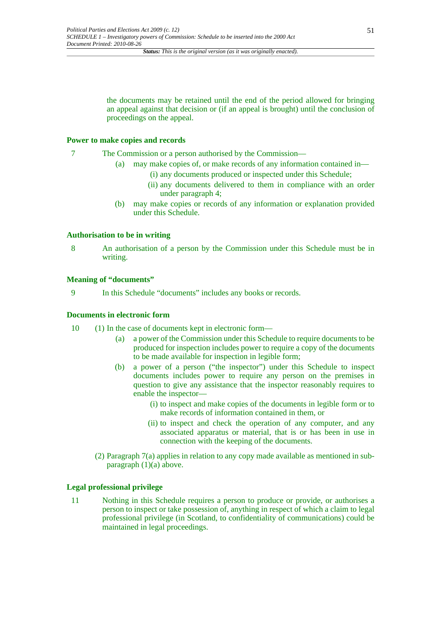the documents may be retained until the end of the period allowed for bringing an appeal against that decision or (if an appeal is brought) until the conclusion of proceedings on the appeal.

# **Power to make copies and records**

- 7 The Commission or a person authorised by the Commission—
	- (a) may make copies of, or make records of any information contained in—
		- (i) any documents produced or inspected under this Schedule;
		- (ii) any documents delivered to them in compliance with an order under paragraph 4;
	- (b) may make copies or records of any information or explanation provided under this Schedule.

# **Authorisation to be in writing**

8 An authorisation of a person by the Commission under this Schedule must be in writing.

# **Meaning of "documents"**

9 In this Schedule "documents" includes any books or records.

# **Documents in electronic form**

- 10 (1) In the case of documents kept in electronic form—
	- (a) a power of the Commission under this Schedule to require documents to be produced for inspection includes power to require a copy of the documents to be made available for inspection in legible form;
	- (b) a power of a person ("the inspector") under this Schedule to inspect documents includes power to require any person on the premises in question to give any assistance that the inspector reasonably requires to enable the inspector—
		- (i) to inspect and make copies of the documents in legible form or to make records of information contained in them, or
		- (ii) to inspect and check the operation of any computer, and any associated apparatus or material, that is or has been in use in connection with the keeping of the documents.
	- (2) Paragraph 7(a) applies in relation to any copy made available as mentioned in subparagraph (1)(a) above.

# **Legal professional privilege**

11 Nothing in this Schedule requires a person to produce or provide, or authorises a person to inspect or take possession of, anything in respect of which a claim to legal professional privilege (in Scotland, to confidentiality of communications) could be maintained in legal proceedings.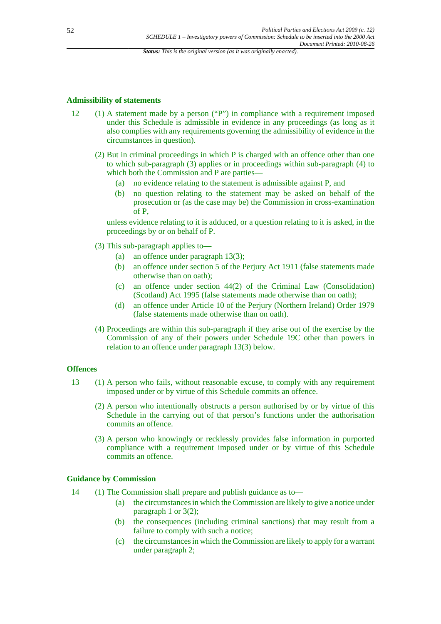# **Admissibility of statements**

- 12 (1) A statement made by a person ("P") in compliance with a requirement imposed under this Schedule is admissible in evidence in any proceedings (as long as it also complies with any requirements governing the admissibility of evidence in the circumstances in question).
	- (2) But in criminal proceedings in which P is charged with an offence other than one to which sub-paragraph (3) applies or in proceedings within sub-paragraph (4) to which both the Commission and P are parties—
		- (a) no evidence relating to the statement is admissible against P, and
		- (b) no question relating to the statement may be asked on behalf of the prosecution or (as the case may be) the Commission in cross-examination of P,

unless evidence relating to it is adduced, or a question relating to it is asked, in the proceedings by or on behalf of P.

- (3) This sub-paragraph applies to—
	- (a) an offence under paragraph 13(3);
	- (b) an offence under section 5 of the Perjury Act 1911 (false statements made otherwise than on oath);
	- (c) an offence under section 44(2) of the Criminal Law (Consolidation) (Scotland) Act 1995 (false statements made otherwise than on oath);
	- (d) an offence under Article 10 of the Perjury (Northern Ireland) Order 1979 (false statements made otherwise than on oath).
- (4) Proceedings are within this sub-paragraph if they arise out of the exercise by the Commission of any of their powers under Schedule 19C other than powers in relation to an offence under paragraph 13(3) below.

# **Offences**

- 13 (1) A person who fails, without reasonable excuse, to comply with any requirement imposed under or by virtue of this Schedule commits an offence.
	- (2) A person who intentionally obstructs a person authorised by or by virtue of this Schedule in the carrying out of that person's functions under the authorisation commits an offence.
	- (3) A person who knowingly or recklessly provides false information in purported compliance with a requirement imposed under or by virtue of this Schedule commits an offence.

# **Guidance by Commission**

- 14 (1) The Commission shall prepare and publish guidance as to—
	- (a) the circumstances in which the Commission are likely to give a notice under paragraph 1 or 3(2);
	- (b) the consequences (including criminal sanctions) that may result from a failure to comply with such a notice;
	- (c) the circumstances in which the Commission are likely to apply for a warrant under paragraph 2;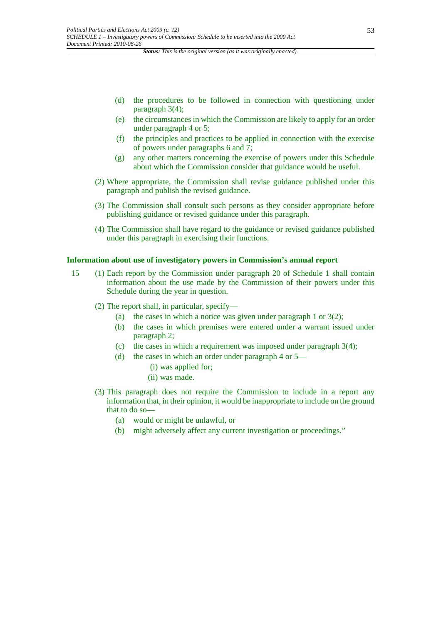- (d) the procedures to be followed in connection with questioning under paragraph 3(4);
- (e) the circumstances in which the Commission are likely to apply for an order under paragraph 4 or 5;
- (f) the principles and practices to be applied in connection with the exercise of powers under paragraphs 6 and 7;
- (g) any other matters concerning the exercise of powers under this Schedule about which the Commission consider that guidance would be useful.
- (2) Where appropriate, the Commission shall revise guidance published under this paragraph and publish the revised guidance.
- (3) The Commission shall consult such persons as they consider appropriate before publishing guidance or revised guidance under this paragraph.
- (4) The Commission shall have regard to the guidance or revised guidance published under this paragraph in exercising their functions.

# **Information about use of investigatory powers in Commission's annual report**

- 15 (1) Each report by the Commission under paragraph 20 of Schedule 1 shall contain information about the use made by the Commission of their powers under this Schedule during the year in question.
	- (2) The report shall, in particular, specify—
		- (a) the cases in which a notice was given under paragraph 1 or  $3(2)$ ;
		- (b) the cases in which premises were entered under a warrant issued under paragraph 2;
		- (c) the cases in which a requirement was imposed under paragraph 3(4);
		- (d) the cases in which an order under paragraph 4 or 5—
			- (i) was applied for;
			- (ii) was made.
	- (3) This paragraph does not require the Commission to include in a report any information that, in their opinion, it would be inappropriate to include on the ground that to do so—
		- (a) would or might be unlawful, or
		- (b) might adversely affect any current investigation or proceedings."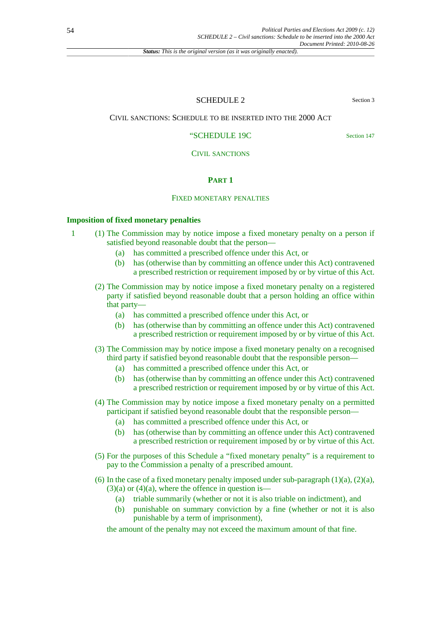### SCHEDULE 2 Section 3

### CIVIL SANCTIONS: SCHEDULE TO BE INSERTED INTO THE 2000 ACT

# "SCHEDULE 19C Section 147

#### CIVIL SANCTIONS

# **PART 1**

## FIXED MONETARY PENALTIES

# **Imposition of fixed monetary penalties**

- 1 (1) The Commission may by notice impose a fixed monetary penalty on a person if satisfied beyond reasonable doubt that the person—
	- (a) has committed a prescribed offence under this Act, or
	- (b) has (otherwise than by committing an offence under this Act) contravened a prescribed restriction or requirement imposed by or by virtue of this Act.
	- (2) The Commission may by notice impose a fixed monetary penalty on a registered party if satisfied beyond reasonable doubt that a person holding an office within that party—
		- (a) has committed a prescribed offence under this Act, or
		- (b) has (otherwise than by committing an offence under this Act) contravened a prescribed restriction or requirement imposed by or by virtue of this Act.
	- (3) The Commission may by notice impose a fixed monetary penalty on a recognised third party if satisfied beyond reasonable doubt that the responsible person—
		- (a) has committed a prescribed offence under this Act, or
		- (b) has (otherwise than by committing an offence under this Act) contravened a prescribed restriction or requirement imposed by or by virtue of this Act.
	- (4) The Commission may by notice impose a fixed monetary penalty on a permitted participant if satisfied beyond reasonable doubt that the responsible person—
		- (a) has committed a prescribed offence under this Act, or
		- (b) has (otherwise than by committing an offence under this Act) contravened a prescribed restriction or requirement imposed by or by virtue of this Act.
	- (5) For the purposes of this Schedule a "fixed monetary penalty" is a requirement to pay to the Commission a penalty of a prescribed amount.
	- (6) In the case of a fixed monetary penalty imposed under sub-paragraph  $(1)(a)$ ,  $(2)(a)$ ,  $(3)(a)$  or  $(4)(a)$ , where the offence in question is-
		- (a) triable summarily (whether or not it is also triable on indictment), and
		- (b) punishable on summary conviction by a fine (whether or not it is also punishable by a term of imprisonment),

the amount of the penalty may not exceed the maximum amount of that fine.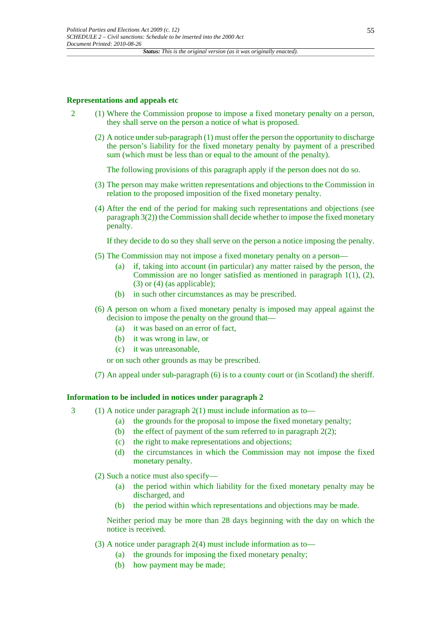#### **Representations and appeals etc**

- 2 (1) Where the Commission propose to impose a fixed monetary penalty on a person, they shall serve on the person a notice of what is proposed.
	- (2) A notice under sub-paragraph (1) must offer the person the opportunity to discharge the person's liability for the fixed monetary penalty by payment of a prescribed sum (which must be less than or equal to the amount of the penalty).

The following provisions of this paragraph apply if the person does not do so.

- (3) The person may make written representations and objections to the Commission in relation to the proposed imposition of the fixed monetary penalty.
- (4) After the end of the period for making such representations and objections (see paragraph 3(2)) the Commission shall decide whether to impose the fixed monetary penalty.

If they decide to do so they shall serve on the person a notice imposing the penalty.

- (5) The Commission may not impose a fixed monetary penalty on a person—
	- (a) if, taking into account (in particular) any matter raised by the person, the Commission are no longer satisfied as mentioned in paragraph 1(1), (2), (3) or (4) (as applicable);
	- (b) in such other circumstances as may be prescribed.
- (6) A person on whom a fixed monetary penalty is imposed may appeal against the decision to impose the penalty on the ground that—
	- (a) it was based on an error of fact,
	- (b) it was wrong in law, or
	- (c) it was unreasonable,

or on such other grounds as may be prescribed.

(7) An appeal under sub-paragraph (6) is to a county court or (in Scotland) the sheriff.

### **Information to be included in notices under paragraph 2**

- 3 (1) A notice under paragraph 2(1) must include information as to—
	- (a) the grounds for the proposal to impose the fixed monetary penalty;
	- (b) the effect of payment of the sum referred to in paragraph 2(2);
	- (c) the right to make representations and objections;
	- (d) the circumstances in which the Commission may not impose the fixed monetary penalty.
	- (2) Such a notice must also specify—
		- (a) the period within which liability for the fixed monetary penalty may be discharged, and
		- (b) the period within which representations and objections may be made.

Neither period may be more than 28 days beginning with the day on which the notice is received.

- (3) A notice under paragraph 2(4) must include information as to—
	- (a) the grounds for imposing the fixed monetary penalty;
	- (b) how payment may be made;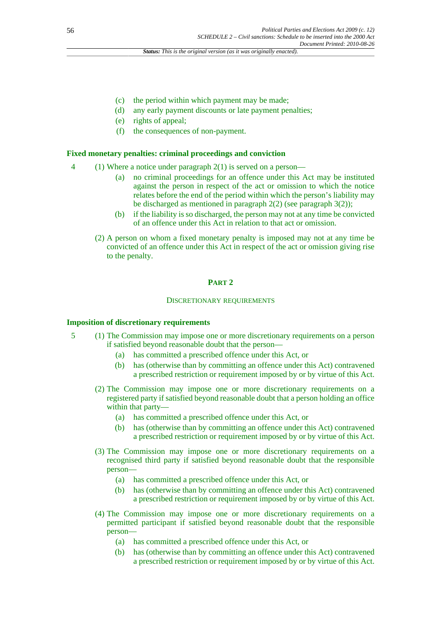- (c) the period within which payment may be made;
- (d) any early payment discounts or late payment penalties;
- (e) rights of appeal;
- (f) the consequences of non-payment.

### **Fixed monetary penalties: criminal proceedings and conviction**

- 4 (1) Where a notice under paragraph 2(1) is served on a person—
	- (a) no criminal proceedings for an offence under this Act may be instituted against the person in respect of the act or omission to which the notice relates before the end of the period within which the person's liability may be discharged as mentioned in paragraph 2(2) (see paragraph 3(2));
	- (b) if the liability is so discharged, the person may not at any time be convicted of an offence under this Act in relation to that act or omission.
	- (2) A person on whom a fixed monetary penalty is imposed may not at any time be convicted of an offence under this Act in respect of the act or omission giving rise to the penalty.

### **PART 2**

# DISCRETIONARY REQUIREMENTS

# **Imposition of discretionary requirements**

- 5 (1) The Commission may impose one or more discretionary requirements on a person if satisfied beyond reasonable doubt that the person—
	- (a) has committed a prescribed offence under this Act, or
	- (b) has (otherwise than by committing an offence under this Act) contravened a prescribed restriction or requirement imposed by or by virtue of this Act.
	- (2) The Commission may impose one or more discretionary requirements on a registered party if satisfied beyond reasonable doubt that a person holding an office within that party-
		- (a) has committed a prescribed offence under this Act, or
		- (b) has (otherwise than by committing an offence under this Act) contravened a prescribed restriction or requirement imposed by or by virtue of this Act.
	- (3) The Commission may impose one or more discretionary requirements on a recognised third party if satisfied beyond reasonable doubt that the responsible person—
		- (a) has committed a prescribed offence under this Act, or
		- (b) has (otherwise than by committing an offence under this Act) contravened a prescribed restriction or requirement imposed by or by virtue of this Act.
	- (4) The Commission may impose one or more discretionary requirements on a permitted participant if satisfied beyond reasonable doubt that the responsible person—
		- (a) has committed a prescribed offence under this Act, or
		- (b) has (otherwise than by committing an offence under this Act) contravened a prescribed restriction or requirement imposed by or by virtue of this Act.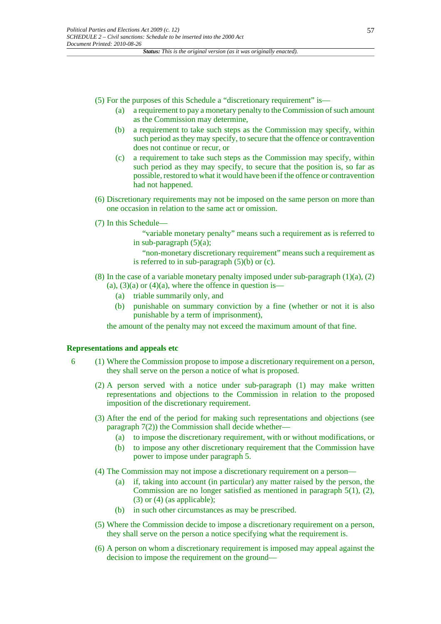- (5) For the purposes of this Schedule a "discretionary requirement" is—
	- (a) a requirement to pay a monetary penalty to the Commission of such amount as the Commission may determine,
	- (b) a requirement to take such steps as the Commission may specify, within such period as they may specify, to secure that the offence or contravention does not continue or recur, or
	- (c) a requirement to take such steps as the Commission may specify, within such period as they may specify, to secure that the position is, so far as possible, restored to what it would have been if the offence or contravention had not happened.
- (6) Discretionary requirements may not be imposed on the same person on more than one occasion in relation to the same act or omission.

#### (7) In this Schedule—

- "variable monetary penalty" means such a requirement as is referred to in sub-paragraph  $(5)(a)$ ;
- "non-monetary discretionary requirement" means such a requirement as is referred to in sub-paragraph  $(5)(b)$  or  $(c)$ .
- (8) In the case of a variable monetary penalty imposed under sub-paragraph  $(1)(a)$ ,  $(2)$ (a),  $(3)(a)$  or  $(4)(a)$ , where the offence in question is—
	- (a) triable summarily only, and
	- (b) punishable on summary conviction by a fine (whether or not it is also punishable by a term of imprisonment),

the amount of the penalty may not exceed the maximum amount of that fine.

### **Representations and appeals etc**

- 6 (1) Where the Commission propose to impose a discretionary requirement on a person, they shall serve on the person a notice of what is proposed.
	- (2) A person served with a notice under sub-paragraph (1) may make written representations and objections to the Commission in relation to the proposed imposition of the discretionary requirement.
	- (3) After the end of the period for making such representations and objections (see paragraph 7(2)) the Commission shall decide whether—
		- (a) to impose the discretionary requirement, with or without modifications, or
		- (b) to impose any other discretionary requirement that the Commission have power to impose under paragraph 5.
	- (4) The Commission may not impose a discretionary requirement on a person—
		- (a) if, taking into account (in particular) any matter raised by the person, the Commission are no longer satisfied as mentioned in paragraph 5(1), (2), (3) or (4) (as applicable);
		- (b) in such other circumstances as may be prescribed.
	- (5) Where the Commission decide to impose a discretionary requirement on a person, they shall serve on the person a notice specifying what the requirement is.
	- (6) A person on whom a discretionary requirement is imposed may appeal against the decision to impose the requirement on the ground—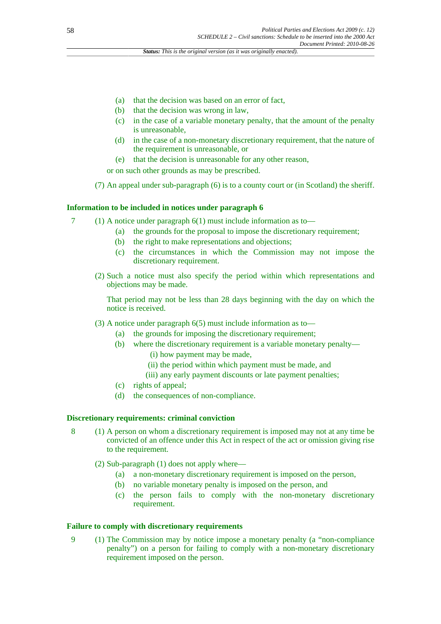- (a) that the decision was based on an error of fact,
- (b) that the decision was wrong in law,
- (c) in the case of a variable monetary penalty, that the amount of the penalty is unreasonable,
- (d) in the case of a non-monetary discretionary requirement, that the nature of the requirement is unreasonable, or
- (e) that the decision is unreasonable for any other reason,

or on such other grounds as may be prescribed.

(7) An appeal under sub-paragraph (6) is to a county court or (in Scotland) the sheriff.

# **Information to be included in notices under paragraph 6**

- 7 (1) A notice under paragraph 6(1) must include information as to—
	- (a) the grounds for the proposal to impose the discretionary requirement;
		- (b) the right to make representations and objections;
		- (c) the circumstances in which the Commission may not impose the discretionary requirement.
	- (2) Such a notice must also specify the period within which representations and objections may be made.

That period may not be less than 28 days beginning with the day on which the notice is received.

- (3) A notice under paragraph 6(5) must include information as to—
	- (a) the grounds for imposing the discretionary requirement;
	- (b) where the discretionary requirement is a variable monetary penalty— (i) how payment may be made,
		- (ii) the period within which payment must be made, and
		- (iii) any early payment discounts or late payment penalties;
	- (c) rights of appeal;
	- (d) the consequences of non-compliance.

# **Discretionary requirements: criminal conviction**

- 8 (1) A person on whom a discretionary requirement is imposed may not at any time be convicted of an offence under this Act in respect of the act or omission giving rise to the requirement.
	- (2) Sub-paragraph (1) does not apply where—
		- (a) a non-monetary discretionary requirement is imposed on the person,
		- (b) no variable monetary penalty is imposed on the person, and
		- (c) the person fails to comply with the non-monetary discretionary requirement.

# **Failure to comply with discretionary requirements**

9 (1) The Commission may by notice impose a monetary penalty (a "non-compliance penalty") on a person for failing to comply with a non-monetary discretionary requirement imposed on the person.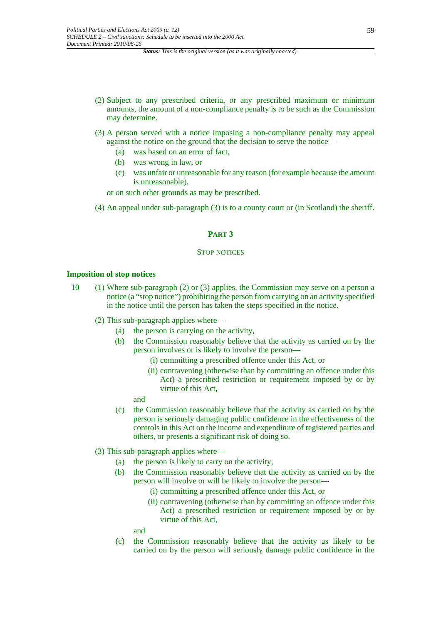- (2) Subject to any prescribed criteria, or any prescribed maximum or minimum amounts, the amount of a non-compliance penalty is to be such as the Commission may determine.
- (3) A person served with a notice imposing a non-compliance penalty may appeal against the notice on the ground that the decision to serve the notice—
	- (a) was based on an error of fact,
	- (b) was wrong in law, or
	- (c) was unfair or unreasonable for any reason (for example because the amount is unreasonable),

or on such other grounds as may be prescribed.

(4) An appeal under sub-paragraph (3) is to a county court or (in Scotland) the sheriff.

# **PART 3**

### STOP NOTICES

# **Imposition of stop notices**

- 10 (1) Where sub-paragraph (2) or (3) applies, the Commission may serve on a person a notice (a "stop notice") prohibiting the person from carrying on an activity specified in the notice until the person has taken the steps specified in the notice.
	- (2) This sub-paragraph applies where—
		- (a) the person is carrying on the activity,
		- (b) the Commission reasonably believe that the activity as carried on by the person involves or is likely to involve the person—
			- (i) committing a prescribed offence under this Act, or
			- (ii) contravening (otherwise than by committing an offence under this Act) a prescribed restriction or requirement imposed by or by virtue of this Act,

and

- (c) the Commission reasonably believe that the activity as carried on by the person is seriously damaging public confidence in the effectiveness of the controls in this Act on the income and expenditure of registered parties and others, or presents a significant risk of doing so.
- (3) This sub-paragraph applies where—
	- (a) the person is likely to carry on the activity,
	- (b) the Commission reasonably believe that the activity as carried on by the person will involve or will be likely to involve the person—
		- (i) committing a prescribed offence under this Act, or
		- (ii) contravening (otherwise than by committing an offence under this Act) a prescribed restriction or requirement imposed by or by virtue of this Act,
		- and
	- (c) the Commission reasonably believe that the activity as likely to be carried on by the person will seriously damage public confidence in the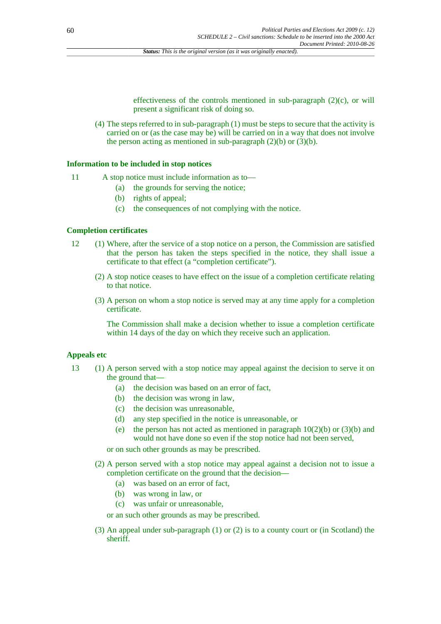effectiveness of the controls mentioned in sub-paragraph (2)(c), or will present a significant risk of doing so.

(4) The steps referred to in sub-paragraph (1) must be steps to secure that the activity is carried on or (as the case may be) will be carried on in a way that does not involve the person acting as mentioned in sub-paragraph  $(2)(b)$  or  $(3)(b)$ .

# **Information to be included in stop notices**

- 11 A stop notice must include information as to—
	- (a) the grounds for serving the notice;
	- (b) rights of appeal;
	- (c) the consequences of not complying with the notice.

### **Completion certificates**

- 12 (1) Where, after the service of a stop notice on a person, the Commission are satisfied that the person has taken the steps specified in the notice, they shall issue a certificate to that effect (a "completion certificate").
	- (2) A stop notice ceases to have effect on the issue of a completion certificate relating to that notice.
	- (3) A person on whom a stop notice is served may at any time apply for a completion certificate.

The Commission shall make a decision whether to issue a completion certificate within 14 days of the day on which they receive such an application.

# **Appeals etc**

- 13 (1) A person served with a stop notice may appeal against the decision to serve it on the ground that—
	- (a) the decision was based on an error of fact,
	- (b) the decision was wrong in law,
	- (c) the decision was unreasonable,
	- (d) any step specified in the notice is unreasonable, or
	- (e) the person has not acted as mentioned in paragraph  $10(2)(b)$  or  $(3)(b)$  and would not have done so even if the stop notice had not been served,

or on such other grounds as may be prescribed.

- (2) A person served with a stop notice may appeal against a decision not to issue a completion certificate on the ground that the decision—
	- (a) was based on an error of fact,
	- (b) was wrong in law, or
	- (c) was unfair or unreasonable,

or an such other grounds as may be prescribed.

(3) An appeal under sub-paragraph (1) or (2) is to a county court or (in Scotland) the sheriff.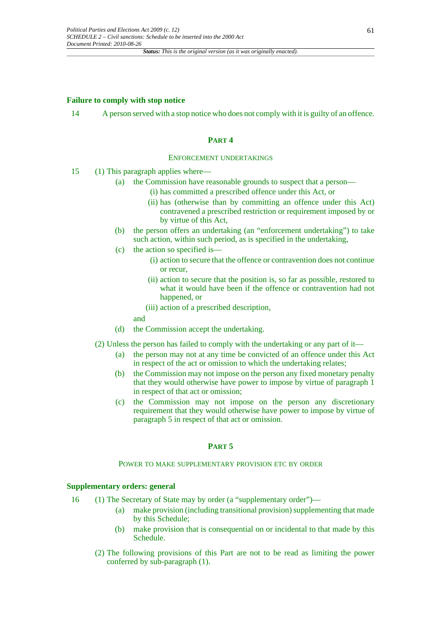#### **Failure to comply with stop notice**

14 A person served with a stop notice who does not comply with it is guilty of an offence.

#### **PART 4**

### ENFORCEMENT UNDERTAKINGS

- 15 (1) This paragraph applies where—
	- (a) the Commission have reasonable grounds to suspect that a person—
		- (i) has committed a prescribed offence under this Act, or
		- (ii) has (otherwise than by committing an offence under this Act) contravened a prescribed restriction or requirement imposed by or by virtue of this Act,
	- (b) the person offers an undertaking (an "enforcement undertaking") to take such action, within such period, as is specified in the undertaking,
	- (c) the action so specified is—
		- (i) action to secure that the offence or contravention does not continue or recur,
		- (ii) action to secure that the position is, so far as possible, restored to what it would have been if the offence or contravention had not happened, or
		- (iii) action of a prescribed description,

and

- (d) the Commission accept the undertaking.
- (2) Unless the person has failed to comply with the undertaking or any part of it—
	- (a) the person may not at any time be convicted of an offence under this Act in respect of the act or omission to which the undertaking relates;
	- (b) the Commission may not impose on the person any fixed monetary penalty that they would otherwise have power to impose by virtue of paragraph 1 in respect of that act or omission;
	- (c) the Commission may not impose on the person any discretionary requirement that they would otherwise have power to impose by virtue of paragraph 5 in respect of that act or omission.

#### **PART 5**

#### POWER TO MAKE SUPPLEMENTARY PROVISION ETC BY ORDER

# **Supplementary orders: general**

- 16 (1) The Secretary of State may by order (a "supplementary order")—
	- (a) make provision (including transitional provision) supplementing that made by this Schedule;
	- (b) make provision that is consequential on or incidental to that made by this Schedule.
	- (2) The following provisions of this Part are not to be read as limiting the power conferred by sub-paragraph (1).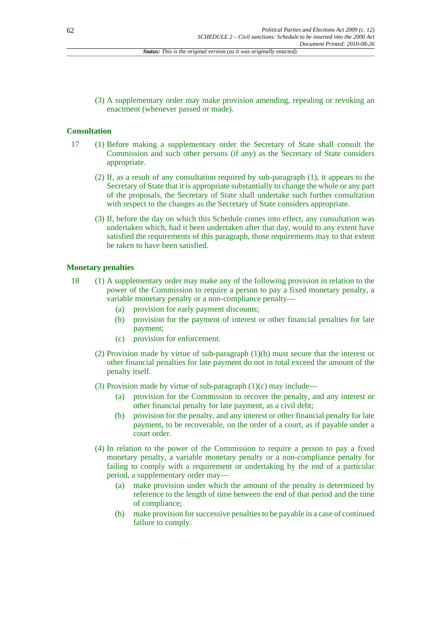(3) A supplementary order may make provision amending, repealing or revoking an enactment (whenever passed or made).

# **Consultation**

- 17 (1) Before making a supplementary order the Secretary of State shall consult the Commission and such other persons (if any) as the Secretary of State considers appropriate.
	- (2) If, as a result of any consultation required by sub-paragraph (1), it appears to the Secretary of State that it is appropriate substantially to change the whole or any part of the proposals, the Secretary of State shall undertake such further consultation with respect to the changes as the Secretary of State considers appropriate.
	- (3) If, before the day on which this Schedule comes into effect, any consultation was undertaken which, had it been undertaken after that day, would to any extent have satisfied the requirements of this paragraph, those requirements may to that extent be taken to have been satisfied.

### **Monetary penalties**

- 18 (1) A supplementary order may make any of the following provision in relation to the power of the Commission to require a person to pay a fixed monetary penalty, a variable monetary penalty or a non-compliance penalty—
	- (a) provision for early payment discounts;
	- (b) provision for the payment of interest or other financial penalties for late payment;
	- (c) provision for enforcement.
	- (2) Provision made by virtue of sub-paragraph (1)(b) must secure that the interest or other financial penalties for late payment do not in total exceed the amount of the penalty itself.
	- (3) Provision made by virtue of sub-paragraph  $(1)(c)$  may include—
		- (a) provision for the Commission to recover the penalty, and any interest or other financial penalty for late payment, as a civil debt;
		- (b) provision for the penalty, and any interest or other financial penalty for late payment, to be recoverable, on the order of a court, as if payable under a court order.
	- (4) In relation to the power of the Commission to require a person to pay a fixed monetary penalty, a variable monetary penalty or a non-compliance penalty for failing to comply with a requirement or undertaking by the end of a particular period, a supplementary order may—
		- (a) make provision under which the amount of the penalty is determined by reference to the length of time between the end of that period and the time of compliance;
		- (b) make provision for successive penalties to be payable in a case of continued failure to comply.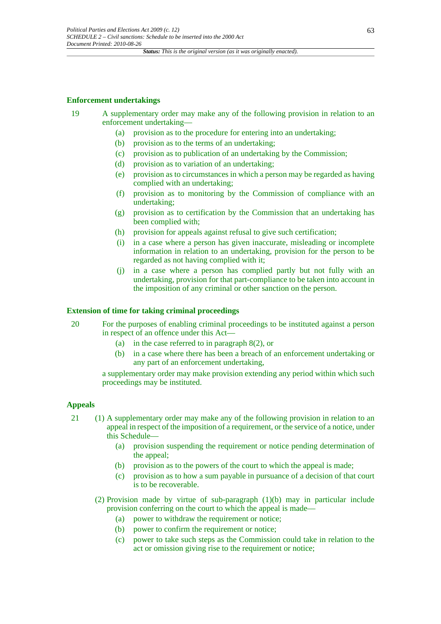### **Enforcement undertakings**

- 19 A supplementary order may make any of the following provision in relation to an enforcement undertaking—
	- (a) provision as to the procedure for entering into an undertaking;
	- (b) provision as to the terms of an undertaking;
	- (c) provision as to publication of an undertaking by the Commission;
	- (d) provision as to variation of an undertaking;
	- (e) provision as to circumstances in which a person may be regarded as having complied with an undertaking;
	- (f) provision as to monitoring by the Commission of compliance with an undertaking;
	- (g) provision as to certification by the Commission that an undertaking has been complied with;
	- (h) provision for appeals against refusal to give such certification;
	- (i) in a case where a person has given inaccurate, misleading or incomplete information in relation to an undertaking, provision for the person to be regarded as not having complied with it;
	- (j) in a case where a person has complied partly but not fully with an undertaking, provision for that part-compliance to be taken into account in the imposition of any criminal or other sanction on the person.

# **Extension of time for taking criminal proceedings**

- 20 For the purposes of enabling criminal proceedings to be instituted against a person in respect of an offence under this Act—
	- (a) in the case referred to in paragraph 8(2), or
	- (b) in a case where there has been a breach of an enforcement undertaking or any part of an enforcement undertaking,

a supplementary order may make provision extending any period within which such proceedings may be instituted.

# **Appeals**

- 21 (1) A supplementary order may make any of the following provision in relation to an appeal in respect of the imposition of a requirement, or the service of a notice, under this Schedule—
	- (a) provision suspending the requirement or notice pending determination of the appeal;
	- (b) provision as to the powers of the court to which the appeal is made;
	- (c) provision as to how a sum payable in pursuance of a decision of that court is to be recoverable.
	- (2) Provision made by virtue of sub-paragraph (1)(b) may in particular include provision conferring on the court to which the appeal is made—
		- (a) power to withdraw the requirement or notice;
		- (b) power to confirm the requirement or notice;
		- (c) power to take such steps as the Commission could take in relation to the act or omission giving rise to the requirement or notice;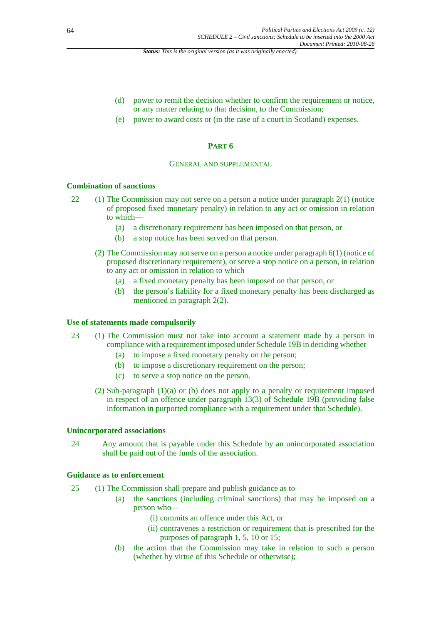- (d) power to remit the decision whether to confirm the requirement or notice, or any matter relating to that decision, to the Commission;
- (e) power to award costs or (in the case of a court in Scotland) expenses.

### **PART 6**

#### GENERAL AND SUPPLEMENTAL

# **Combination of sanctions**

- 22 (1) The Commission may not serve on a person a notice under paragraph 2(1) (notice of proposed fixed monetary penalty) in relation to any act or omission in relation to which—
	- (a) a discretionary requirement has been imposed on that person, or
	- (b) a stop notice has been served on that person.
	- (2) The Commission may not serve on a person a notice under paragraph 6(1) (notice of proposed discretionary requirement), or serve a stop notice on a person, in relation to any act or omission in relation to which—
		- (a) a fixed monetary penalty has been imposed on that person, or
		- (b) the person's liability for a fixed monetary penalty has been discharged as mentioned in paragraph 2(2).

### **Use of statements made compulsorily**

- 23 (1) The Commission must not take into account a statement made by a person in compliance with a requirement imposed under Schedule 19B in deciding whether—
	- (a) to impose a fixed monetary penalty on the person;
	- (b) to impose a discretionary requirement on the person;
	- (c) to serve a stop notice on the person.
	- (2) Sub-paragraph  $(1)(a)$  or (b) does not apply to a penalty or requirement imposed in respect of an offence under paragraph 13(3) of Schedule 19B (providing false information in purported compliance with a requirement under that Schedule).

### **Unincorporated associations**

24 Any amount that is payable under this Schedule by an unincorporated association shall be paid out of the funds of the association.

# **Guidance as to enforcement**

- 25 (1) The Commission shall prepare and publish guidance as to—
	- (a) the sanctions (including criminal sanctions) that may be imposed on a person who—
		- (i) commits an offence under this Act, or
		- (ii) contravenes a restriction or requirement that is prescribed for the purposes of paragraph 1, 5, 10 or 15;
	- (b) the action that the Commission may take in relation to such a person (whether by virtue of this Schedule or otherwise);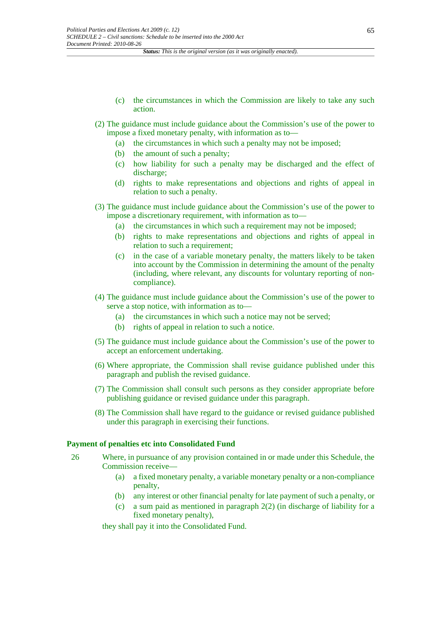- (c) the circumstances in which the Commission are likely to take any such action.
- (2) The guidance must include guidance about the Commission's use of the power to impose a fixed monetary penalty, with information as to—
	- (a) the circumstances in which such a penalty may not be imposed;
	- (b) the amount of such a penalty;
	- (c) how liability for such a penalty may be discharged and the effect of discharge;
	- (d) rights to make representations and objections and rights of appeal in relation to such a penalty.
- (3) The guidance must include guidance about the Commission's use of the power to impose a discretionary requirement, with information as to—
	- (a) the circumstances in which such a requirement may not be imposed;
	- (b) rights to make representations and objections and rights of appeal in relation to such a requirement;
	- (c) in the case of a variable monetary penalty, the matters likely to be taken into account by the Commission in determining the amount of the penalty (including, where relevant, any discounts for voluntary reporting of noncompliance).
- (4) The guidance must include guidance about the Commission's use of the power to serve a stop notice, with information as to—
	- (a) the circumstances in which such a notice may not be served;
	- (b) rights of appeal in relation to such a notice.
- (5) The guidance must include guidance about the Commission's use of the power to accept an enforcement undertaking.
- (6) Where appropriate, the Commission shall revise guidance published under this paragraph and publish the revised guidance.
- (7) The Commission shall consult such persons as they consider appropriate before publishing guidance or revised guidance under this paragraph.
- (8) The Commission shall have regard to the guidance or revised guidance published under this paragraph in exercising their functions.

# **Payment of penalties etc into Consolidated Fund**

- 26 Where, in pursuance of any provision contained in or made under this Schedule, the Commission receive—
	- (a) a fixed monetary penalty, a variable monetary penalty or a non-compliance penalty,
	- (b) any interest or other financial penalty for late payment of such a penalty, or
	- (c) a sum paid as mentioned in paragraph 2(2) (in discharge of liability for a fixed monetary penalty),

they shall pay it into the Consolidated Fund.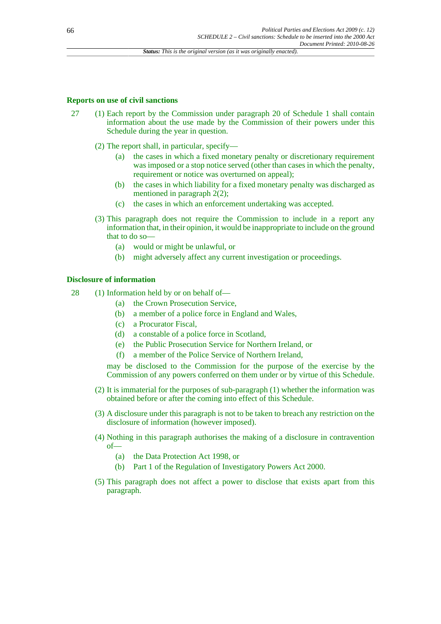# **Reports on use of civil sanctions**

- 27 (1) Each report by the Commission under paragraph 20 of Schedule 1 shall contain information about the use made by the Commission of their powers under this Schedule during the year in question.
	- (2) The report shall, in particular, specify—
		- (a) the cases in which a fixed monetary penalty or discretionary requirement was imposed or a stop notice served (other than cases in which the penalty, requirement or notice was overturned on appeal);
		- (b) the cases in which liability for a fixed monetary penalty was discharged as mentioned in paragraph 2(2);
		- (c) the cases in which an enforcement undertaking was accepted.
	- (3) This paragraph does not require the Commission to include in a report any information that, in their opinion, it would be inappropriate to include on the ground that to do so—
		- (a) would or might be unlawful, or
		- (b) might adversely affect any current investigation or proceedings.

# **Disclosure of information**

- 28 (1) Information held by or on behalf of—
	- (a) the Crown Prosecution Service,
	- (b) a member of a police force in England and Wales,
	- (c) a Procurator Fiscal,
	- (d) a constable of a police force in Scotland,
	- (e) the Public Prosecution Service for Northern Ireland, or
	- (f) a member of the Police Service of Northern Ireland,

may be disclosed to the Commission for the purpose of the exercise by the Commission of any powers conferred on them under or by virtue of this Schedule.

- (2) It is immaterial for the purposes of sub-paragraph (1) whether the information was obtained before or after the coming into effect of this Schedule.
- (3) A disclosure under this paragraph is not to be taken to breach any restriction on the disclosure of information (however imposed).
- (4) Nothing in this paragraph authorises the making of a disclosure in contravention of—
	- (a) the Data Protection Act 1998, or
	- (b) Part 1 of the Regulation of Investigatory Powers Act 2000.
- (5) This paragraph does not affect a power to disclose that exists apart from this paragraph.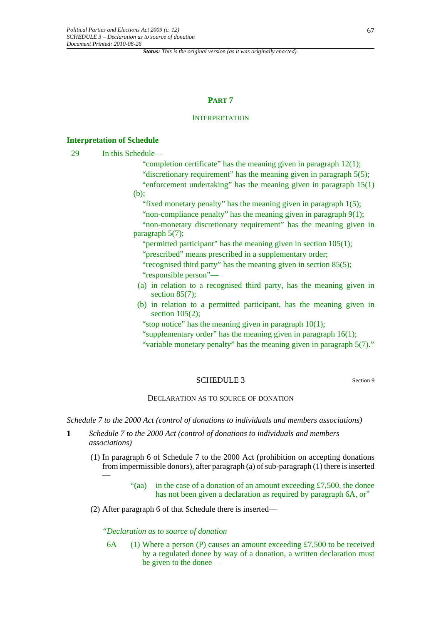# **PART 7**

# **INTERPRETATION**

#### **Interpretation of Schedule**

- 29 In this Schedule—
	- "completion certificate" has the meaning given in paragraph 12(1);
	- "discretionary requirement" has the meaning given in paragraph 5(5);
	- "enforcement undertaking" has the meaning given in paragraph 15(1) (b);
		- "fixed monetary penalty" has the meaning given in paragraph 1(5);
		- "non-compliance penalty" has the meaning given in paragraph 9(1);
	- "non-monetary discretionary requirement" has the meaning given in paragraph 5(7);
		- "permitted participant" has the meaning given in section 105(1);
		- "prescribed" means prescribed in a supplementary order;
		- "recognised third party" has the meaning given in section 85(5); "responsible person"—
	- (a) in relation to a recognised third party, has the meaning given in section 85(7);
	- (b) in relation to a permitted participant, has the meaning given in section 105(2):
	- "stop notice" has the meaning given in paragraph  $10(1)$ ;
	- "supplementary order" has the meaning given in paragraph 16(1);
	- "variable monetary penalty" has the meaning given in paragraph 5(7)."

# SCHEDULE 3 Section 9

# DECLARATION AS TO SOURCE OF DONATION

*Schedule 7 to the 2000 Act (control of donations to individuals and members associations)*

- **1** *Schedule 7 to the 2000 Act (control of donations to individuals and members associations)*
	- (1) In paragraph 6 of Schedule 7 to the 2000 Act (prohibition on accepting donations from impermissible donors), after paragraph (a) of sub-paragraph (1) there is inserted  $\overline{\phantom{a}}$ 
		- "(aa) in the case of a donation of an amount exceeding  $\text{\pounds}7.500$ , the donee has not been given a declaration as required by paragraph 6A, or"
	- (2) After paragraph 6 of that Schedule there is inserted—

### *"Declaration as to source of donation*

6A (1) Where a person (P) causes an amount exceeding  $\text{\pounds}7,500$  to be received by a regulated donee by way of a donation, a written declaration must be given to the donee—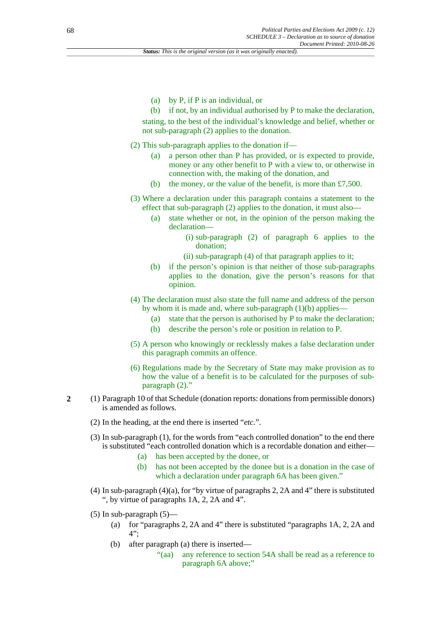(a) by P, if P is an individual, or

(b) if not, by an individual authorised by P to make the declaration, stating, to the best of the individual's knowledge and belief, whether or not sub-paragraph (2) applies to the donation.

- (2) This sub-paragraph applies to the donation if—
	- (a) a person other than P has provided, or is expected to provide, money or any other benefit to P with a view to, or otherwise in connection with, the making of the donation, and
	- (b) the money, or the value of the benefit, is more than  $£7,500$ .
- (3) Where a declaration under this paragraph contains a statement to the effect that sub-paragraph (2) applies to the donation, it must also—
	- (a) state whether or not, in the opinion of the person making the declaration—
		- (i) sub-paragraph (2) of paragraph 6 applies to the donation;
		- (ii) sub-paragraph (4) of that paragraph applies to it;
	- (b) if the person's opinion is that neither of those sub-paragraphs applies to the donation, give the person's reasons for that opinion.
- (4) The declaration must also state the full name and address of the person by whom it is made and, where sub-paragraph (1)(b) applies—
	- (a) state that the person is authorised by P to make the declaration;
	- (b) describe the person's role or position in relation to P.
- (5) A person who knowingly or recklessly makes a false declaration under this paragraph commits an offence.
- (6) Regulations made by the Secretary of State may make provision as to how the value of a benefit is to be calculated for the purposes of subparagraph (2)."
- **2** (1) Paragraph 10 of that Schedule (donation reports: donations from permissible donors) is amended as follows.
	- (2) In the heading, at the end there is inserted "*etc.*".
	- (3) In sub-paragraph (1), for the words from "each controlled donation" to the end there is substituted "each controlled donation which is a recordable donation and either—
		- (a) has been accepted by the donee, or
		- (b) has not been accepted by the donee but is a donation in the case of which a declaration under paragraph 6A has been given."
	- (4) In sub-paragraph  $(4)(a)$ , for "by virtue of paragraphs 2, 2A and 4" there is substituted ", by virtue of paragraphs 1A, 2, 2A and 4".
	- $(5)$  In sub-paragraph  $(5)$ 
		- (a) for "paragraphs 2, 2A and 4" there is substituted "paragraphs 1A, 2, 2A and 4";
		- (b) after paragraph (a) there is inserted—
			- "(aa) any reference to section 54A shall be read as a reference to paragraph 6A above;"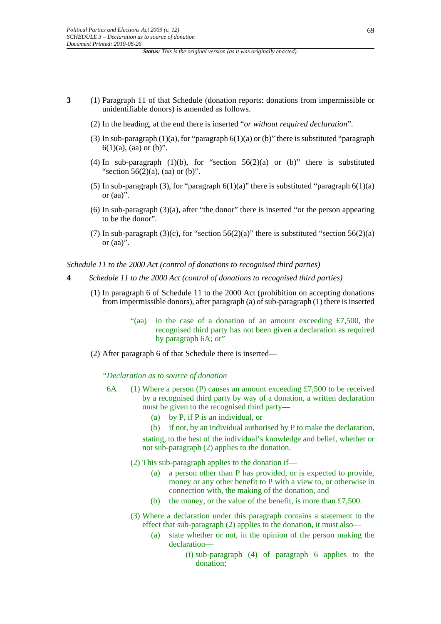- **3** (1) Paragraph 11 of that Schedule (donation reports: donations from impermissible or unidentifiable donors) is amended as follows.
	- (2) In the heading, at the end there is inserted "*or without required declaration*".
	- (3) In sub-paragraph  $(1)(a)$ , for "paragraph  $6(1)(a)$  or (b)" there is substituted "paragraph  $6(1)(a)$ , (aa) or (b)".
	- (4) In sub-paragraph (1)(b), for "section  $56(2)(a)$  or (b)" there is substituted "section  $56(2)(a)$ , (aa) or (b)".
	- (5) In sub-paragraph (3), for "paragraph  $6(1)(a)$ " there is substituted "paragraph  $6(1)(a)$ or  $(aa)$ ".
	- $(6)$  In sub-paragraph  $(3)(a)$ , after "the donor" there is inserted "or the person appearing to be the donor".
	- (7) In sub-paragraph (3)(c), for "section  $56(2)(a)$ " there is substituted "section  $56(2)(a)$ or  $(aa)$ ".

# *Schedule 11 to the 2000 Act (control of donations to recognised third parties)*

- **4** *Schedule 11 to the 2000 Act (control of donations to recognised third parties)*
	- (1) In paragraph 6 of Schedule 11 to the 2000 Act (prohibition on accepting donations from impermissible donors), after paragraph (a) of sub-paragraph (1) there is inserted
		- "(aa) in the case of a donation of an amount exceeding £7,500, the recognised third party has not been given a declaration as required by paragraph 6A; or"
	- (2) After paragraph 6 of that Schedule there is inserted—

# *"Declaration as to source of donation*

—

- 6A (1) Where a person (P) causes an amount exceeding  $\text{\pounds}7,500$  to be received by a recognised third party by way of a donation, a written declaration must be given to the recognised third party—
	- (a) by P, if P is an individual, or
	- (b) if not, by an individual authorised by P to make the declaration,

stating, to the best of the individual's knowledge and belief, whether or not sub-paragraph (2) applies to the donation.

- (2) This sub-paragraph applies to the donation if—
	- (a) a person other than P has provided, or is expected to provide, money or any other benefit to P with a view to, or otherwise in connection with, the making of the donation, and
	- (b) the money, or the value of the benefit, is more than  $£7,500$ .
- (3) Where a declaration under this paragraph contains a statement to the effect that sub-paragraph (2) applies to the donation, it must also—
	- (a) state whether or not, in the opinion of the person making the declaration—
		- (i) sub-paragraph (4) of paragraph 6 applies to the donation;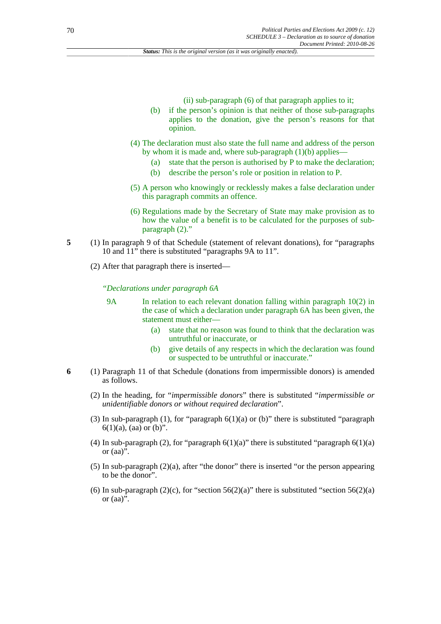(ii) sub-paragraph (6) of that paragraph applies to it;

- (b) if the person's opinion is that neither of those sub-paragraphs applies to the donation, give the person's reasons for that opinion.
- (4) The declaration must also state the full name and address of the person by whom it is made and, where sub-paragraph (1)(b) applies—
	- (a) state that the person is authorised by P to make the declaration;
	- (b) describe the person's role or position in relation to P.
- (5) A person who knowingly or recklessly makes a false declaration under this paragraph commits an offence.
- (6) Regulations made by the Secretary of State may make provision as to how the value of a benefit is to be calculated for the purposes of subparagraph (2)."
- **5** (1) In paragraph 9 of that Schedule (statement of relevant donations), for "paragraphs 10 and 11" there is substituted "paragraphs 9A to 11".
	- (2) After that paragraph there is inserted—

*"Declarations under paragraph 6A*

9A In relation to each relevant donation falling within paragraph 10(2) in the case of which a declaration under paragraph 6A has been given, the statement must either—

- (a) state that no reason was found to think that the declaration was untruthful or inaccurate, or
- (b) give details of any respects in which the declaration was found or suspected to be untruthful or inaccurate."
- **6** (1) Paragraph 11 of that Schedule (donations from impermissible donors) is amended as follows.
	- (2) In the heading, for "*impermissible donors*" there is substituted "*impermissible or unidentifiable donors or without required declaration*".
	- (3) In sub-paragraph (1), for "paragraph  $6(1)(a)$  or (b)" there is substituted "paragraph  $6(1)(a)$ ,  $(aa)$  or  $(b)$ ".
	- (4) In sub-paragraph (2), for "paragraph  $6(1)(a)$ " there is substituted "paragraph  $6(1)(a)$ or  $(aa)$ ".
	- (5) In sub-paragraph (2)(a), after "the donor" there is inserted "or the person appearing to be the donor".
	- (6) In sub-paragraph (2)(c), for "section  $56(2)(a)$ " there is substituted "section  $56(2)(a)$ or  $(aa)^{\overline{v}}$ .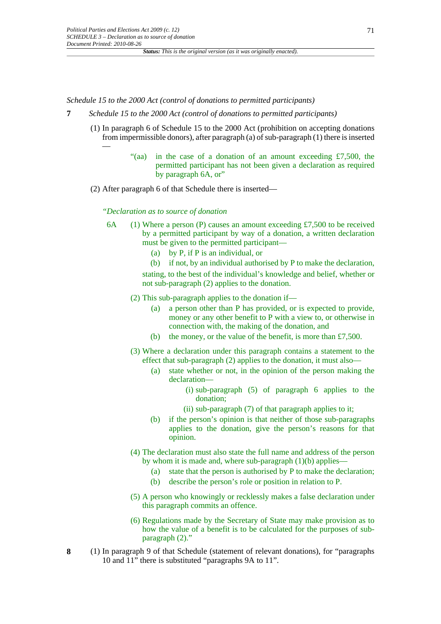—

#### *Schedule 15 to the 2000 Act (control of donations to permitted participants)*

- **7** *Schedule 15 to the 2000 Act (control of donations to permitted participants)*
	- (1) In paragraph 6 of Schedule 15 to the 2000 Act (prohibition on accepting donations from impermissible donors), after paragraph (a) of sub-paragraph (1) there is inserted
		- "(aa) in the case of a donation of an amount exceeding  $£7,500$ , the permitted participant has not been given a declaration as required by paragraph 6A, or"
	- (2) After paragraph 6 of that Schedule there is inserted—

*"Declaration as to source of donation*

- 6A (1) Where a person (P) causes an amount exceeding  $\text{\pounds}7,500$  to be received by a permitted participant by way of a donation, a written declaration must be given to the permitted participant—
	- (a) by P, if P is an individual, or

(b) if not, by an individual authorised by P to make the declaration, stating, to the best of the individual's knowledge and belief, whether or not sub-paragraph (2) applies to the donation.

- (2) This sub-paragraph applies to the donation if—
	- (a) a person other than P has provided, or is expected to provide, money or any other benefit to P with a view to, or otherwise in connection with, the making of the donation, and
	- (b) the money, or the value of the benefit, is more than  $£7,500$ .
- (3) Where a declaration under this paragraph contains a statement to the effect that sub-paragraph (2) applies to the donation, it must also—
	- (a) state whether or not, in the opinion of the person making the declaration—
		- (i) sub-paragraph (5) of paragraph 6 applies to the donation;
		- (ii) sub-paragraph (7) of that paragraph applies to it;
	- (b) if the person's opinion is that neither of those sub-paragraphs applies to the donation, give the person's reasons for that opinion.
- (4) The declaration must also state the full name and address of the person by whom it is made and, where sub-paragraph  $(1)(b)$  applies—
	- (a) state that the person is authorised by P to make the declaration;
	- (b) describe the person's role or position in relation to P.
- (5) A person who knowingly or recklessly makes a false declaration under this paragraph commits an offence.
- (6) Regulations made by the Secretary of State may make provision as to how the value of a benefit is to be calculated for the purposes of subparagraph (2)."
- **8** (1) In paragraph 9 of that Schedule (statement of relevant donations), for "paragraphs 10 and 11" there is substituted "paragraphs 9A to 11".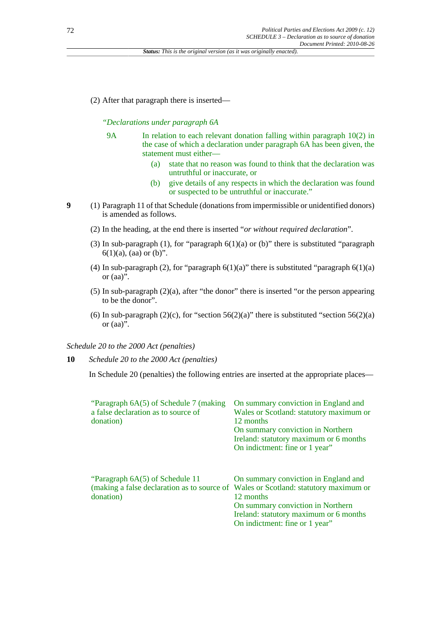(2) After that paragraph there is inserted—

*"Declarations under paragraph 6A*

- 9A In relation to each relevant donation falling within paragraph 10(2) in the case of which a declaration under paragraph 6A has been given, the statement must either—
	- (a) state that no reason was found to think that the declaration was untruthful or inaccurate, or
	- (b) give details of any respects in which the declaration was found or suspected to be untruthful or inaccurate."
- **9** (1) Paragraph 11 of that Schedule (donations from impermissible or unidentified donors) is amended as follows.
	- (2) In the heading, at the end there is inserted "*or without required declaration*".
	- (3) In sub-paragraph (1), for "paragraph  $6(1)(a)$  or (b)" there is substituted "paragraph  $6(1)(a)$ , (aa) or (b)".
	- (4) In sub-paragraph (2), for "paragraph  $6(1)(a)$ " there is substituted "paragraph  $6(1)(a)$ or  $(aa)$ ".
	- (5) In sub-paragraph (2)(a), after "the donor" there is inserted "or the person appearing to be the donor".
	- (6) In sub-paragraph (2)(c), for "section  $56(2)(a)$ " there is substituted "section  $56(2)(a)$ or  $(aa)$ ".

# *Schedule 20 to the 2000 Act (penalties)*

**10** *Schedule 20 to the 2000 Act (penalties)*

In Schedule 20 (penalties) the following entries are inserted at the appropriate places—

| "Paragraph $6A(5)$ of Schedule 7 (making<br>a false declaration as to source of<br>donation)                                        | On summary conviction in England and<br>Wales or Scotland: statutory maximum or<br>12 months<br>On summary conviction in Northern<br>Ireland: statutory maximum or 6 months<br>On indictment: fine or 1 year" |
|-------------------------------------------------------------------------------------------------------------------------------------|---------------------------------------------------------------------------------------------------------------------------------------------------------------------------------------------------------------|
| "Paragraph 6A(5) of Schedule 11<br>(making a false declaration as to source of Wales or Scotland: statutory maximum or<br>donation) | On summary conviction in England and<br>12 months<br>On summary conviction in Northern<br>Ireland: statutory maximum or 6 months<br>On indictment: fine or 1 year"                                            |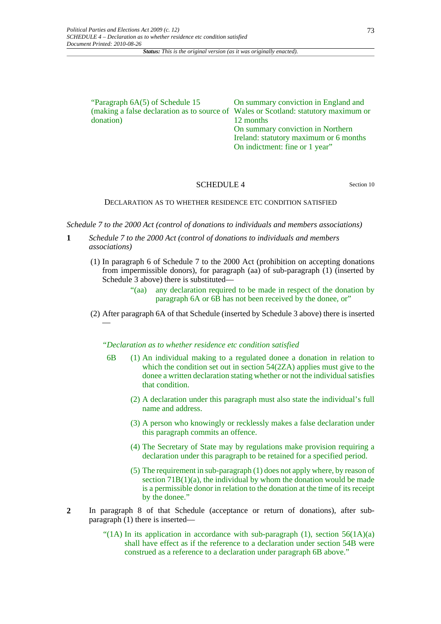| "Paragraph $6A(5)$ of Schedule 15"                                                  | On summary conviction in England and   |
|-------------------------------------------------------------------------------------|----------------------------------------|
| (making a false declaration as to source of Wales or Scotland: statutory maximum or |                                        |
| donation)                                                                           | 12 months                              |
|                                                                                     | On summary conviction in Northern      |
|                                                                                     | Ireland: statutory maximum or 6 months |
|                                                                                     | On indictment: fine or 1 year"         |

## SCHEDULE 4 Section 10

## DECLARATION AS TO WHETHER RESIDENCE ETC CONDITION SATISFIED

*Schedule 7 to the 2000 Act (control of donations to individuals and members associations)*

- **1** *Schedule 7 to the 2000 Act (control of donations to individuals and members associations)*
	- (1) In paragraph 6 of Schedule 7 to the 2000 Act (prohibition on accepting donations from impermissible donors), for paragraph (aa) of sub-paragraph (1) (inserted by Schedule 3 above) there is substituted—
		- "(aa) any declaration required to be made in respect of the donation by paragraph 6A or 6B has not been received by the donee, or"
	- (2) After paragraph 6A of that Schedule (inserted by Schedule 3 above) there is inserted

*"Declaration as to whether residence etc condition satisfied*

—

- 6B (1) An individual making to a regulated donee a donation in relation to which the condition set out in section 54(2ZA) applies must give to the donee a written declaration stating whether or not the individual satisfies that condition.
	- (2) A declaration under this paragraph must also state the individual's full name and address.
	- (3) A person who knowingly or recklessly makes a false declaration under this paragraph commits an offence.
	- (4) The Secretary of State may by regulations make provision requiring a declaration under this paragraph to be retained for a specified period.
	- (5) The requirement in sub-paragraph (1) does not apply where, by reason of section  $71B(1)(a)$ , the individual by whom the donation would be made is a permissible donor in relation to the donation at the time of its receipt by the donee."
- **2** In paragraph 8 of that Schedule (acceptance or return of donations), after subparagraph (1) there is inserted—
	- "(1A) In its application in accordance with sub-paragraph  $(1)$ , section  $56(1A)(a)$ shall have effect as if the reference to a declaration under section 54B were construed as a reference to a declaration under paragraph 6B above."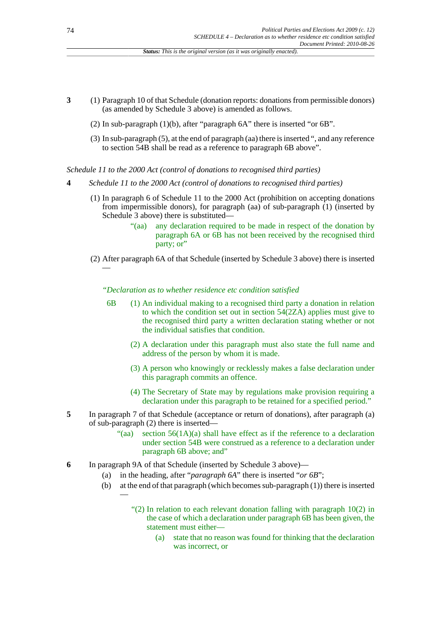- **3** (1) Paragraph 10 of that Schedule (donation reports: donations from permissible donors) (as amended by Schedule 3 above) is amended as follows.
	- (2) In sub-paragraph (1)(b), after "paragraph 6A" there is inserted "or 6B".
	- (3) In sub-paragraph (5), at the end of paragraph (aa) there is inserted ", and any reference to section 54B shall be read as a reference to paragraph 6B above".

## *Schedule 11 to the 2000 Act (control of donations to recognised third parties)*

- **4** *Schedule 11 to the 2000 Act (control of donations to recognised third parties)*
	- (1) In paragraph 6 of Schedule 11 to the 2000 Act (prohibition on accepting donations from impermissible donors), for paragraph  $(aa)$  of sub-paragraph  $(1)$  (inserted by Schedule 3 above) there is substituted—
		- "(aa) any declaration required to be made in respect of the donation by paragraph 6A or 6B has not been received by the recognised third party; or"
	- (2) After paragraph 6A of that Schedule (inserted by Schedule 3 above) there is inserted  $\overline{\phantom{a}}$

*"Declaration as to whether residence etc condition satisfied*

- 6B (1) An individual making to a recognised third party a donation in relation to which the condition set out in section  $54(2ZA)$  applies must give to the recognised third party a written declaration stating whether or not the individual satisfies that condition.
	- (2) A declaration under this paragraph must also state the full name and address of the person by whom it is made.
	- (3) A person who knowingly or recklessly makes a false declaration under this paragraph commits an offence.
	- (4) The Secretary of State may by regulations make provision requiring a declaration under this paragraph to be retained for a specified period."
- **5** In paragraph 7 of that Schedule (acceptance or return of donations), after paragraph (a) of sub-paragraph (2) there is inserted—
	- "(aa) section  $56(1A)(a)$  shall have effect as if the reference to a declaration under section 54B were construed as a reference to a declaration under paragraph 6B above; and"
- **6** In paragraph 9A of that Schedule (inserted by Schedule 3 above)—
	- (a) in the heading, after "*paragraph 6A*" there is inserted "*or 6B*";
		- (b) at the end of that paragraph (which becomes sub-paragraph (1)) there is inserted —
			- "(2) In relation to each relevant donation falling with paragraph 10(2) in the case of which a declaration under paragraph 6B has been given, the statement must either—
				- (a) state that no reason was found for thinking that the declaration was incorrect, or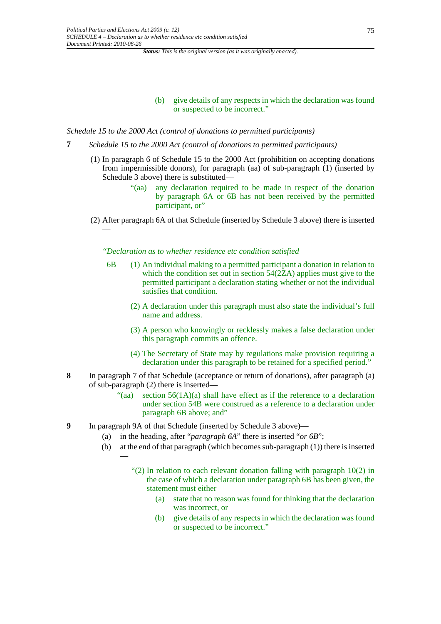# (b) give details of any respects in which the declaration was found or suspected to be incorrect."

*Schedule 15 to the 2000 Act (control of donations to permitted participants)*

- **7** *Schedule 15 to the 2000 Act (control of donations to permitted participants)*
	- (1) In paragraph 6 of Schedule 15 to the 2000 Act (prohibition on accepting donations from impermissible donors), for paragraph (aa) of sub-paragraph (1) (inserted by Schedule 3 above) there is substituted—
		- "(aa) any declaration required to be made in respect of the donation by paragraph 6A or 6B has not been received by the permitted participant, or"
	- (2) After paragraph 6A of that Schedule (inserted by Schedule 3 above) there is inserted —

*"Declaration as to whether residence etc condition satisfied*

- 6B (1) An individual making to a permitted participant a donation in relation to which the condition set out in section 54(2ZA) applies must give to the permitted participant a declaration stating whether or not the individual satisfies that condition.
	- (2) A declaration under this paragraph must also state the individual's full name and address.
	- (3) A person who knowingly or recklessly makes a false declaration under this paragraph commits an offence.
	- (4) The Secretary of State may by regulations make provision requiring a declaration under this paragraph to be retained for a specified period."
- **8** In paragraph 7 of that Schedule (acceptance or return of donations), after paragraph (a) of sub-paragraph (2) there is inserted—
	- "(aa) section  $56(1A)(a)$  shall have effect as if the reference to a declaration under section 54B were construed as a reference to a declaration under paragraph 6B above; and"
- **9** In paragraph 9A of that Schedule (inserted by Schedule 3 above)—
	- (a) in the heading, after "*paragraph 6A*" there is inserted "*or 6B*";
	- (b) at the end of that paragraph (which becomes sub-paragraph (1)) there is inserted —
		- "(2) In relation to each relevant donation falling with paragraph 10(2) in the case of which a declaration under paragraph 6B has been given, the statement must either—
			- (a) state that no reason was found for thinking that the declaration was incorrect, or
			- (b) give details of any respects in which the declaration was found or suspected to be incorrect."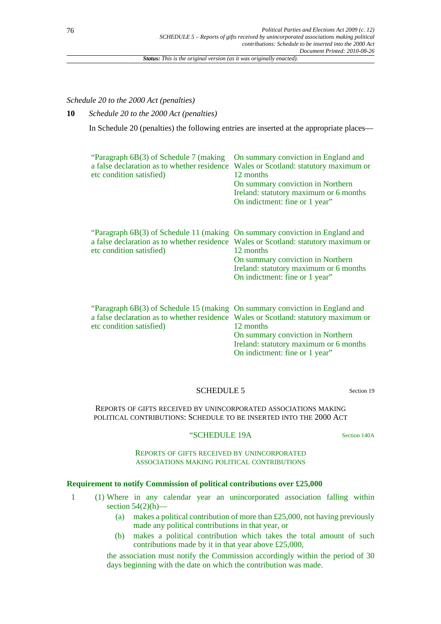### *Schedule 20 to the 2000 Act (penalties)*

# **10** *Schedule 20 to the 2000 Act (penalties)*

In Schedule 20 (penalties) the following entries are inserted at the appropriate places—

| "Paragraph 6B(3) of Schedule 7 (making<br>a false declaration as to whether residence<br>etc condition satisfied)                                       | On summary conviction in England and<br>Wales or Scotland: statutory maximum or<br>12 months<br>On summary conviction in Northern<br>Ireland: statutory maximum or 6 months<br>On indictment: fine or 1 year" |
|---------------------------------------------------------------------------------------------------------------------------------------------------------|---------------------------------------------------------------------------------------------------------------------------------------------------------------------------------------------------------------|
| "Paragraph 6B(3) of Schedule 11 (making<br>a false declaration as to whether residence<br>etc condition satisfied)                                      | On summary conviction in England and<br>Wales or Scotland: statutory maximum or<br>12 months<br>On summary conviction in Northern<br>Ireland: statutory maximum or 6 months<br>On indictment: fine or 1 year" |
| "Paragraph 6B(3) of Schedule 15 (making On summary conviction in England and<br>a false declaration as to whether residence<br>etc condition satisfied) | Wales or Scotland: statutory maximum or<br>12 months<br>On summary conviction in Northern<br>Ireland: statutory maximum or 6 months<br>On indictment: fine or 1 year"                                         |

## SCHEDULE 5 Section 19

REPORTS OF GIFTS RECEIVED BY UNINCORPORATED ASSOCIATIONS MAKING POLITICAL CONTRIBUTIONS: SCHEDULE TO BE INSERTED INTO THE 2000 ACT

# "SCHEDULE 19A Section 140A

## REPORTS OF GIFTS RECEIVED BY UNINCORPORATED ASSOCIATIONS MAKING POLITICAL CONTRIBUTIONS

# **Requirement to notify Commission of political contributions over £25,000**

- 1 (1) Where in any calendar year an unincorporated association falling within section  $54(2)(h)$ —
	- (a) makes a political contribution of more than £25,000, not having previously made any political contributions in that year, or
	- (b) makes a political contribution which takes the total amount of such contributions made by it in that year above £25,000,

the association must notify the Commission accordingly within the period of 30 days beginning with the date on which the contribution was made.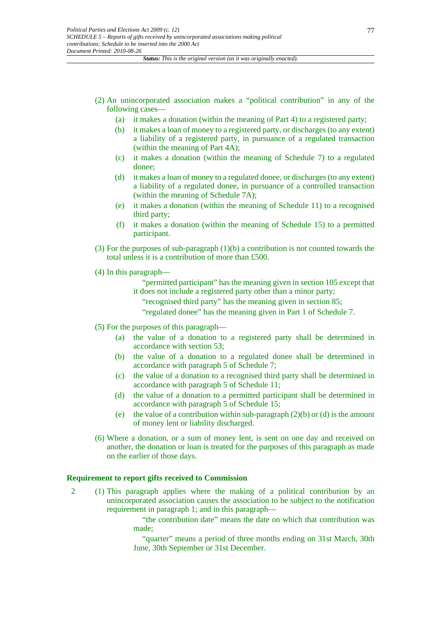- (2) An unincorporated association makes a "political contribution" in any of the following cases—
	- (a) it makes a donation (within the meaning of Part 4) to a registered party;
	- (b) it makes a loan of money to a registered party, or discharges (to any extent) a liability of a registered party, in pursuance of a regulated transaction (within the meaning of Part 4A);
	- (c) it makes a donation (within the meaning of Schedule 7) to a regulated donee;
	- (d) it makes a loan of money to a regulated donee, or discharges (to any extent) a liability of a regulated donee, in pursuance of a controlled transaction (within the meaning of Schedule 7A);
	- (e) it makes a donation (within the meaning of Schedule 11) to a recognised third party;
	- (f) it makes a donation (within the meaning of Schedule 15) to a permitted participant.
- (3) For the purposes of sub-paragraph  $(1)(b)$  a contribution is not counted towards the total unless it is a contribution of more than £500.
- (4) In this paragraph—

"permitted participant" has the meaning given in section 105 except that it does not include a registered party other than a minor party;

- "recognised third party" has the meaning given in section 85;
- "regulated donee" has the meaning given in Part 1 of Schedule 7.
- (5) For the purposes of this paragraph—
	- (a) the value of a donation to a registered party shall be determined in accordance with section 53;
	- (b) the value of a donation to a regulated donee shall be determined in accordance with paragraph 5 of Schedule 7;
	- (c) the value of a donation to a recognised third party shall be determined in accordance with paragraph 5 of Schedule 11;
	- (d) the value of a donation to a permitted participant shall be determined in accordance with paragraph 5 of Schedule 15;
	- (e) the value of a contribution within sub-paragraph  $(2)(b)$  or  $(d)$  is the amount of money lent or liability discharged.
- (6) Where a donation, or a sum of money lent, is sent on one day and received on another, the donation or loan is treated for the purposes of this paragraph as made on the earlier of those days.

## **Requirement to report gifts received to Commission**

2 (1) This paragraph applies where the making of a political contribution by an unincorporated association causes the association to be subject to the notification requirement in paragraph 1; and in this paragraph—

> "the contribution date" means the date on which that contribution was made;

> "quarter" means a period of three months ending on 31st March, 30th June, 30th September or 31st December.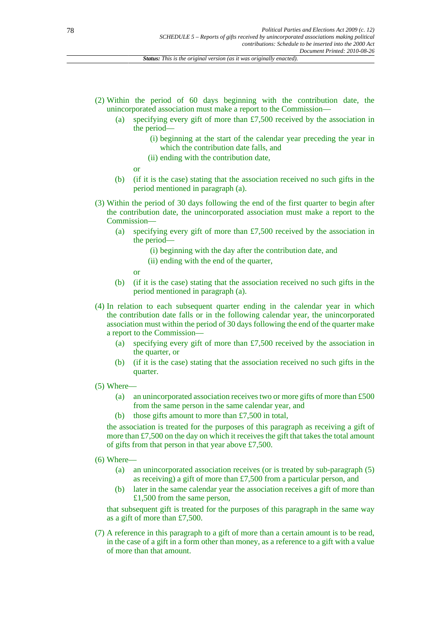- (2) Within the period of 60 days beginning with the contribution date, the unincorporated association must make a report to the Commission—
	- (a) specifying every gift of more than  $£7,500$  received by the association in the period—
		- (i) beginning at the start of the calendar year preceding the year in which the contribution date falls, and
		- (ii) ending with the contribution date,

or

- (b) (if it is the case) stating that the association received no such gifts in the period mentioned in paragraph (a).
- (3) Within the period of 30 days following the end of the first quarter to begin after the contribution date, the unincorporated association must make a report to the Commission—
	- (a) specifying every gift of more than  $\text{\pounds}7,500$  received by the association in the period—
		- (i) beginning with the day after the contribution date, and
		- (ii) ending with the end of the quarter,

or

- (b) (if it is the case) stating that the association received no such gifts in the period mentioned in paragraph (a).
- (4) In relation to each subsequent quarter ending in the calendar year in which the contribution date falls or in the following calendar year, the unincorporated association must within the period of 30 days following the end of the quarter make a report to the Commission—
	- (a) specifying every gift of more than  $£7,500$  received by the association in the quarter, or
	- (b) (if it is the case) stating that the association received no such gifts in the quarter.
- (5) Where—
	- (a) an unincorporated association receives two or more gifts of more than  $£500$ from the same person in the same calendar year, and
	- (b) those gifts amount to more than  $£7,500$  in total,

the association is treated for the purposes of this paragraph as receiving a gift of more than £7,500 on the day on which it receives the gift that takes the total amount of gifts from that person in that year above £7,500.

- (6) Where—
	- (a) an unincorporated association receives (or is treated by sub-paragraph (5) as receiving) a gift of more than £7,500 from a particular person, and
	- (b) later in the same calendar year the association receives a gift of more than £1,500 from the same person,

that subsequent gift is treated for the purposes of this paragraph in the same way as a gift of more than £7,500.

(7) A reference in this paragraph to a gift of more than a certain amount is to be read, in the case of a gift in a form other than money, as a reference to a gift with a value of more than that amount.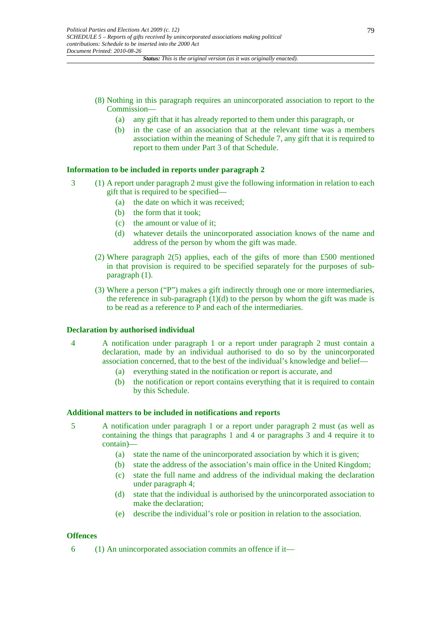- (8) Nothing in this paragraph requires an unincorporated association to report to the Commission—
	- (a) any gift that it has already reported to them under this paragraph, or
	- (b) in the case of an association that at the relevant time was a members association within the meaning of Schedule 7, any gift that it is required to report to them under Part 3 of that Schedule.

# **Information to be included in reports under paragraph 2**

- 3 (1) A report under paragraph 2 must give the following information in relation to each gift that is required to be specified—
	- (a) the date on which it was received;
	- (b) the form that it took;
	- (c) the amount or value of it;
	- (d) whatever details the unincorporated association knows of the name and address of the person by whom the gift was made.
	- (2) Where paragraph 2(5) applies, each of the gifts of more than £500 mentioned in that provision is required to be specified separately for the purposes of subparagraph (1).
	- (3) Where a person ("P") makes a gift indirectly through one or more intermediaries, the reference in sub-paragraph  $(1)(d)$  to the person by whom the gift was made is to be read as a reference to P and each of the intermediaries.

# **Declaration by authorised individual**

- 4 A notification under paragraph 1 or a report under paragraph 2 must contain a declaration, made by an individual authorised to do so by the unincorporated association concerned, that to the best of the individual's knowledge and belief—
	- (a) everything stated in the notification or report is accurate, and
	- (b) the notification or report contains everything that it is required to contain by this Schedule.

# **Additional matters to be included in notifications and reports**

- 5 A notification under paragraph 1 or a report under paragraph 2 must (as well as containing the things that paragraphs 1 and 4 or paragraphs 3 and 4 require it to contain)—
	- (a) state the name of the unincorporated association by which it is given;
	- (b) state the address of the association's main office in the United Kingdom;
	- (c) state the full name and address of the individual making the declaration under paragraph 4;
	- (d) state that the individual is authorised by the unincorporated association to make the declaration;
	- (e) describe the individual's role or position in relation to the association.

# **Offences**

6 (1) An unincorporated association commits an offence if it—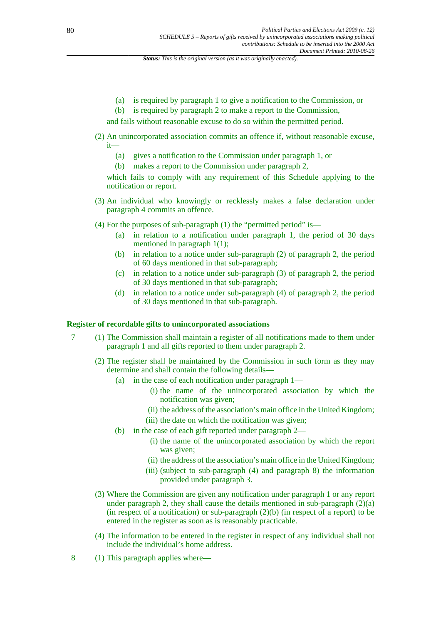- (a) is required by paragraph 1 to give a notification to the Commission, or
- (b) is required by paragraph 2 to make a report to the Commission,

and fails without reasonable excuse to do so within the permitted period.

- (2) An unincorporated association commits an offence if, without reasonable excuse, it—
	- (a) gives a notification to the Commission under paragraph 1, or
	- (b) makes a report to the Commission under paragraph 2,

which fails to comply with any requirement of this Schedule applying to the notification or report.

- (3) An individual who knowingly or recklessly makes a false declaration under paragraph 4 commits an offence.
- (4) For the purposes of sub-paragraph (1) the "permitted period" is—
	- (a) in relation to a notification under paragraph 1, the period of 30 days mentioned in paragraph 1(1);
	- (b) in relation to a notice under sub-paragraph (2) of paragraph 2, the period of 60 days mentioned in that sub-paragraph;
	- (c) in relation to a notice under sub-paragraph (3) of paragraph 2, the period of 30 days mentioned in that sub-paragraph;
	- (d) in relation to a notice under sub-paragraph (4) of paragraph 2, the period of 30 days mentioned in that sub-paragraph.

## **Register of recordable gifts to unincorporated associations**

- 7 (1) The Commission shall maintain a register of all notifications made to them under paragraph 1 and all gifts reported to them under paragraph 2.
	- (2) The register shall be maintained by the Commission in such form as they may determine and shall contain the following details—
		- (a) in the case of each notification under paragraph 1—
			- (i) the name of the unincorporated association by which the notification was given;
			- (ii) the address of the association's main office in the United Kingdom;
			- (iii) the date on which the notification was given;
		- (b) in the case of each gift reported under paragraph 2—
			- (i) the name of the unincorporated association by which the report was given;
			- (ii) the address of the association's main office in the United Kingdom;
			- (iii) (subject to sub-paragraph (4) and paragraph 8) the information provided under paragraph 3.
	- (3) Where the Commission are given any notification under paragraph 1 or any report under paragraph 2, they shall cause the details mentioned in sub-paragraph  $(2)(a)$ (in respect of a notification) or sub-paragraph  $(2)(b)$  (in respect of a report) to be entered in the register as soon as is reasonably practicable.
	- (4) The information to be entered in the register in respect of any individual shall not include the individual's home address.
- 8 (1) This paragraph applies where—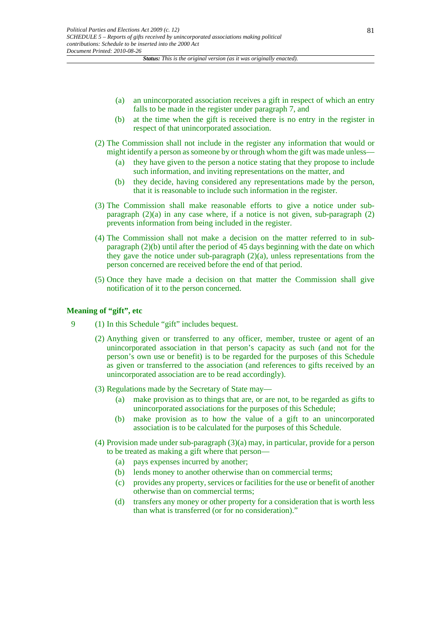- (a) an unincorporated association receives a gift in respect of which an entry falls to be made in the register under paragraph 7, and
- (b) at the time when the gift is received there is no entry in the register in respect of that unincorporated association.
- (2) The Commission shall not include in the register any information that would or might identify a person as someone by or through whom the gift was made unless—
	- (a) they have given to the person a notice stating that they propose to include such information, and inviting representations on the matter, and
	- (b) they decide, having considered any representations made by the person, that it is reasonable to include such information in the register.
- (3) The Commission shall make reasonable efforts to give a notice under subparagraph (2)(a) in any case where, if a notice is not given, sub-paragraph (2) prevents information from being included in the register.
- (4) The Commission shall not make a decision on the matter referred to in subparagraph (2)(b) until after the period of 45 days beginning with the date on which they gave the notice under sub-paragraph  $(2)(a)$ , unless representations from the person concerned are received before the end of that period.
- (5) Once they have made a decision on that matter the Commission shall give notification of it to the person concerned.

# **Meaning of "gift", etc**

- 9 (1) In this Schedule "gift" includes bequest.
	- (2) Anything given or transferred to any officer, member, trustee or agent of an unincorporated association in that person's capacity as such (and not for the person's own use or benefit) is to be regarded for the purposes of this Schedule as given or transferred to the association (and references to gifts received by an unincorporated association are to be read accordingly).
	- (3) Regulations made by the Secretary of State may—
		- (a) make provision as to things that are, or are not, to be regarded as gifts to unincorporated associations for the purposes of this Schedule;
		- (b) make provision as to how the value of a gift to an unincorporated association is to be calculated for the purposes of this Schedule.
	- (4) Provision made under sub-paragraph (3)(a) may, in particular, provide for a person to be treated as making a gift where that person—
		- (a) pays expenses incurred by another;
		- (b) lends money to another otherwise than on commercial terms;
		- (c) provides any property, services or facilities for the use or benefit of another otherwise than on commercial terms;
		- (d) transfers any money or other property for a consideration that is worth less than what is transferred (or for no consideration)."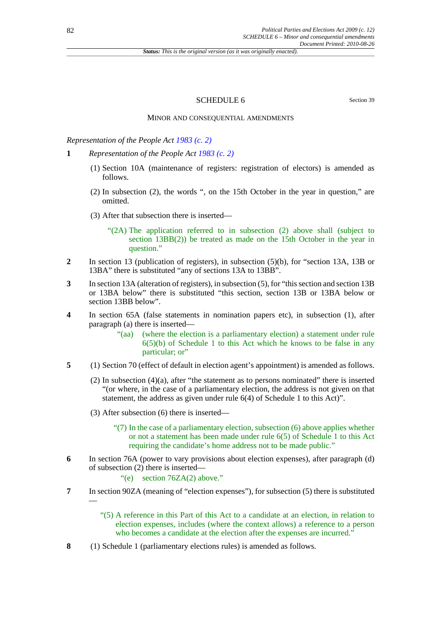#### SCHEDULE 6 Section 39

#### MINOR AND CONSEQUENTIAL AMENDMENTS

*Representation of the People Act [1983 \(c. 2\)](http://www.legislation.gov.uk/id/ukpga/1983/2)*

**1** *Representation of the People Act [1983 \(c. 2\)](http://www.legislation.gov.uk/id/ukpga/1983/2)*

- (1) Section 10A (maintenance of registers: registration of electors) is amended as follows.
- (2) In subsection (2), the words ", on the 15th October in the year in question," are omitted.
- (3) After that subsection there is inserted—
	- "(2A) The application referred to in subsection (2) above shall (subject to section 13BB(2)) be treated as made on the 15th October in the year in question."
- **2** In section 13 (publication of registers), in subsection (5)(b), for "section 13A, 13B or 13BA" there is substituted "any of sections 13A to 13BB".
- **3** In section 13A (alteration of registers), in subsection (5), for "this section and section 13B or 13BA below" there is substituted "this section, section 13B or 13BA below or section 13BB below".
- **4** In section 65A (false statements in nomination papers etc), in subsection (1), after paragraph (a) there is inserted—
	- "(aa) (where the election is a parliamentary election) a statement under rule  $6(5)(b)$  of Schedule 1 to this Act which he knows to be false in any particular; or"
- **5** (1) Section 70 (effect of default in election agent's appointment) is amended as follows.
	- $(2)$  In subsection  $(4)(a)$ , after "the statement as to persons nominated" there is inserted "(or where, in the case of a parliamentary election, the address is not given on that statement, the address as given under rule 6(4) of Schedule 1 to this Act)".
	- (3) After subsection (6) there is inserted—

—

- "(7) In the case of a parliamentary election, subsection (6) above applies whether or not a statement has been made under rule 6(5) of Schedule 1 to this Act requiring the candidate's home address not to be made public."
- **6** In section 76A (power to vary provisions about election expenses), after paragraph (d) of subsection (2) there is inserted—
	- "(e) section 76ZA(2) above."
- **7** In section 90ZA (meaning of "election expenses"), for subsection (5) there is substituted

"(5) A reference in this Part of this Act to a candidate at an election, in relation to election expenses, includes (where the context allows) a reference to a person who becomes a candidate at the election after the expenses are incurred."

**8** (1) Schedule 1 (parliamentary elections rules) is amended as follows.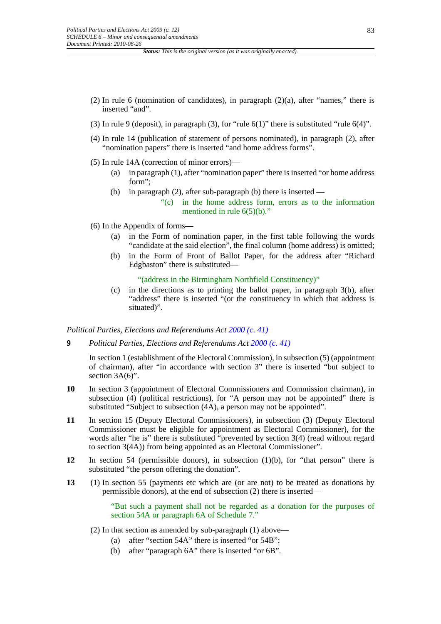- (2) In rule 6 (nomination of candidates), in paragraph  $(2)(a)$ , after "names," there is inserted "and".
- (3) In rule 9 (deposit), in paragraph (3), for "rule  $6(1)$ " there is substituted "rule  $6(4)$ ".
- (4) In rule 14 (publication of statement of persons nominated), in paragraph (2), after "nomination papers" there is inserted "and home address forms".
- (5) In rule 14A (correction of minor errors)—
	- (a) in paragraph (1), after "nomination paper" there is inserted "or home address form";
	- (b) in paragraph (2), after sub-paragraph (b) there is inserted
		- "(c) in the home address form, errors as to the information mentioned in rule  $6(5)(b)$ ."
- (6) In the Appendix of forms—
	- (a) in the Form of nomination paper, in the first table following the words "candidate at the said election", the final column (home address) is omitted;
	- (b) in the Form of Front of Ballot Paper, for the address after "Richard Edgbaston" there is substituted—

"(address in the Birmingham Northfield Constituency)"

(c) in the directions as to printing the ballot paper, in paragraph 3(b), after "address" there is inserted "(or the constituency in which that address is situated)".

*Political Parties, Elections and Referendums Act [2000 \(c. 41\)](http://www.legislation.gov.uk/id/ukpga/2000/41)*

**9** *Political Parties, Elections and Referendums Act [2000 \(c. 41\)](http://www.legislation.gov.uk/id/ukpga/2000/41)*

In section 1 (establishment of the Electoral Commission), in subsection (5) (appointment of chairman), after "in accordance with section 3" there is inserted "but subject to section  $3A(6)$ ".

- **10** In section 3 (appointment of Electoral Commissioners and Commission chairman), in subsection  $(4)$  (political restrictions), for "A person may not be appointed" there is substituted "Subject to subsection (4A), a person may not be appointed".
- **11** In section 15 (Deputy Electoral Commissioners), in subsection (3) (Deputy Electoral Commissioner must be eligible for appointment as Electoral Commissioner), for the words after "he is" there is substituted "prevented by section 3(4) (read without regard to section 3(4A)) from being appointed as an Electoral Commissioner".
- **12** In section 54 (permissible donors), in subsection (1)(b), for "that person" there is substituted "the person offering the donation".
- **13** (1) In section 55 (payments etc which are (or are not) to be treated as donations by permissible donors), at the end of subsection (2) there is inserted—

"But such a payment shall not be regarded as a donation for the purposes of section 54A or paragraph 6A of Schedule 7."

- (2) In that section as amended by sub-paragraph (1) above—
	- (a) after "section 54A" there is inserted "or 54B";
	- (b) after "paragraph 6A" there is inserted "or 6B".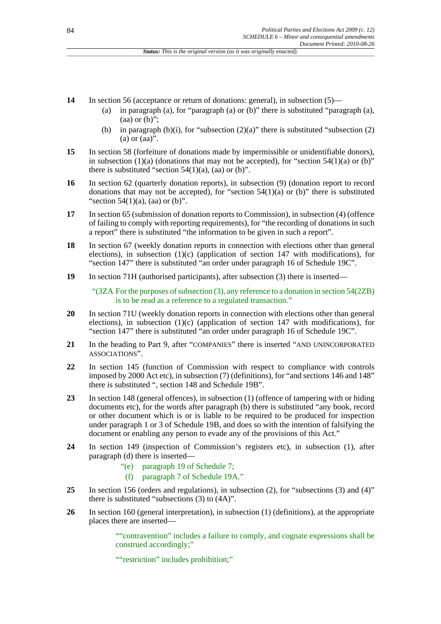- **14** In section 56 (acceptance or return of donations: general), in subsection (5)—
	- (a) in paragraph (a), for "paragraph (a) or (b)" there is substituted "paragraph (a),  $(aa)$  or  $(b)$ ";
	- (b) in paragraph (b)(i), for "subsection  $(2)(a)$ " there is substituted "subsection  $(2)$  $\overline{(a)}$  or  $\overline{(aa)}$ .
- **15** In section 58 (forfeiture of donations made by impermissible or unidentifiable donors), in subsection  $(1)(a)$  (donations that may not be accepted), for "section 54(1)(a) or (b)" there is substituted "section  $54(1)(a)$ ,  $(aa)$  or  $(b)$ ".
- **16** In section 62 (quarterly donation reports), in subsection (9) (donation report to record donations that may not be accepted), for "section  $54(1)(a)$  or (b)" there is substituted "section  $54(1)(a)$ , (aa) or (b)".
- **17** In section 65 (submission of donation reports to Commission), in subsection (4) (offence of failing to comply with reporting requirements), for "the recording of donations in such a report" there is substituted "the information to be given in such a report".
- **18** In section 67 (weekly donation reports in connection with elections other than general elections), in subsection  $(1)(c)$  (application of section 147 with modifications), for "section 147" there is substituted "an order under paragraph 16 of Schedule 19C".
- **19** In section 71H (authorised participants), after subsection (3) there is inserted—

"(3ZA For the purposes of subsection (3), any reference to a donation in section 54(2ZB) is to be read as a reference to a regulated transaction."

- **20** In section 71U (weekly donation reports in connection with elections other than general elections), in subsection  $(1)(c)$  (application of section 147 with modifications), for "section 147" there is substituted "an order under paragraph 16 of Schedule 19C".
- **21** In the heading to Part 9, after "COMPANIES" there is inserted "AND UNINCORPORATED ASSOCIATIONS".
- **22** In section 145 (function of Commission with respect to compliance with controls imposed by 2000 Act etc), in subsection (7) (definitions), for "and sections 146 and 148" there is substituted ", section 148 and Schedule 19B".
- **23** In section 148 (general offences), in subsection (1) (offence of tampering with or hiding documents etc), for the words after paragraph (b) there is substituted "any book, record or other document which is or is liable to be required to be produced for inspection under paragraph 1 or 3 of Schedule 19B, and does so with the intention of falsifying the document or enabling any person to evade any of the provisions of this Act."
- **24** In section 149 (inspection of Commission's registers etc), in subsection (1), after paragraph (d) there is inserted—
	- "(e) paragraph 19 of Schedule 7;
	- (f) paragraph 7 of Schedule 19A."
- **25** In section 156 (orders and regulations), in subsection (2), for "subsections (3) and (4)" there is substituted "subsections (3) to (4A)".
- **26** In section 160 (general interpretation), in subsection (1) (definitions), at the appropriate places there are inserted—

""contravention" includes a failure to comply, and cognate expressions shall be construed accordingly;"

""restriction" includes prohibition;"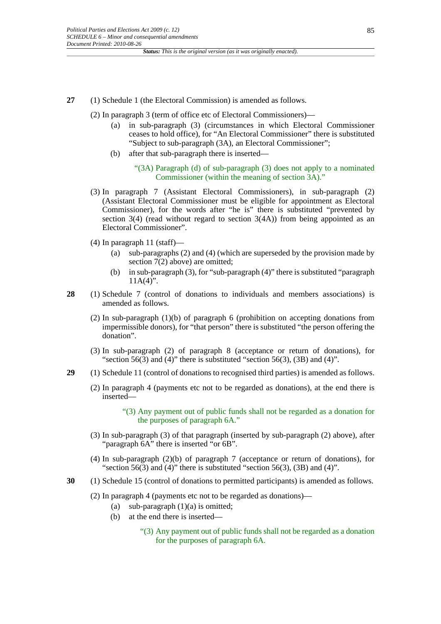- **27** (1) Schedule 1 (the Electoral Commission) is amended as follows.
	- (2) In paragraph 3 (term of office etc of Electoral Commissioners)—
		- (a) in sub-paragraph (3) (circumstances in which Electoral Commissioner ceases to hold office), for "An Electoral Commissioner" there is substituted "Subject to sub-paragraph (3A), an Electoral Commissioner";
		- (b) after that sub-paragraph there is inserted—

"(3A) Paragraph (d) of sub-paragraph (3) does not apply to a nominated Commissioner (within the meaning of section 3A)."

- (3) In paragraph 7 (Assistant Electoral Commissioners), in sub-paragraph (2) (Assistant Electoral Commissioner must be eligible for appointment as Electoral Commissioner), for the words after "he is" there is substituted "prevented by section 3(4) (read without regard to section 3(4A)) from being appointed as an Electoral Commissioner".
- (4) In paragraph 11 (staff)—
	- (a) sub-paragraphs (2) and (4) (which are superseded by the provision made by section 7(2) above) are omitted;
	- (b) in sub-paragraph (3), for "sub-paragraph (4)" there is substituted "paragraph  $11A(4)$ ".
- **28** (1) Schedule 7 (control of donations to individuals and members associations) is amended as follows.
	- (2) In sub-paragraph (1)(b) of paragraph 6 (prohibition on accepting donations from impermissible donors), for "that person" there is substituted "the person offering the donation".
	- (3) In sub-paragraph (2) of paragraph 8 (acceptance or return of donations), for "section 56(3) and (4)" there is substituted "section 56(3), (3B) and (4)".
- **29** (1) Schedule 11 (control of donations to recognised third parties) is amended as follows.
	- (2) In paragraph 4 (payments etc not to be regarded as donations), at the end there is inserted—
		- "(3) Any payment out of public funds shall not be regarded as a donation for the purposes of paragraph 6A."
	- (3) In sub-paragraph (3) of that paragraph (inserted by sub-paragraph (2) above), after "paragraph  $6A$ " there is inserted "or  $6B$ ".
	- (4) In sub-paragraph (2)(b) of paragraph 7 (acceptance or return of donations), for "section  $56(3)$  and  $(4)$ " there is substituted "section  $56(3)$ ,  $(3B)$  and  $(4)$ ".
- **30** (1) Schedule 15 (control of donations to permitted participants) is amended as follows.
	- (2) In paragraph 4 (payments etc not to be regarded as donations)—
		- (a) sub-paragraph  $(1)(a)$  is omitted;
		- (b) at the end there is inserted—
			- "(3) Any payment out of public funds shall not be regarded as a donation for the purposes of paragraph 6A.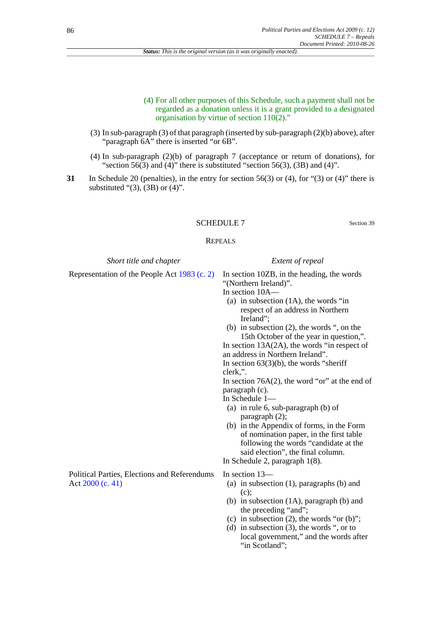- (4) For all other purposes of this Schedule, such a payment shall not be regarded as a donation unless it is a grant provided to a designated organisation by virtue of section 110(2)."
- (3) In sub-paragraph (3) of that paragraph (inserted by sub-paragraph (2)(b) above), after "paragraph 6A" there is inserted "or 6B".
- (4) In sub-paragraph (2)(b) of paragraph 7 (acceptance or return of donations), for "section 56(3) and (4)" there is substituted "section 56(3), (3B) and (4)".
- **31** In Schedule 20 (penalties), in the entry for section 56(3) or (4), for "(3) or (4)" there is substituted " $(3)$ ,  $(3B)$  or  $(4)$ ".

# SCHEDULE 7 Section 39

#### REPEALS

*Short title and chapter Extent of repeal*

Representation of the People Act 1983  $(c, 2)$  In section 10ZB, in the heading, the words

- "(Northern Ireland)". In section 10A—
	- (a) in subsection (1A), the words "in respect of an address in Northern Ireland";
	- (b) in subsection (2), the words ", on the 15th October of the year in question,".

In section 13A(2A), the words "in respect of an address in Northern Ireland".

In section 63(3)(b), the words "sheriff

clerk,".

In section  $76A(2)$ , the word "or" at the end of paragraph (c).

In Schedule 1—

- (a) in rule 6, sub-paragraph (b) of paragraph (2);
- (b) in the Appendix of forms, in the Form of nomination paper, in the first table following the words "candidate at the said election", the final column.
- In Schedule 2, paragraph 1(8).

#### In section 13—

- (a) in subsection (1), paragraphs (b) and  $(c)$ :
- (b) in subsection (1A), paragraph (b) and the preceding "and";
- (c) in subsection (2), the words "or  $(b)$ ";
- (d) in subsection (3), the words ", or to local government," and the words after "in Scotland";

Political Parties, Elections and Referendums Act [2000 \(c. 41\)](http://www.legislation.gov.uk/id/ukpga/2000/41)